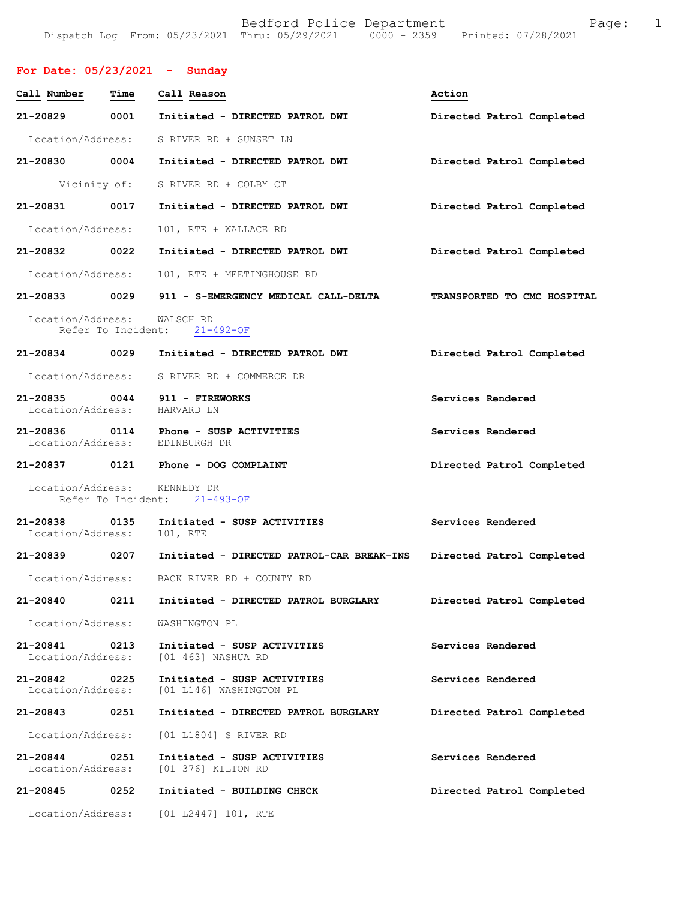## **For Date: 05/23/2021 - Sunday**

| Call Number                       | Time               | Call Reason                                            | Action                      |
|-----------------------------------|--------------------|--------------------------------------------------------|-----------------------------|
| 21-20829                          | 0001               | Initiated - DIRECTED PATROL DWI                        | Directed Patrol Completed   |
| Location/Address:                 |                    | S RIVER RD + SUNSET LN                                 |                             |
| 21-20830                          | 0004               | Initiated - DIRECTED PATROL DWI                        | Directed Patrol Completed   |
| Vicinity of:                      |                    | S RIVER RD + COLBY CT                                  |                             |
| 21-20831                          | 0017               | Initiated - DIRECTED PATROL DWI                        | Directed Patrol Completed   |
| Location/Address:                 |                    | 101, RTE + WALLACE RD                                  |                             |
| 21-20832 0022                     |                    | Initiated - DIRECTED PATROL DWI                        | Directed Patrol Completed   |
| Location/Address:                 |                    | 101, RTE + MEETINGHOUSE RD                             |                             |
| 21-20833                          | 0029               | 911 - S-EMERGENCY MEDICAL CALL-DELTA                   | TRANSPORTED TO CMC HOSPITAL |
| Location/Address:                 | Refer To Incident: | WALSCH RD<br>$21 - 492 - OF$                           |                             |
| $21 - 20834$                      | 0029               | Initiated - DIRECTED PATROL DWI                        | Directed Patrol Completed   |
| Location/Address:                 |                    | S RIVER RD + COMMERCE DR                               |                             |
| $21 - 20835$<br>Location/Address: | 0044               | 911 - FIREWORKS<br>HARVARD LN                          | Services Rendered           |
| 21-20836<br>Location/Address:     | 0114               | Phone - SUSP ACTIVITIES<br>EDINBURGH DR                | Services Rendered           |
| 21-20837                          |                    | 0121 Phone - DOG COMPLAINT                             | Directed Patrol Completed   |
| Location/Address:                 | Refer To Incident: | KENNEDY DR<br>$21 - 493 - OF$                          |                             |
| 21-20838<br>Location/Address:     | 0135               | Initiated - SUSP ACTIVITIES<br>101, RTE                | Services Rendered           |
| 21-20839 0207                     |                    | Initiated - DIRECTED PATROL-CAR BREAK-INS              | Directed Patrol Completed   |
| Location/Address:                 |                    | BACK RIVER RD + COUNTY RD                              |                             |
| 21-20840                          | 0211               | Initiated - DIRECTED PATROL BURGLARY                   | Directed Patrol Completed   |
| Location/Address:                 |                    | WASHINGTON PL                                          |                             |
| 21-20841<br>Location/Address:     | 0213               | Initiated - SUSP ACTIVITIES<br>[01 463] NASHUA RD      | Services Rendered           |
| 21-20842<br>Location/Address:     | 0225               | Initiated - SUSP ACTIVITIES<br>[01 L146] WASHINGTON PL | Services Rendered           |
| 21-20843                          | 0251               | Initiated - DIRECTED PATROL BURGLARY                   | Directed Patrol Completed   |
| Location/Address:                 |                    | [01 L1804] S RIVER RD                                  |                             |
| 21-20844<br>Location/Address:     | 0251               | Initiated - SUSP ACTIVITIES<br>[01 376] KILTON RD      | Services Rendered           |
| 21-20845                          | 0252               | Initiated - BUILDING CHECK                             | Directed Patrol Completed   |
| Location/Address:                 |                    | [01 L2447] 101, RTE                                    |                             |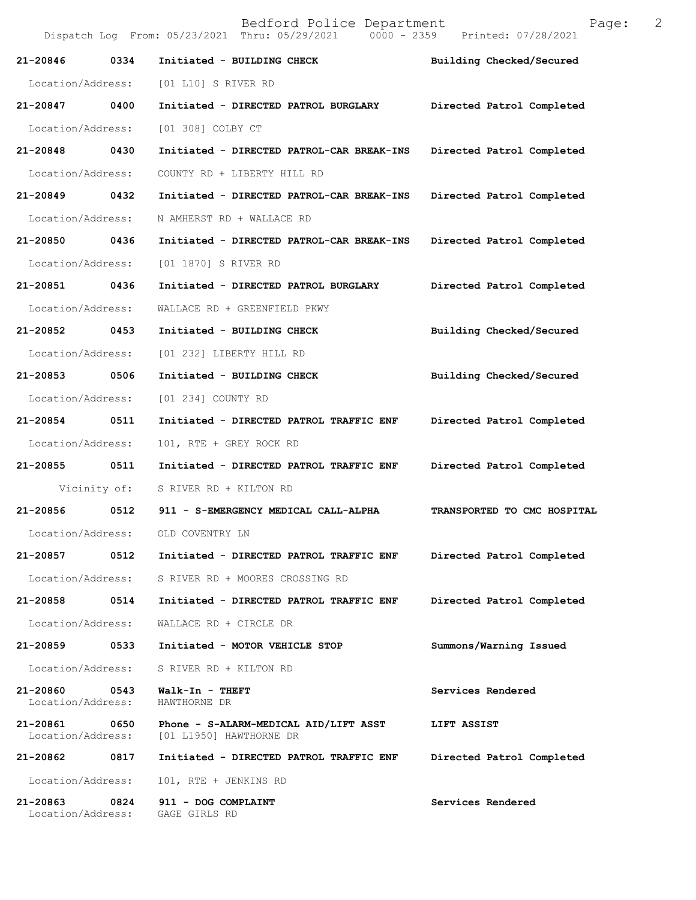Bedford Police Department Page: 2 Dispatch Log From: 05/23/2021 Thru: 05/29/2021 **21-20846 0334 Initiated - BUILDING CHECK Building Checked/Secured**  Location/Address: [01 L10] S RIVER RD **21-20847 0400 Initiated - DIRECTED PATROL BURGLARY Directed Patrol Completed**  Location/Address: [01 308] COLBY CT **21-20848 0430 Initiated - DIRECTED PATROL-CAR BREAK-INS Directed Patrol Completed**  Location/Address: COUNTY RD + LIBERTY HILL RD **21-20849 0432 Initiated - DIRECTED PATROL-CAR BREAK-INS Directed Patrol Completed**  Location/Address: N AMHERST RD + WALLACE RD **21-20850 0436 Initiated - DIRECTED PATROL-CAR BREAK-INS Directed Patrol Completed**  Location/Address: [01 1870] S RIVER RD **21-20851 0436 Initiated - DIRECTED PATROL BURGLARY Directed Patrol Completed**  Location/Address: WALLACE RD + GREENFIELD PKWY **21-20852 0453 Initiated - BUILDING CHECK Building Checked/Secured**  Location/Address: [01 232] LIBERTY HILL RD **21-20853 0506 Initiated - BUILDING CHECK Building Checked/Secured**  Location/Address: [01 234] COUNTY RD **21-20854 0511 Initiated - DIRECTED PATROL TRAFFIC ENF Directed Patrol Completed**  Location/Address: 101, RTE + GREY ROCK RD **21-20855 0511 Initiated - DIRECTED PATROL TRAFFIC ENF Directed Patrol Completed**  Vicinity of: S RIVER RD + KILTON RD **21-20856 0512 911 - S-EMERGENCY MEDICAL CALL-ALPHA TRANSPORTED TO CMC HOSPITAL**  Location/Address: OLD COVENTRY LN **21-20857 0512 Initiated - DIRECTED PATROL TRAFFIC ENF Directed Patrol Completed**  Location/Address: S RIVER RD + MOORES CROSSING RD **21-20858 0514 Initiated - DIRECTED PATROL TRAFFIC ENF Directed Patrol Completed**  Location/Address: WALLACE RD + CIRCLE DR **21-20859 0533 Initiated - MOTOR VEHICLE STOP Summons/Warning Issued**  Location/Address: S RIVER RD + KILTON RD **21-20860** 0543 Walk-In - THEFT Services Rendered Services Rendered **Services** Rendered **Services** Rendered Location/Address: **21-20861 0650 Phone - S-ALARM-MEDICAL AID/LIFT ASST LIFT ASSIST**  Location/Address: [01 L1950] HAWTHORNE DR **21-20862 0817 Initiated - DIRECTED PATROL TRAFFIC ENF Directed Patrol Completed**  Location/Address: 101, RTE + JENKINS RD 21-20863 0824 911 - DOG COMPLAINT **Services Rendered Services Rendered Iocation/Address:** GAGE GIRLS RD Location/Address: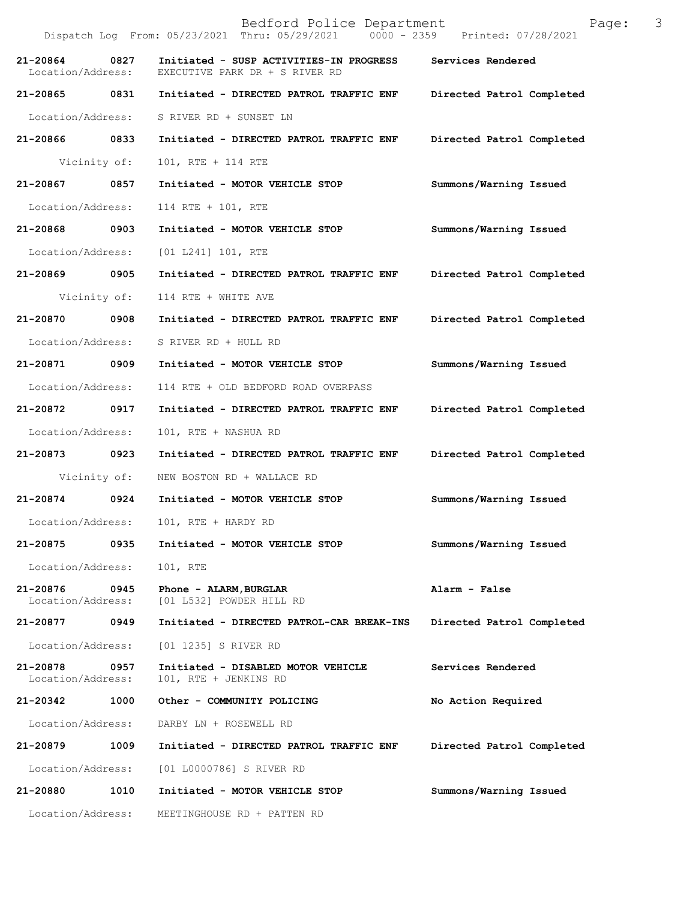Bedford Police Department Page: 3 Dispatch Log From: 05/23/2021 Thru: 05/29/2021 **21-20864 0827 Initiated - SUSP ACTIVITIES-IN PROGRESS Services Rendered**  EXECUTIVE PARK DR + S RIVER RD **21-20865 0831 Initiated - DIRECTED PATROL TRAFFIC ENF Directed Patrol Completed**  Location/Address: S RIVER RD + SUNSET LN **21-20866 0833 Initiated - DIRECTED PATROL TRAFFIC ENF Directed Patrol Completed**  Vicinity of: 101, RTE + 114 RTE **21-20867 0857 Initiated - MOTOR VEHICLE STOP Summons/Warning Issued**  Location/Address: 114 RTE + 101, RTE **21-20868 0903 Initiated - MOTOR VEHICLE STOP Summons/Warning Issued**  Location/Address: [01 L241] 101, RTE **21-20869 0905 Initiated - DIRECTED PATROL TRAFFIC ENF Directed Patrol Completed**  Vicinity of: 114 RTE + WHITE AVE **21-20870 0908 Initiated - DIRECTED PATROL TRAFFIC ENF Directed Patrol Completed**  Location/Address: S RIVER RD + HULL RD **21-20871 0909 Initiated - MOTOR VEHICLE STOP Summons/Warning Issued**  Location/Address: 114 RTE + OLD BEDFORD ROAD OVERPASS **21-20872 0917 Initiated - DIRECTED PATROL TRAFFIC ENF Directed Patrol Completed**  Location/Address: 101, RTE + NASHUA RD **21-20873 0923 Initiated - DIRECTED PATROL TRAFFIC ENF Directed Patrol Completed**  Vicinity of: NEW BOSTON RD + WALLACE RD **21-20874 0924 Initiated - MOTOR VEHICLE STOP Summons/Warning Issued**  Location/Address: 101, RTE + HARDY RD **21-20875 0935 Initiated - MOTOR VEHICLE STOP Summons/Warning Issued**  Location/Address: 101, RTE **21-20876 0945 Phone - ALARM,BURGLAR Alarm - False**  [01 L532] POWDER HILL RD **21-20877 0949 Initiated - DIRECTED PATROL-CAR BREAK-INS Directed Patrol Completed**  Location/Address: [01 1235] S RIVER RD **21-20878 0957 Initiated - DISABLED MOTOR VEHICLE Services Rendered**  Location/Address: 101, RTE + JENKINS RD **21-20342 1000 Other - COMMUNITY POLICING No Action Required**  Location/Address: DARBY LN + ROSEWELL RD **21-20879 1009 Initiated - DIRECTED PATROL TRAFFIC ENF Directed Patrol Completed**  Location/Address: [01 L0000786] S RIVER RD **21-20880 1010 Initiated - MOTOR VEHICLE STOP Summons/Warning Issued**  Location/Address: MEETINGHOUSE RD + PATTEN RD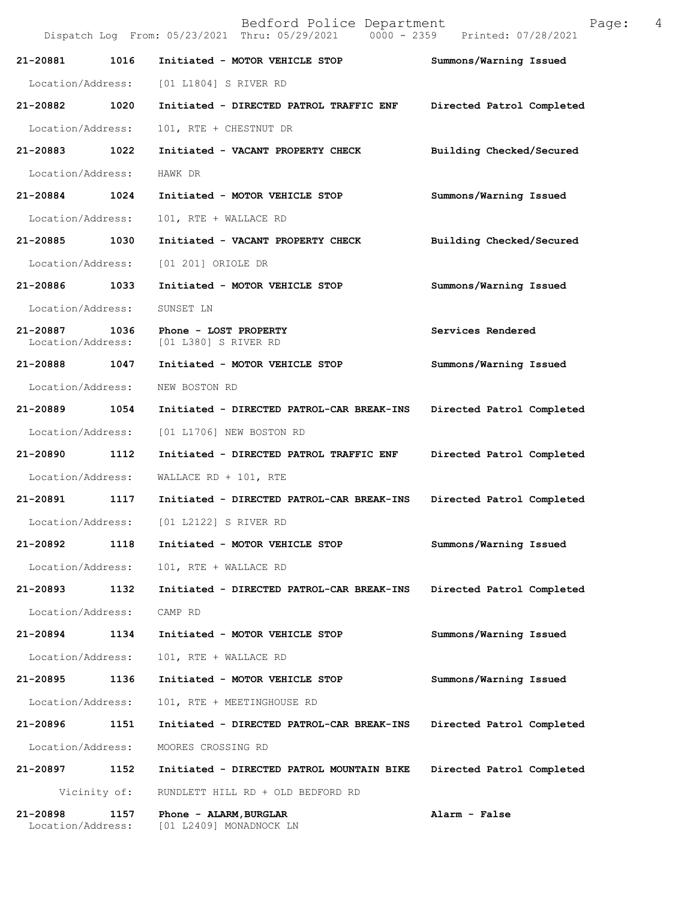|                               |              | Bedford Police Department<br>Dispatch Log From: 05/23/2021 Thru: 05/29/2021 0000 - 2359 Printed: 07/28/2021 | Page:                     | 4 |
|-------------------------------|--------------|-------------------------------------------------------------------------------------------------------------|---------------------------|---|
| 21-20881                      | 1016         | Initiated - MOTOR VEHICLE STOP                                                                              | Summons/Warning Issued    |   |
| Location/Address:             |              | [01 L1804] S RIVER RD                                                                                       |                           |   |
| 21-20882                      | 1020         | Initiated - DIRECTED PATROL TRAFFIC ENF                                                                     | Directed Patrol Completed |   |
| Location/Address:             |              | 101, RTE + CHESTNUT DR                                                                                      |                           |   |
| 21-20883                      | 1022         | Initiated - VACANT PROPERTY CHECK                                                                           | Building Checked/Secured  |   |
| Location/Address:             |              | HAWK DR                                                                                                     |                           |   |
| 21-20884                      | 1024         | Initiated - MOTOR VEHICLE STOP                                                                              | Summons/Warning Issued    |   |
| Location/Address:             |              | 101, RTE + WALLACE RD                                                                                       |                           |   |
| 21-20885                      | 1030         | Initiated - VACANT PROPERTY CHECK                                                                           | Building Checked/Secured  |   |
| Location/Address:             |              | [01 201] ORIOLE DR                                                                                          |                           |   |
| 21-20886                      | 1033         | Initiated - MOTOR VEHICLE STOP                                                                              | Summons/Warning Issued    |   |
| Location/Address:             |              | SUNSET LN                                                                                                   |                           |   |
| 21-20887<br>Location/Address: | 1036         | Phone - LOST PROPERTY<br>[01 L380] S RIVER RD                                                               | Services Rendered         |   |
| 21-20888                      | 1047         | Initiated - MOTOR VEHICLE STOP                                                                              | Summons/Warning Issued    |   |
| Location/Address:             |              | NEW BOSTON RD                                                                                               |                           |   |
| 21-20889                      | 1054         | Initiated - DIRECTED PATROL-CAR BREAK-INS                                                                   | Directed Patrol Completed |   |
| Location/Address:             |              | [01 L1706] NEW BOSTON RD                                                                                    |                           |   |
| 21-20890                      | 1112         | Initiated - DIRECTED PATROL TRAFFIC ENF                                                                     | Directed Patrol Completed |   |
| Location/Address:             |              | WALLACE RD + 101, RTE                                                                                       |                           |   |
| 21-20891                      | 1117         | Initiated - DIRECTED PATROL-CAR BREAK-INS                                                                   | Directed Patrol Completed |   |
| Location/Address:             |              | [01 L2122] S RIVER RD                                                                                       |                           |   |
| 21-20892                      | 1118         | Initiated - MOTOR VEHICLE STOP                                                                              | Summons/Warning Issued    |   |
| Location/Address:             |              | 101, RTE + WALLACE RD                                                                                       |                           |   |
| 21-20893                      | 1132         | Initiated - DIRECTED PATROL-CAR BREAK-INS                                                                   | Directed Patrol Completed |   |
| Location/Address:             |              | CAMP RD                                                                                                     |                           |   |
| 21-20894                      | 1134         | Initiated - MOTOR VEHICLE STOP                                                                              | Summons/Warning Issued    |   |
| Location/Address:             |              | 101, RTE + WALLACE RD                                                                                       |                           |   |
| 21-20895                      | 1136         | Initiated - MOTOR VEHICLE STOP                                                                              | Summons/Warning Issued    |   |
| Location/Address:             |              | 101, RTE + MEETINGHOUSE RD                                                                                  |                           |   |
| 21-20896                      | 1151         | Initiated - DIRECTED PATROL-CAR BREAK-INS                                                                   | Directed Patrol Completed |   |
| Location/Address:             |              | MOORES CROSSING RD                                                                                          |                           |   |
| 21-20897                      | 1152         | Initiated - DIRECTED PATROL MOUNTAIN BIKE                                                                   | Directed Patrol Completed |   |
|                               | Vicinity of: | RUNDLETT HILL RD + OLD BEDFORD RD                                                                           |                           |   |
| 21-20898<br>Location/Address: | 1157         | Phone - ALARM, BURGLAR<br>[01 L2409] MONADNOCK LN                                                           | Alarm - False             |   |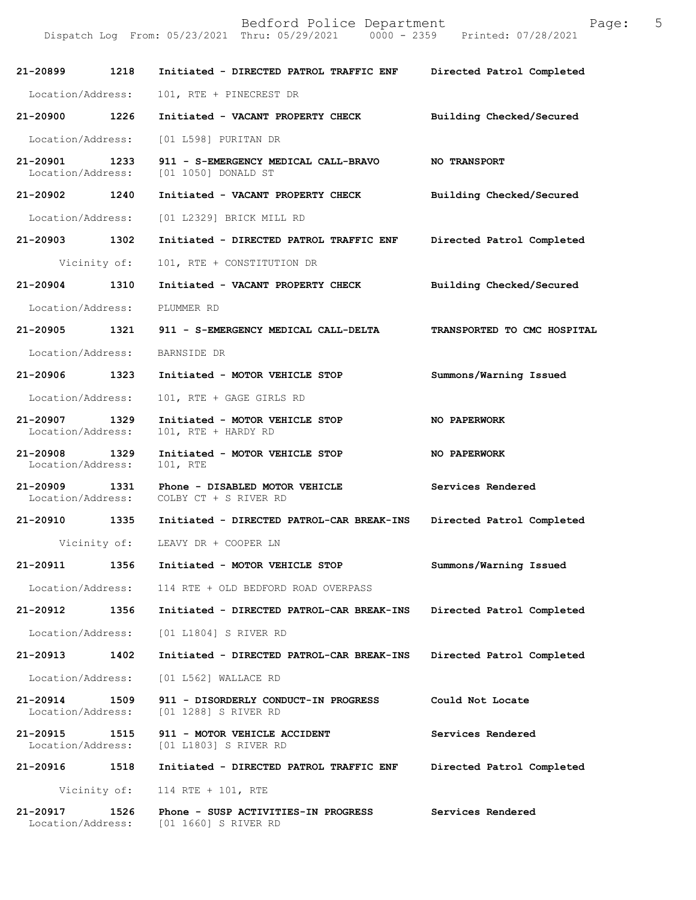Dispatch Log From: 05/23/2021 Thru: 05/29/2021 0000 - 2359 Printed: 07/28/2021

| 21-20899 1218                      |              | Initiated - DIRECTED PATROL TRAFFIC ENF                                   | Directed Patrol Completed   |
|------------------------------------|--------------|---------------------------------------------------------------------------|-----------------------------|
| Location/Address:                  |              | 101, RTE + PINECREST DR                                                   |                             |
| 21-20900                           | 1226         | Initiated - VACANT PROPERTY CHECK                                         | Building Checked/Secured    |
| Location/Address:                  |              | [01 L598] PURITAN DR                                                      |                             |
| 21-20901 1233<br>Location/Address: |              | 911 - S-EMERGENCY MEDICAL CALL-BRAVO<br>[01 1050] DONALD ST               | <b>NO TRANSPORT</b>         |
| 21-20902 1240                      |              | Initiated - VACANT PROPERTY CHECK                                         | Building Checked/Secured    |
| Location/Address:                  |              | [01 L2329] BRICK MILL RD                                                  |                             |
| 21-20903 1302                      |              | Initiated - DIRECTED PATROL TRAFFIC ENF                                   | Directed Patrol Completed   |
|                                    | Vicinity of: | 101, RTE + CONSTITUTION DR                                                |                             |
| 21-20904 1310                      |              | Initiated - VACANT PROPERTY CHECK                                         | Building Checked/Secured    |
| Location/Address:                  |              | PLUMMER RD                                                                |                             |
| 21-20905 1321                      |              | 911 - S-EMERGENCY MEDICAL CALL-DELTA                                      | TRANSPORTED TO CMC HOSPITAL |
| Location/Address:                  |              | BARNSIDE DR                                                               |                             |
| 21-20906 1323                      |              | Initiated - MOTOR VEHICLE STOP                                            | Summons/Warning Issued      |
| Location/Address:                  |              | 101, RTE + GAGE GIRLS RD                                                  |                             |
| 21-20907 1329<br>Location/Address: |              | Initiated - MOTOR VEHICLE STOP<br>101, RTE + HARDY RD                     | NO PAPERWORK                |
| 21-20908<br>Location/Address:      | 1329         | Initiated - MOTOR VEHICLE STOP<br>101, RTE                                | <b>NO PAPERWORK</b>         |
| 21-20909 1331                      |              | Phone - DISABLED MOTOR VEHICLE<br>Location/Address: COLBY CT + S RIVER RD | Services Rendered           |
|                                    |              | 21-20910 1335 Initiated - DIRECTED PATROL-CAR BREAK-INS                   | Directed Patrol Completed   |
|                                    |              | Vicinity of: LEAVY DR + COOPER LN                                         |                             |
| 21-20911                           | 1356         | Initiated - MOTOR VEHICLE STOP                                            | Summons/Warning Issued      |
| Location/Address:                  |              | 114 RTE + OLD BEDFORD ROAD OVERPASS                                       |                             |
| 21-20912                           | 1356         | Initiated - DIRECTED PATROL-CAR BREAK-INS                                 | Directed Patrol Completed   |
| Location/Address:                  |              | [01 L1804] S RIVER RD                                                     |                             |
| 21-20913                           | 1402         | Initiated - DIRECTED PATROL-CAR BREAK-INS                                 | Directed Patrol Completed   |
| Location/Address:                  |              | [01 L562] WALLACE RD                                                      |                             |
| 21-20914<br>Location/Address:      | 1509         | 911 - DISORDERLY CONDUCT-IN PROGRESS<br>[01 1288] S RIVER RD              | Could Not Locate            |
| 21-20915<br>Location/Address:      | 1515         | 911 - MOTOR VEHICLE ACCIDENT<br>[01 L1803] S RIVER RD                     | Services Rendered           |
| 21-20916                           | 1518         | Initiated - DIRECTED PATROL TRAFFIC ENF                                   | Directed Patrol Completed   |
|                                    | Vicinity of: | 114 RTE + 101, RTE                                                        |                             |
| 21-20917<br>Location/Address:      | 1526         | Phone - SUSP ACTIVITIES-IN PROGRESS<br>[01 1660] S RIVER RD               | Services Rendered           |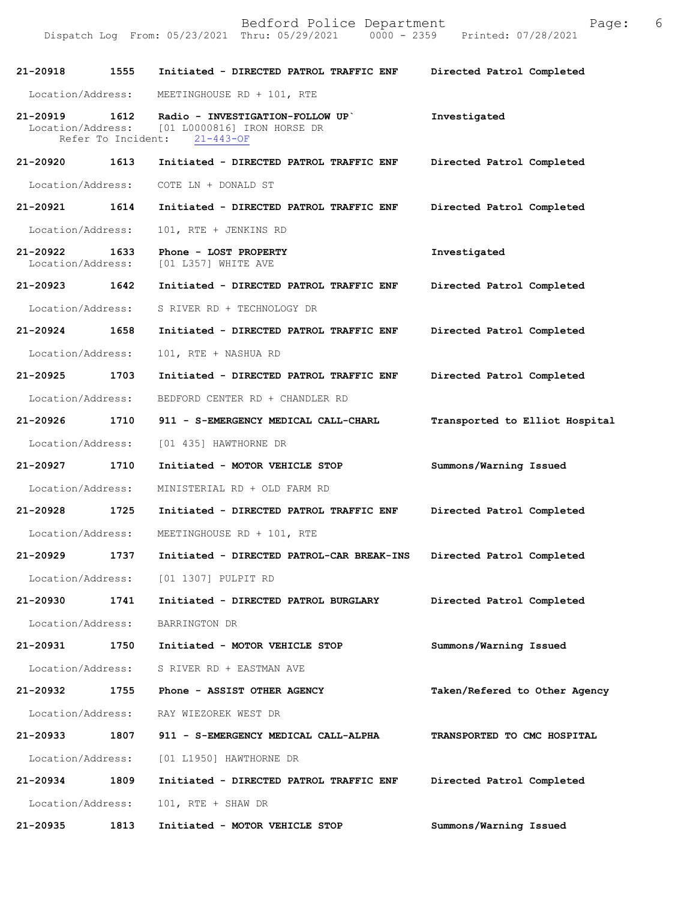| 21-20918                      | 1555                       | Initiated - DIRECTED PATROL TRAFFIC ENF                                                             | Directed Patrol Completed      |
|-------------------------------|----------------------------|-----------------------------------------------------------------------------------------------------|--------------------------------|
| Location/Address:             |                            | MEETINGHOUSE RD + 101, RTE                                                                          |                                |
| $21 - 20919$                  | 1612<br>Refer To Incident: | Radio - INVESTIGATION-FOLLOW UP<br>Location/Address: [01 L0000816] IRON HORSE DR<br>$21 - 443 - OF$ | Investigated                   |
| 21-20920                      | 1613                       | Initiated - DIRECTED PATROL TRAFFIC ENF                                                             | Directed Patrol Completed      |
| Location/Address:             |                            | COTE LN + DONALD ST                                                                                 |                                |
| 21-20921                      | 1614                       | Initiated - DIRECTED PATROL TRAFFIC ENF                                                             | Directed Patrol Completed      |
| Location/Address:             |                            | 101, RTE + JENKINS RD                                                                               |                                |
| 21-20922<br>Location/Address: | 1633                       | Phone - LOST PROPERTY<br>[01 L357] WHITE AVE                                                        | Investigated                   |
| 21-20923                      | 1642                       | Initiated - DIRECTED PATROL TRAFFIC ENF                                                             | Directed Patrol Completed      |
| Location/Address:             |                            | S RIVER RD + TECHNOLOGY DR                                                                          |                                |
| 21-20924                      | 1658                       | Initiated - DIRECTED PATROL TRAFFIC ENF                                                             | Directed Patrol Completed      |
| Location/Address:             |                            | 101, RTE + NASHUA RD                                                                                |                                |
| $21 - 20925$                  | 1703                       | Initiated - DIRECTED PATROL TRAFFIC ENF                                                             | Directed Patrol Completed      |
| Location/Address:             |                            | BEDFORD CENTER RD + CHANDLER RD                                                                     |                                |
| 21-20926                      | 1710                       | 911 - S-EMERGENCY MEDICAL CALL-CHARL                                                                | Transported to Elliot Hospital |
| Location/Address:             |                            | [01 435] HAWTHORNE DR                                                                               |                                |
| 21-20927                      | 1710                       | Initiated - MOTOR VEHICLE STOP                                                                      | Summons/Warning Issued         |
| Location/Address:             |                            | MINISTERIAL RD + OLD FARM RD                                                                        |                                |
| 21-20928                      | 1725                       | Initiated - DIRECTED PATROL TRAFFIC ENF                                                             | Directed Patrol Completed      |
| Location/Address:             |                            | MEETINGHOUSE RD + 101, RTE                                                                          |                                |
| 21-20929                      | 1737                       | Initiated - DIRECTED PATROL-CAR BREAK-INS                                                           | Directed Patrol Completed      |
| Location/Address:             |                            | [01 1307] PULPIT RD                                                                                 |                                |
| 21-20930                      | 1741                       | Initiated - DIRECTED PATROL BURGLARY                                                                | Directed Patrol Completed      |
| Location/Address:             |                            | BARRINGTON DR                                                                                       |                                |
| 21-20931                      | 1750                       | Initiated - MOTOR VEHICLE STOP                                                                      | Summons/Warning Issued         |
| Location/Address:             |                            | S RIVER RD + EASTMAN AVE                                                                            |                                |
| 21-20932                      | 1755                       | Phone - ASSIST OTHER AGENCY                                                                         | Taken/Refered to Other Agency  |
| Location/Address:             |                            | RAY WIEZOREK WEST DR                                                                                |                                |
| 21-20933                      | 1807                       | 911 - S-EMERGENCY MEDICAL CALL-ALPHA                                                                | TRANSPORTED TO CMC HOSPITAL    |
| Location/Address:             |                            | [01 L1950] HAWTHORNE DR                                                                             |                                |
| 21-20934                      | 1809                       | Initiated - DIRECTED PATROL TRAFFIC ENF                                                             | Directed Patrol Completed      |
| Location/Address:             |                            | 101, RTE + SHAW DR                                                                                  |                                |
| 21-20935                      | 1813                       | Initiated - MOTOR VEHICLE STOP                                                                      | Summons/Warning Issued         |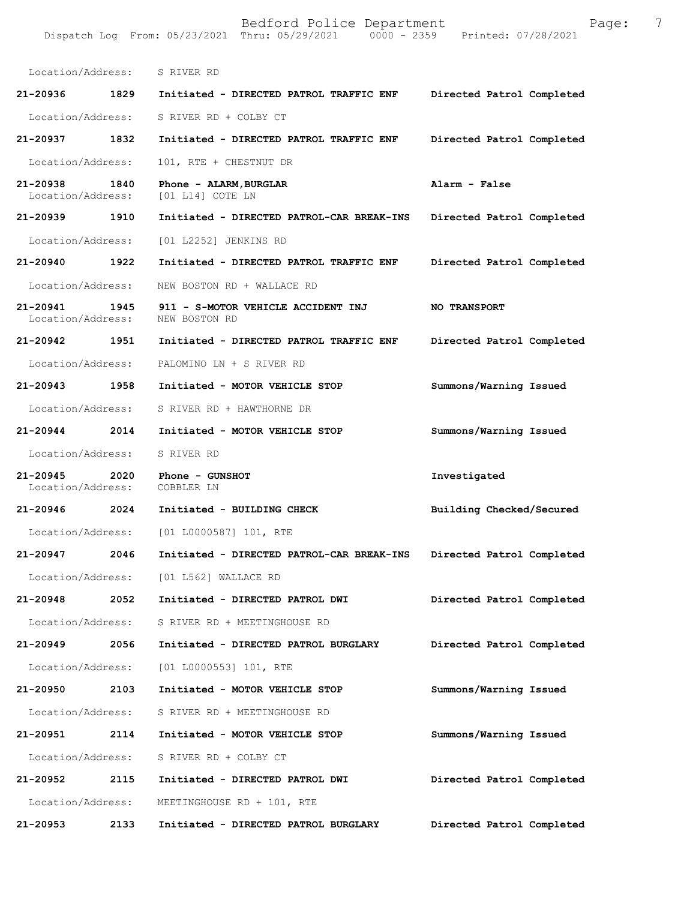Dispatch Log From: 05/23/2021 Thru: 05/29/2021 Location/Address: S RIVER RD **21-20936 1829 Initiated - DIRECTED PATROL TRAFFIC ENF Directed Patrol Completed**  Location/Address: S RIVER RD + COLBY CT **21-20937 1832 Initiated - DIRECTED PATROL TRAFFIC ENF Directed Patrol Completed**  Location/Address: 101, RTE + CHESTNUT DR **21-20938 1840 Phone - ALARM,BURGLAR Alarm - False**  Location/Address: [01 L14] COTE LN **21-20939 1910 Initiated - DIRECTED PATROL-CAR BREAK-INS Directed Patrol Completed**  Location/Address: [01 L2252] JENKINS RD **21-20940 1922 Initiated - DIRECTED PATROL TRAFFIC ENF Directed Patrol Completed**  Location/Address: NEW BOSTON RD + WALLACE RD **21-20941 1945 911 - S-MOTOR VEHICLE ACCIDENT INJ NO TRANSPORT**  Location/Address: **21-20942 1951 Initiated - DIRECTED PATROL TRAFFIC ENF Directed Patrol Completed**  Location/Address: PALOMINO LN + S RIVER RD **21-20943 1958 Initiated - MOTOR VEHICLE STOP Summons/Warning Issued**  Location/Address: S RIVER RD + HAWTHORNE DR **21-20944 2014 Initiated - MOTOR VEHICLE STOP Summons/Warning Issued**  Location/Address: S RIVER RD **21-20945 2020 Phone - GUNSHOT Investigated**  Location/Address: COBBLER LN **21-20946 2024 Initiated - BUILDING CHECK Building Checked/Secured**  Location/Address: [01 L0000587] 101, RTE **21-20947 2046 Initiated - DIRECTED PATROL-CAR BREAK-INS Directed Patrol Completed**  Location/Address: [01 L562] WALLACE RD **21-20948 2052 Initiated - DIRECTED PATROL DWI Directed Patrol Completed**  Location/Address: S RIVER RD + MEETINGHOUSE RD **21-20949 2056 Initiated - DIRECTED PATROL BURGLARY Directed Patrol Completed**  Location/Address: [01 L0000553] 101, RTE **21-20950 2103 Initiated - MOTOR VEHICLE STOP Summons/Warning Issued**  Location/Address: S RIVER RD + MEETINGHOUSE RD **21-20951 2114 Initiated - MOTOR VEHICLE STOP Summons/Warning Issued**  Location/Address: S RIVER RD + COLBY CT **21-20952 2115 Initiated - DIRECTED PATROL DWI Directed Patrol Completed**  Location/Address: MEETINGHOUSE RD + 101, RTE **21-20953 2133 Initiated - DIRECTED PATROL BURGLARY Directed Patrol Completed**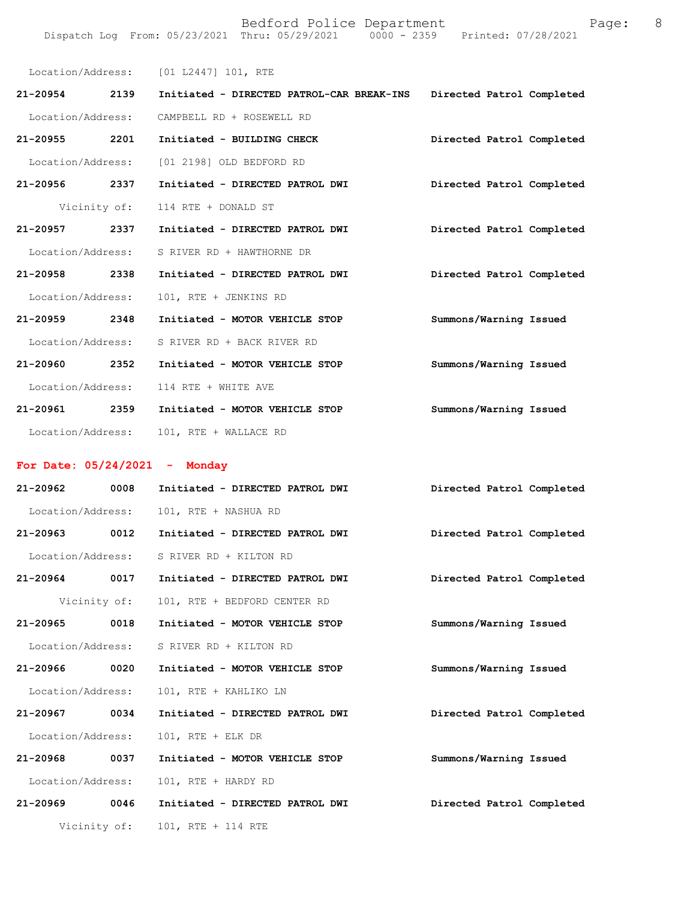|                                       | Location/Address: [01 L2447] 101, RTE                    |                           |
|---------------------------------------|----------------------------------------------------------|---------------------------|
| 21-20954 2139                         | Initiated - DIRECTED PATROL-CAR BREAK-INS                | Directed Patrol Completed |
| Location/Address:                     | CAMPBELL RD + ROSEWELL RD                                |                           |
| 21-20955 2201                         | Initiated - BUILDING CHECK                               | Directed Patrol Completed |
|                                       | Location/Address: [01 2198] OLD BEDFORD RD               |                           |
| 21-20956 2337                         | Initiated - DIRECTED PATROL DWI                          | Directed Patrol Completed |
| Vicinity of:                          | 114 RTE + DONALD ST                                      |                           |
| 21-20957 2337                         | Initiated - DIRECTED PATROL DWI                          | Directed Patrol Completed |
| Location/Address:                     | S RIVER RD + HAWTHORNE DR                                |                           |
| 21-20958 2338                         | Initiated - DIRECTED PATROL DWI                          | Directed Patrol Completed |
| Location/Address:                     | 101, RTE + JENKINS RD                                    |                           |
| 21-20959 2348                         | Initiated - MOTOR VEHICLE STOP                           | Summons/Warning Issued    |
| Location/Address:                     | S RIVER RD + BACK RIVER RD                               |                           |
| 21-20960 2352                         | Initiated - MOTOR VEHICLE STOP                           | Summons/Warning Issued    |
| Location/Address:                     | 114 RTE + WHITE AVE                                      |                           |
| 21-20961 2359                         | Initiated - MOTOR VEHICLE STOP                           | Summons/Warning Issued    |
| Location/Address:                     | 101, RTE + WALLACE RD                                    |                           |
|                                       |                                                          |                           |
|                                       |                                                          |                           |
| For Date: $05/24/2021$ - Monday       |                                                          |                           |
| 21-20962 0008                         | Initiated - DIRECTED PATROL DWI                          | Directed Patrol Completed |
| Location/Address:                     | 101, RTE + NASHUA RD                                     |                           |
|                                       |                                                          | Directed Patrol Completed |
|                                       | Location/Address: S RIVER RD + KILTON RD                 |                           |
|                                       | 21-20964 0017 Initiated - DIRECTED PATROL DWI            | Directed Patrol Completed |
| Vicinity of:                          | 101, RTE + BEDFORD CENTER RD                             |                           |
| 21-20965 0018<br>Location/Address:    | Initiated - MOTOR VEHICLE STOP<br>S RIVER RD + KILTON RD | Summons/Warning Issued    |
| 21-20966 0020                         | Initiated - MOTOR VEHICLE STOP                           |                           |
|                                       |                                                          | Summons/Warning Issued    |
| Location/Address:<br>21-20967<br>0034 | 101, RTE + KAHLIKO LN<br>Initiated - DIRECTED PATROL DWI | Directed Patrol Completed |
| Location/Address:                     | 101, RTE + ELK DR                                        |                           |
| 21-20968<br>0037                      | Initiated - MOTOR VEHICLE STOP                           | Summons/Warning Issued    |
| Location/Address:                     | 101, RTE + HARDY RD                                      |                           |

**21-20969 0046 Initiated - DIRECTED PATROL DWI Directed Patrol Completed** 

Vicinity of: 101, RTE + 114 RTE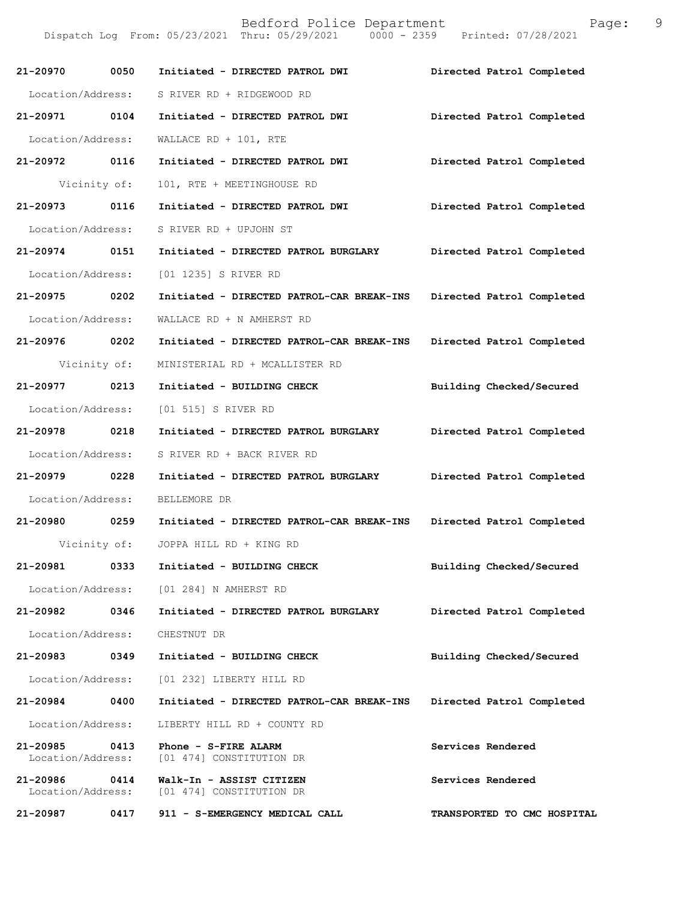Dispatch Log From: 05/23/2021 Thru: 05/29/2021 0000 - 2359 Printed: 07/28/2021

| 21-20970 0050                 |              | Initiated - DIRECTED PATROL DWI                      | Directed Patrol Completed   |
|-------------------------------|--------------|------------------------------------------------------|-----------------------------|
| Location/Address:             |              | S RIVER RD + RIDGEWOOD RD                            |                             |
| 21-20971 0104                 |              | Initiated - DIRECTED PATROL DWI                      | Directed Patrol Completed   |
| Location/Address:             |              | WALLACE RD + 101, RTE                                |                             |
| 21-20972 0116                 |              | Initiated - DIRECTED PATROL DWI                      | Directed Patrol Completed   |
| Vicinity of:                  |              | 101, RTE + MEETINGHOUSE RD                           |                             |
| 21-20973 0116                 |              | Initiated - DIRECTED PATROL DWI                      | Directed Patrol Completed   |
| Location/Address:             |              | S RIVER RD + UPJOHN ST                               |                             |
| 21-20974 0151                 |              | Initiated - DIRECTED PATROL BURGLARY                 | Directed Patrol Completed   |
| Location/Address:             |              | [01 1235] S RIVER RD                                 |                             |
| 21-20975 0202                 |              | Initiated - DIRECTED PATROL-CAR BREAK-INS            | Directed Patrol Completed   |
| Location/Address:             |              | WALLACE RD + N AMHERST RD                            |                             |
| 21-20976 0202                 |              | Initiated - DIRECTED PATROL-CAR BREAK-INS            | Directed Patrol Completed   |
| Vicinity of:                  |              | MINISTERIAL RD + MCALLISTER RD                       |                             |
| 21-20977 0213                 |              | Initiated - BUILDING CHECK                           | Building Checked/Secured    |
| Location/Address:             |              | [01 515] S RIVER RD                                  |                             |
| 21-20978 0218                 |              | Initiated - DIRECTED PATROL BURGLARY                 | Directed Patrol Completed   |
| Location/Address:             |              | S RIVER RD + BACK RIVER RD                           |                             |
| 21-20979 0228                 |              | Initiated - DIRECTED PATROL BURGLARY                 | Directed Patrol Completed   |
| Location/Address:             |              | BELLEMORE DR                                         |                             |
| 21-20980 0259                 |              | Initiated - DIRECTED PATROL-CAR BREAK-INS            | Directed Patrol Completed   |
|                               | Vicinity of: | JOPPA HILL RD + KING RD                              |                             |
| 21-20981                      | 0333         | Initiated - BUILDING CHECK                           | Building Checked/Secured    |
| Location/Address:             |              | [01 284] N AMHERST RD                                |                             |
| 21-20982                      | 0346         | Initiated - DIRECTED PATROL BURGLARY                 | Directed Patrol Completed   |
| Location/Address:             |              | CHESTNUT DR                                          |                             |
| 21-20983                      | 0349         | Initiated - BUILDING CHECK                           | Building Checked/Secured    |
| Location/Address:             |              | [01 232] LIBERTY HILL RD                             |                             |
| 21-20984                      | 0400         | Initiated - DIRECTED PATROL-CAR BREAK-INS            | Directed Patrol Completed   |
| Location/Address:             |              | LIBERTY HILL RD + COUNTY RD                          |                             |
| 21-20985<br>Location/Address: | 0413         | Phone - S-FIRE ALARM<br>[01 474] CONSTITUTION DR     | Services Rendered           |
| 21-20986<br>Location/Address: | 0414         | Walk-In - ASSIST CITIZEN<br>[01 474] CONSTITUTION DR | Services Rendered           |
| 21-20987                      | 0417         | 911 - S-EMERGENCY MEDICAL CALL                       | TRANSPORTED TO CMC HOSPITAL |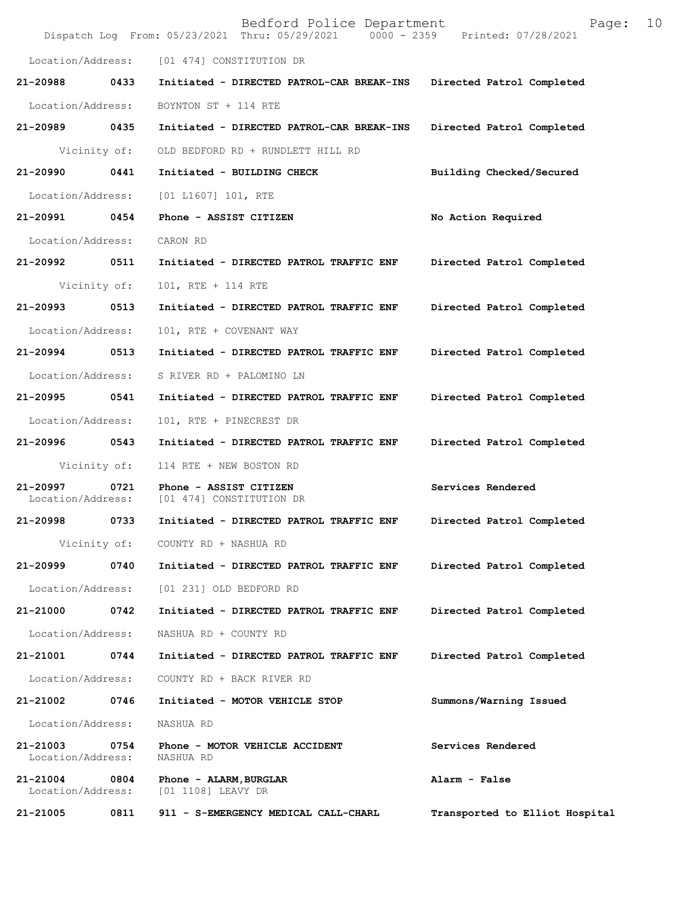|                               |              | Bedford Police Department<br>Dispatch Log From: 05/23/2021 Thru: 05/29/2021 0000 - 2359 Printed: 07/28/2021 | 10<br>Page:                    |
|-------------------------------|--------------|-------------------------------------------------------------------------------------------------------------|--------------------------------|
|                               |              | Location/Address: [01 474] CONSTITUTION DR                                                                  |                                |
| 21-20988                      | 0433         | Initiated - DIRECTED PATROL-CAR BREAK-INS                                                                   | Directed Patrol Completed      |
| Location/Address:             |              | BOYNTON ST + 114 RTE                                                                                        |                                |
| 21-20989 0435                 |              | Initiated - DIRECTED PATROL-CAR BREAK-INS                                                                   | Directed Patrol Completed      |
|                               | Vicinity of: | OLD BEDFORD RD + RUNDLETT HILL RD                                                                           |                                |
| 21-20990                      | 0441         | Initiated - BUILDING CHECK                                                                                  | Building Checked/Secured       |
| Location/Address:             |              | [01 L1607] 101, RTE                                                                                         |                                |
| 21-20991                      | 0454         | Phone - ASSIST CITIZEN                                                                                      | No Action Required             |
| Location/Address:             |              | CARON RD                                                                                                    |                                |
| 21-20992 0511                 |              | Initiated - DIRECTED PATROL TRAFFIC ENF                                                                     | Directed Patrol Completed      |
|                               | Vicinity of: | 101, RTE + 114 RTE                                                                                          |                                |
| 21-20993 0513                 |              | Initiated - DIRECTED PATROL TRAFFIC ENF                                                                     | Directed Patrol Completed      |
| Location/Address:             |              | 101, RTE + COVENANT WAY                                                                                     |                                |
| 21-20994                      | 0513         | Initiated - DIRECTED PATROL TRAFFIC ENF                                                                     | Directed Patrol Completed      |
| Location/Address:             |              | S RIVER RD + PALOMINO LN                                                                                    |                                |
| 21-20995                      | 0541         | Initiated - DIRECTED PATROL TRAFFIC ENF                                                                     | Directed Patrol Completed      |
| Location/Address:             |              | 101, RTE + PINECREST DR                                                                                     |                                |
| 21-20996 0543                 |              | Initiated - DIRECTED PATROL TRAFFIC ENF                                                                     | Directed Patrol Completed      |
|                               | Vicinity of: | 114 RTE + NEW BOSTON RD                                                                                     |                                |
| 21-20997<br>Location/Address: | 0721         | Phone - ASSIST CITIZEN<br>[01 474] CONSTITUTION DR                                                          | Services Rendered              |
|                               |              | 21-20998 0733 Initiated - DIRECTED PATROL TRAFFIC ENF                                                       | Directed Patrol Completed      |
|                               |              | Vicinity of: COUNTY RD + NASHUA RD                                                                          |                                |
| 21-20999                      | 0740         | Initiated - DIRECTED PATROL TRAFFIC ENF                                                                     | Directed Patrol Completed      |
| Location/Address:             |              | [01 231] OLD BEDFORD RD                                                                                     |                                |
| 21-21000                      | 0742         | Initiated - DIRECTED PATROL TRAFFIC ENF                                                                     | Directed Patrol Completed      |
| Location/Address:             |              | NASHUA RD + COUNTY RD                                                                                       |                                |
| 21-21001                      | 0744         | Initiated - DIRECTED PATROL TRAFFIC ENF                                                                     | Directed Patrol Completed      |
| Location/Address:             |              | COUNTY RD + BACK RIVER RD                                                                                   |                                |
| 21-21002                      | 0746         | Initiated - MOTOR VEHICLE STOP                                                                              | Summons/Warning Issued         |
| Location/Address:             |              | NASHUA RD                                                                                                   |                                |
| 21-21003<br>Location/Address: | 0754         | Phone - MOTOR VEHICLE ACCIDENT<br>NASHUA RD                                                                 | Services Rendered              |
| 21-21004<br>Location/Address: | 0804         | Phone - ALARM, BURGLAR<br>[01 1108] LEAVY DR                                                                | Alarm - False                  |
| 21-21005                      | 0811         | 911 - S-EMERGENCY MEDICAL CALL-CHARL                                                                        | Transported to Elliot Hospital |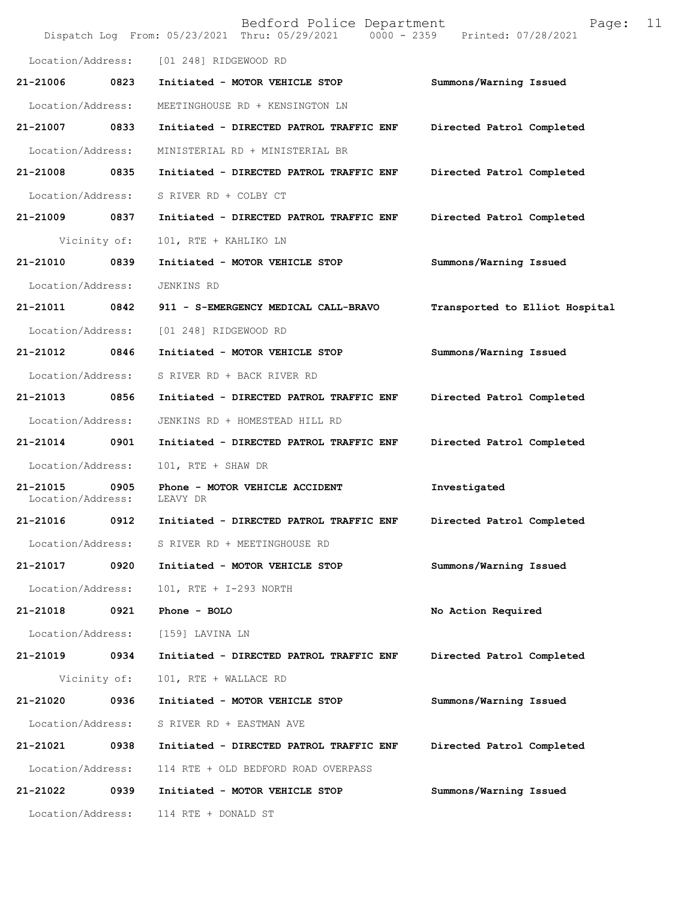|                               |              | Bedford Police Department<br>Dispatch Log From: 05/23/2021 Thru: 05/29/2021 0000 - 2359 Printed: 07/28/2021 | 11<br>Page:                    |
|-------------------------------|--------------|-------------------------------------------------------------------------------------------------------------|--------------------------------|
| Location/Address:             |              | [01 248] RIDGEWOOD RD                                                                                       |                                |
| 21-21006                      | 0823         | Initiated - MOTOR VEHICLE STOP                                                                              | Summons/Warning Issued         |
| Location/Address:             |              | MEETINGHOUSE RD + KENSINGTON LN                                                                             |                                |
| 21-21007                      | 0833         | Initiated - DIRECTED PATROL TRAFFIC ENF                                                                     | Directed Patrol Completed      |
| Location/Address:             |              | MINISTERIAL RD + MINISTERIAL BR                                                                             |                                |
| 21-21008 0835                 |              | Initiated - DIRECTED PATROL TRAFFIC ENF                                                                     | Directed Patrol Completed      |
| Location/Address:             |              | S RIVER RD + COLBY CT                                                                                       |                                |
| 21-21009 0837                 |              | Initiated - DIRECTED PATROL TRAFFIC ENF                                                                     | Directed Patrol Completed      |
|                               | Vicinity of: | 101, RTE + KAHLIKO LN                                                                                       |                                |
| 21-21010                      | 0839         | Initiated - MOTOR VEHICLE STOP                                                                              | Summons/Warning Issued         |
| Location/Address:             |              | JENKINS RD                                                                                                  |                                |
| 21-21011 0842                 |              | 911 - S-EMERGENCY MEDICAL CALL-BRAVO                                                                        | Transported to Elliot Hospital |
| Location/Address:             |              | [01 248] RIDGEWOOD RD                                                                                       |                                |
| 21-21012                      | 0846         | Initiated - MOTOR VEHICLE STOP                                                                              | Summons/Warning Issued         |
| Location/Address:             |              | S RIVER RD + BACK RIVER RD                                                                                  |                                |
| 21-21013                      | 0856         | Initiated - DIRECTED PATROL TRAFFIC ENF                                                                     | Directed Patrol Completed      |
| Location/Address:             |              | JENKINS RD + HOMESTEAD HILL RD                                                                              |                                |
| 21-21014 0901                 |              | Initiated - DIRECTED PATROL TRAFFIC ENF                                                                     | Directed Patrol Completed      |
| Location/Address:             |              | 101, RTE + SHAW DR                                                                                          |                                |
| 21-21015<br>Location/Address: | 0905         | Phone - MOTOR VEHICLE ACCIDENT<br>LEAVY DR                                                                  | Investigated                   |
| 21-21016                      | 0912         | Initiated - DIRECTED PATROL TRAFFIC ENF                                                                     | Directed Patrol Completed      |
| Location/Address:             |              | S RIVER RD + MEETINGHOUSE RD                                                                                |                                |
| 21-21017                      | 0920         | Initiated - MOTOR VEHICLE STOP                                                                              | Summons/Warning Issued         |
| Location/Address:             |              | 101, RTE + I-293 NORTH                                                                                      |                                |
| 21-21018                      | 0921         | Phone - BOLO                                                                                                | No Action Required             |
| Location/Address:             |              | [159] LAVINA LN                                                                                             |                                |
| 21-21019                      | 0934         | Initiated - DIRECTED PATROL TRAFFIC ENF                                                                     | Directed Patrol Completed      |
|                               | Vicinity of: | 101, RTE + WALLACE RD                                                                                       |                                |
| 21-21020                      | 0936         | Initiated - MOTOR VEHICLE STOP                                                                              | Summons/Warning Issued         |
| Location/Address:             |              | S RIVER RD + EASTMAN AVE                                                                                    |                                |
| 21-21021                      | 0938         | Initiated - DIRECTED PATROL TRAFFIC ENF                                                                     | Directed Patrol Completed      |
| Location/Address:             |              | 114 RTE + OLD BEDFORD ROAD OVERPASS                                                                         |                                |
| 21-21022                      | 0939         | Initiated - MOTOR VEHICLE STOP                                                                              | Summons/Warning Issued         |
| Location/Address:             |              | 114 RTE + DONALD ST                                                                                         |                                |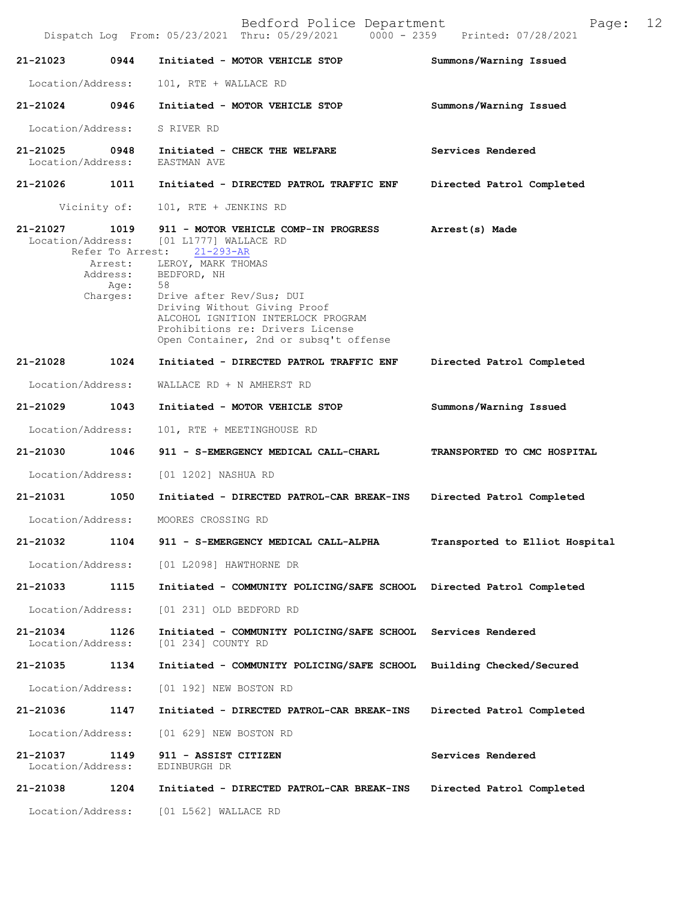|                               |                                              | Dispatch Log From: 05/23/2021 Thru: 05/29/2021<br>$0000 - 2359$                                                                                                                                                                                                                                                              | Printed: 07/28/2021            |
|-------------------------------|----------------------------------------------|------------------------------------------------------------------------------------------------------------------------------------------------------------------------------------------------------------------------------------------------------------------------------------------------------------------------------|--------------------------------|
| 21-21023                      | 0944                                         | Initiated - MOTOR VEHICLE STOP                                                                                                                                                                                                                                                                                               | Summons/Warning Issued         |
| Location/Address:             |                                              | 101, RTE + WALLACE RD                                                                                                                                                                                                                                                                                                        |                                |
| 21-21024 0946                 |                                              | Initiated - MOTOR VEHICLE STOP                                                                                                                                                                                                                                                                                               | Summons/Warning Issued         |
| Location/Address:             |                                              | S RIVER RD                                                                                                                                                                                                                                                                                                                   |                                |
| 21-21025<br>Location/Address: | 0948                                         | Initiated - CHECK THE WELFARE<br>EASTMAN AVE                                                                                                                                                                                                                                                                                 | Services Rendered              |
| 21-21026                      | 1011                                         | Initiated - DIRECTED PATROL TRAFFIC ENF                                                                                                                                                                                                                                                                                      | Directed Patrol Completed      |
|                               | Vicinity of:                                 | 101, RTE + JENKINS RD                                                                                                                                                                                                                                                                                                        |                                |
| 21-21027<br>Location/Address: | 1019<br>Refer To Arrest:<br>Age:<br>Charges: | 911 - MOTOR VEHICLE COMP-IN PROGRESS<br>[01 L1777] WALLACE RD<br>$21 - 293 - AR$<br>Arrest: LEROY, MARK THOMAS<br>Address: BEDFORD, NH<br>58<br>Drive after Rev/Sus; DUI<br>Driving Without Giving Proof<br>ALCOHOL IGNITION INTERLOCK PROGRAM<br>Prohibitions re: Drivers License<br>Open Container, 2nd or subsq't offense | Arrest(s) Made                 |
| 21-21028                      | 1024                                         | Initiated - DIRECTED PATROL TRAFFIC ENF                                                                                                                                                                                                                                                                                      | Directed Patrol Completed      |
| Location/Address:             |                                              | WALLACE RD + N AMHERST RD                                                                                                                                                                                                                                                                                                    |                                |
| 21-21029                      | 1043                                         | Initiated - MOTOR VEHICLE STOP                                                                                                                                                                                                                                                                                               | Summons/Warning Issued         |
| Location/Address:             |                                              | 101, RTE + MEETINGHOUSE RD                                                                                                                                                                                                                                                                                                   |                                |
| 21-21030                      | 1046                                         | 911 - S-EMERGENCY MEDICAL CALL-CHARL                                                                                                                                                                                                                                                                                         | TRANSPORTED TO CMC HOSPITAL    |
| Location/Address:             |                                              | [01 1202] NASHUA RD                                                                                                                                                                                                                                                                                                          |                                |
| 21-21031                      | 1050                                         | Initiated - DIRECTED PATROL-CAR BREAK-INS                                                                                                                                                                                                                                                                                    | Directed Patrol Completed      |
| Location/Address:             |                                              | MOORES CROSSING RD                                                                                                                                                                                                                                                                                                           |                                |
|                               |                                              | 21-21032 1104 911 - S-EMERGENCY MEDICAL CALL-ALPHA                                                                                                                                                                                                                                                                           | Transported to Elliot Hospital |
| Location/Address:             |                                              | [01 L2098] HAWTHORNE DR                                                                                                                                                                                                                                                                                                      |                                |
| 21-21033                      | 1115                                         | Initiated - COMMUNITY POLICING/SAFE SCHOOL Directed Patrol Completed                                                                                                                                                                                                                                                         |                                |
| Location/Address:             |                                              | [01 231] OLD BEDFORD RD                                                                                                                                                                                                                                                                                                      |                                |
| 21-21034<br>Location/Address: | 1126                                         | Initiated - COMMUNITY POLICING/SAFE SCHOOL<br>[01 234] COUNTY RD                                                                                                                                                                                                                                                             | Services Rendered              |
| 21-21035                      | 1134                                         | Initiated - COMMUNITY POLICING/SAFE SCHOOL Building Checked/Secured                                                                                                                                                                                                                                                          |                                |
| Location/Address:             |                                              | [01 192] NEW BOSTON RD                                                                                                                                                                                                                                                                                                       |                                |
| 21-21036                      | 1147                                         | Initiated - DIRECTED PATROL-CAR BREAK-INS                                                                                                                                                                                                                                                                                    | Directed Patrol Completed      |
| Location/Address:             |                                              | [01 629] NEW BOSTON RD                                                                                                                                                                                                                                                                                                       |                                |
| 21-21037<br>Location/Address: | 1149                                         | 911 - ASSIST CITIZEN<br>EDINBURGH DR                                                                                                                                                                                                                                                                                         | Services Rendered              |
| 21-21038                      | 1204                                         | Initiated - DIRECTED PATROL-CAR BREAK-INS                                                                                                                                                                                                                                                                                    | Directed Patrol Completed      |
| Location/Address:             |                                              | [01 L562] WALLACE RD                                                                                                                                                                                                                                                                                                         |                                |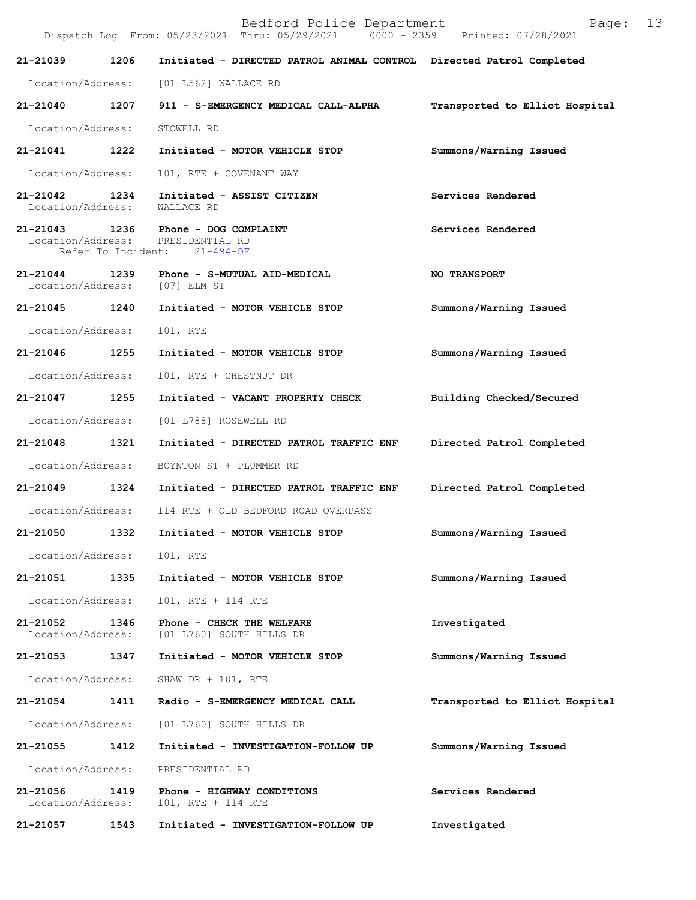| Bedford Police Department | Page: |  |
|---------------------------|-------|--|
|---------------------------|-------|--|

|                                                          |      | Dispatch Log From: 05/23/2021 Thru: 05/29/2021<br>$0000 - 2359$      | Printed: 07/28/2021            |
|----------------------------------------------------------|------|----------------------------------------------------------------------|--------------------------------|
| 21-21039                                                 | 1206 | Initiated - DIRECTED PATROL ANIMAL CONTROL Directed Patrol Completed |                                |
| Location/Address:                                        |      | [01 L562] WALLACE RD                                                 |                                |
| 21-21040                                                 | 1207 | 911 - S-EMERGENCY MEDICAL CALL-ALPHA                                 | Transported to Elliot Hospital |
| Location/Address:                                        |      | STOWELL RD                                                           |                                |
| 21-21041                                                 | 1222 | Initiated - MOTOR VEHICLE STOP                                       | Summons/Warning Issued         |
| Location/Address:                                        |      | 101, RTE + COVENANT WAY                                              |                                |
| 21-21042<br>Location/Address:                            | 1234 | Initiated - ASSIST CITIZEN<br>WALLACE RD                             | Services Rendered              |
| 21-21043 1236<br>Location/Address:<br>Refer To Incident: |      | Phone - DOG COMPLAINT<br>PRESIDENTIAL RD<br>$21 - 494 - OF$          | Services Rendered              |
| 21-21044<br>Location/Address:                            | 1239 | Phone - S-MUTUAL AID-MEDICAL<br>$[07]$ ELM ST                        | <b>NO TRANSPORT</b>            |
| 21-21045                                                 | 1240 | Initiated - MOTOR VEHICLE STOP                                       | Summons/Warning Issued         |
| Location/Address:                                        |      | 101, RTE                                                             |                                |
| 21-21046                                                 | 1255 | Initiated - MOTOR VEHICLE STOP                                       | Summons/Warning Issued         |
| Location/Address:                                        |      | 101, RTE + CHESTNUT DR                                               |                                |
| 21-21047                                                 | 1255 | Initiated - VACANT PROPERTY CHECK                                    | Building Checked/Secured       |
| Location/Address:                                        |      | [01 L788] ROSEWELL RD                                                |                                |
| 21-21048                                                 | 1321 | Initiated - DIRECTED PATROL TRAFFIC ENF                              | Directed Patrol Completed      |
| Location/Address:                                        |      | BOYNTON ST + PLUMMER RD                                              |                                |
| 21-21049                                                 | 1324 | Initiated - DIRECTED PATROL TRAFFIC ENF                              | Directed Patrol Completed      |
| Location/Address:                                        |      | 114 RTE + OLD BEDFORD ROAD OVERPASS                                  |                                |
| 21-21050                                                 | 1332 | Initiated - MOTOR VEHICLE STOP                                       | Summons/Warning Issued         |
| Location/Address:                                        |      | 101, RTE                                                             |                                |
| 21-21051                                                 | 1335 | Initiated - MOTOR VEHICLE STOP                                       | Summons/Warning Issued         |
| Location/Address:                                        |      | 101, RTE + 114 RTE                                                   |                                |
| 21-21052<br>Location/Address:                            | 1346 | Phone - CHECK THE WELFARE<br>[01 L760] SOUTH HILLS DR                | Investigated                   |
| 21-21053                                                 | 1347 | Initiated - MOTOR VEHICLE STOP                                       | Summons/Warning Issued         |
| Location/Address:                                        |      | SHAW DR + 101, RTE                                                   |                                |
| 21-21054                                                 | 1411 | Radio - S-EMERGENCY MEDICAL CALL                                     | Transported to Elliot Hospital |
| Location/Address:                                        |      | [01 L760] SOUTH HILLS DR                                             |                                |
| 21-21055                                                 | 1412 | Initiated - INVESTIGATION-FOLLOW UP                                  | Summons/Warning Issued         |
| Location/Address:                                        |      | PRESIDENTIAL RD                                                      |                                |
| 21-21056<br>Location/Address:                            | 1419 | Phone - HIGHWAY CONDITIONS<br>101, RTE + 114 RTE                     | Services Rendered              |
| 21-21057                                                 | 1543 | Initiated - INVESTIGATION-FOLLOW UP                                  | Investigated                   |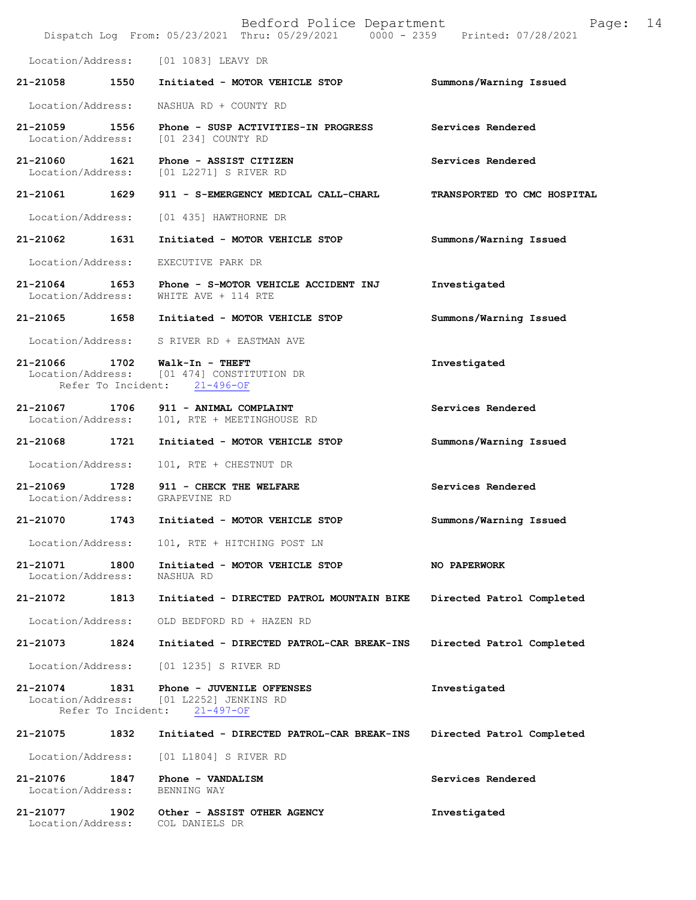|                                                     |      | Bedford Police Department<br>Dispatch Log From: 05/23/2021 Thru: 05/29/2021 0000 - 2359 Printed: 07/28/2021 | 14<br>Page:                 |
|-----------------------------------------------------|------|-------------------------------------------------------------------------------------------------------------|-----------------------------|
| Location/Address:                                   |      | [01 1083] LEAVY DR                                                                                          |                             |
| 21-21058                                            | 1550 | Initiated - MOTOR VEHICLE STOP                                                                              | Summons/Warning Issued      |
| Location/Address:                                   |      | NASHUA RD + COUNTY RD                                                                                       |                             |
| 21-21059<br>Location/Address:                       | 1556 | Phone - SUSP ACTIVITIES-IN PROGRESS<br>[01 234] COUNTY RD                                                   | Services Rendered           |
| 21-21060<br>Location/Address:                       | 1621 | Phone - ASSIST CITIZEN<br>[01 L2271] S RIVER RD                                                             | Services Rendered           |
| 21-21061                                            | 1629 | 911 - S-EMERGENCY MEDICAL CALL-CHARL                                                                        | TRANSPORTED TO CMC HOSPITAL |
| Location/Address:                                   |      | [01 435] HAWTHORNE DR                                                                                       |                             |
| 21-21062                                            | 1631 | Initiated - MOTOR VEHICLE STOP                                                                              | Summons/Warning Issued      |
| Location/Address:                                   |      | EXECUTIVE PARK DR                                                                                           |                             |
| 21-21064<br>Location/Address:                       | 1653 | Phone - S-MOTOR VEHICLE ACCIDENT INJ<br>WHITE AVE + 114 RTE                                                 | Investigated                |
| 21-21065                                            | 1658 | Initiated - MOTOR VEHICLE STOP                                                                              | Summons/Warning Issued      |
| Location/Address:                                   |      | S RIVER RD + EASTMAN AVE                                                                                    |                             |
| 21-21066<br>Location/Address:                       | 1702 | Walk-In - THEFT<br>[01 474] CONSTITUTION DR<br>Refer To Incident: 21-496-OF                                 | Investigated                |
| 21-21067<br>Location/Address:                       | 1706 | 911 - ANIMAL COMPLAINT<br>101, RTE + MEETINGHOUSE RD                                                        | Services Rendered           |
| 21-21068                                            | 1721 | Initiated - MOTOR VEHICLE STOP                                                                              | Summons/Warning Issued      |
| Location/Address:                                   |      | 101, RTE + CHESTNUT DR                                                                                      |                             |
| 21-21069<br>Location/Address:                       | 1728 | 911 - CHECK THE WELFARE<br>GRAPEVINE RD                                                                     | Services Rendered           |
| 21-21070                                            | 1743 | Initiated - MOTOR VEHICLE STOP                                                                              | Summons/Warning Issued      |
| Location/Address:                                   |      | 101, RTE + HITCHING POST LN                                                                                 |                             |
| 21-21071<br>Location/Address:                       | 1800 | Initiated - MOTOR VEHICLE STOP<br>NASHUA RD                                                                 | <b>NO PAPERWORK</b>         |
| 21-21072                                            | 1813 | Initiated - DIRECTED PATROL MOUNTAIN BIKE                                                                   | Directed Patrol Completed   |
| Location/Address:                                   |      | OLD BEDFORD RD + HAZEN RD                                                                                   |                             |
| 21-21073                                            | 1824 | Initiated - DIRECTED PATROL-CAR BREAK-INS                                                                   | Directed Patrol Completed   |
| Location/Address:                                   |      | [01 1235] S RIVER RD                                                                                        |                             |
| 21-21074<br>Location/Address:<br>Refer To Incident: | 1831 | Phone - JUVENILE OFFENSES<br>[01 L2252] JENKINS RD<br>$21 - 497 - OF$                                       | Investigated                |
| 21-21075                                            | 1832 | Initiated - DIRECTED PATROL-CAR BREAK-INS                                                                   | Directed Patrol Completed   |
| Location/Address:                                   |      | [01 L1804] S RIVER RD                                                                                       |                             |
| 21-21076<br>Location/Address:                       | 1847 | Phone - VANDALISM<br>BENNING WAY                                                                            | Services Rendered           |
| 21-21077<br>Location/Address:                       | 1902 | Other - ASSIST OTHER AGENCY<br>COL DANIELS DR                                                               | Investigated                |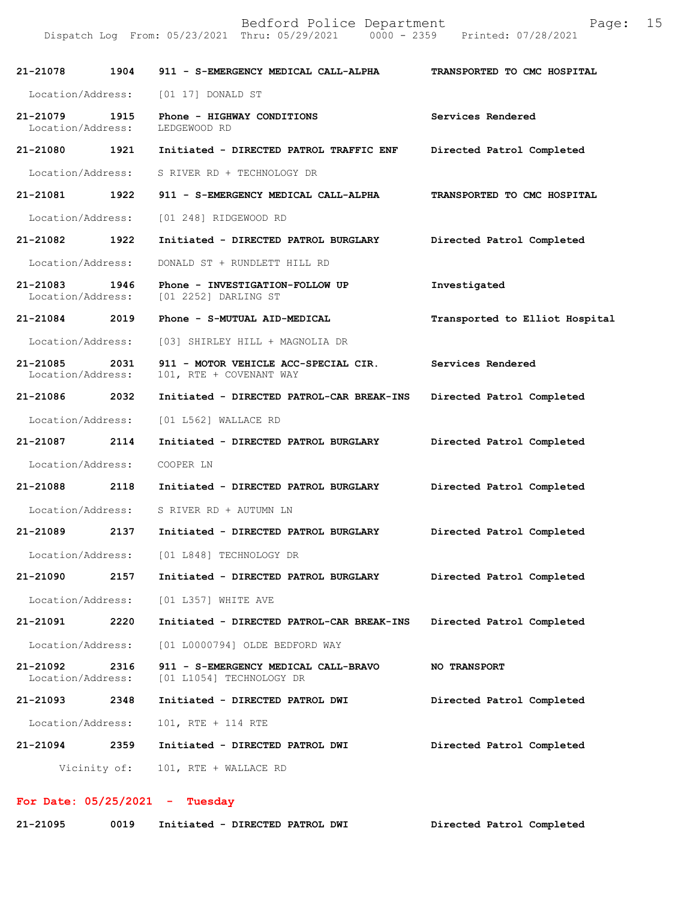| 21-21078                      | 1904                      | 911 - S-EMERGENCY MEDICAL CALL-ALPHA                             | TRANSPORTED TO CMC HOSPITAL    |
|-------------------------------|---------------------------|------------------------------------------------------------------|--------------------------------|
| Location/Address:             |                           | [01 17] DONALD ST                                                |                                |
| 21-21079<br>Location/Address: | 1915                      | Phone - HIGHWAY CONDITIONS<br>LEDGEWOOD RD                       | Services Rendered              |
| 21-21080                      | 1921                      | Initiated - DIRECTED PATROL TRAFFIC ENF                          | Directed Patrol Completed      |
| Location/Address:             |                           | S RIVER RD + TECHNOLOGY DR                                       |                                |
| 21-21081                      | 1922                      | 911 - S-EMERGENCY MEDICAL CALL-ALPHA                             | TRANSPORTED TO CMC HOSPITAL    |
| Location/Address:             |                           | [01 248] RIDGEWOOD RD                                            |                                |
| 21-21082                      | 1922                      | Initiated - DIRECTED PATROL BURGLARY                             | Directed Patrol Completed      |
| Location/Address:             |                           | DONALD ST + RUNDLETT HILL RD                                     |                                |
| 21-21083<br>Location/Address: | 1946                      | Phone - INVESTIGATION-FOLLOW UP<br>[01 2252] DARLING ST          | Investigated                   |
| 21-21084                      | 2019                      | Phone - S-MUTUAL AID-MEDICAL                                     | Transported to Elliot Hospital |
| Location/Address:             |                           | [03] SHIRLEY HILL + MAGNOLIA DR                                  |                                |
| 21-21085<br>Location/Address: | 2031                      | 911 - MOTOR VEHICLE ACC-SPECIAL CIR.<br>101, RTE + COVENANT WAY  | Services Rendered              |
| 21-21086                      | 2032                      | Initiated - DIRECTED PATROL-CAR BREAK-INS                        | Directed Patrol Completed      |
| Location/Address:             |                           | [01 L562] WALLACE RD                                             |                                |
| 21-21087 2114                 |                           | Initiated - DIRECTED PATROL BURGLARY                             | Directed Patrol Completed      |
| Location/Address:             |                           | COOPER LN                                                        |                                |
| 21-21088                      | 2118                      | Initiated - DIRECTED PATROL BURGLARY                             | Directed Patrol Completed      |
| Location/Address:             |                           | S RIVER RD + AUTUMN LN                                           |                                |
| 21-21089                      | 2137                      | Initiated - DIRECTED PATROL BURGLARY                             | Directed Patrol Completed      |
| Location/Address:             |                           | [01 L848] TECHNOLOGY DR                                          |                                |
| 21-21090                      | 2157                      | Initiated - DIRECTED PATROL BURGLARY                             | Directed Patrol Completed      |
|                               | Location/Address:         | $[01 L357]$ WHITE AVE                                            |                                |
| 21-21091                      | 2220                      | Initiated - DIRECTED PATROL-CAR BREAK-INS                        | Directed Patrol Completed      |
| Location/Address:             |                           | [01 L0000794] OLDE BEDFORD WAY                                   |                                |
| 21-21092                      | 2316<br>Location/Address: | 911 - S-EMERGENCY MEDICAL CALL-BRAVO<br>[01 L1054] TECHNOLOGY DR | <b>NO TRANSPORT</b>            |
| 21-21093                      | 2348                      | Initiated - DIRECTED PATROL DWI                                  | Directed Patrol Completed      |
|                               | Location/Address:         | 101, RTE + 114 RTE                                               |                                |
| 21-21094                      | 2359                      | Initiated - DIRECTED PATROL DWI                                  | Directed Patrol Completed      |
|                               | Vicinity of:              | 101, RTE + WALLACE RD                                            |                                |
|                               |                           |                                                                  |                                |

**For Date: 05/25/2021 - Tuesday 21-21095 0019 Initiated - DIRECTED PATROL DWI Directed Patrol Completed**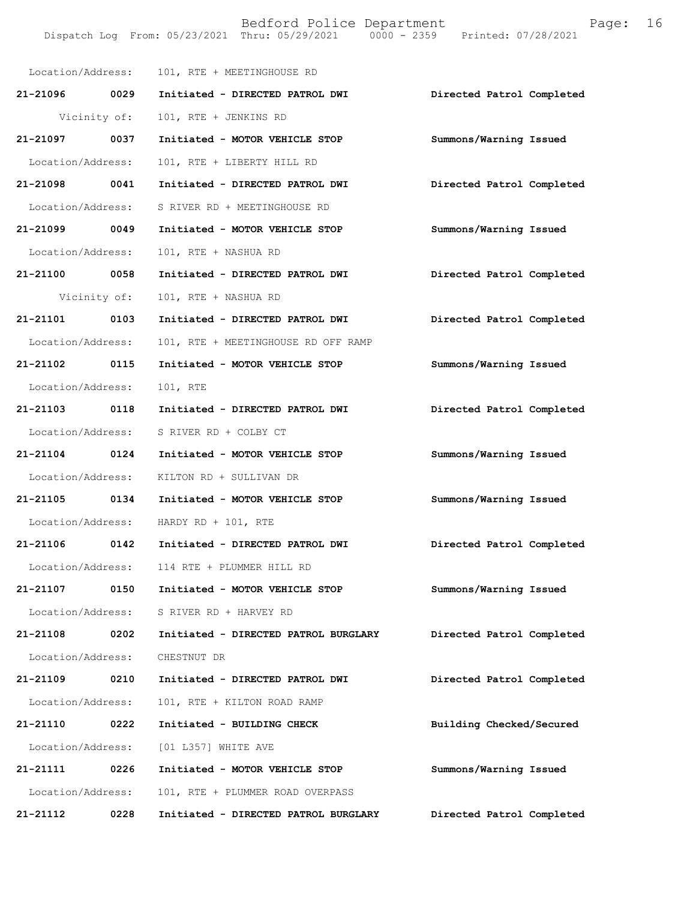|                   |      | Location/Address: 101, RTE + MEETINGHOUSE RD |                           |
|-------------------|------|----------------------------------------------|---------------------------|
| 21-21096 0029     |      | Initiated - DIRECTED PATROL DWI              | Directed Patrol Completed |
| Vicinity of:      |      | 101, RTE + JENKINS RD                        |                           |
| 21-21097 0037     |      | Initiated - MOTOR VEHICLE STOP               | Summons/Warning Issued    |
| Location/Address: |      | 101, RTE + LIBERTY HILL RD                   |                           |
| 21-21098 0041     |      | Initiated - DIRECTED PATROL DWI              | Directed Patrol Completed |
| Location/Address: |      | S RIVER RD + MEETINGHOUSE RD                 |                           |
| 21-21099 0049     |      | Initiated - MOTOR VEHICLE STOP               | Summons/Warning Issued    |
| Location/Address: |      | 101, RTE + NASHUA RD                         |                           |
| 21-21100 0058     |      | Initiated - DIRECTED PATROL DWI              | Directed Patrol Completed |
| Vicinity of:      |      | 101, RTE + NASHUA RD                         |                           |
| 21-21101 0103     |      | Initiated - DIRECTED PATROL DWI              | Directed Patrol Completed |
| Location/Address: |      | 101, RTE + MEETINGHOUSE RD OFF RAMP          |                           |
| 21-21102 0115     |      | Initiated - MOTOR VEHICLE STOP               | Summons/Warning Issued    |
| Location/Address: |      | 101, RTE                                     |                           |
| 21-21103 0118     |      | Initiated - DIRECTED PATROL DWI              | Directed Patrol Completed |
| Location/Address: |      | S RIVER RD + COLBY CT                        |                           |
| 21-21104 0124     |      | Initiated - MOTOR VEHICLE STOP               | Summons/Warning Issued    |
| Location/Address: |      | KILTON RD + SULLIVAN DR                      |                           |
| 21-21105 0134     |      | Initiated - MOTOR VEHICLE STOP               | Summons/Warning Issued    |
|                   |      | Location/Address: HARDY RD + 101, RTE        |                           |
| 21-21106 0142     |      | Initiated - DIRECTED PATROL DWI              | Directed Patrol Completed |
|                   |      | Location/Address: 114 RTE + PLUMMER HILL RD  |                           |
| 21-21107          | 0150 | Initiated - MOTOR VEHICLE STOP               | Summons/Warning Issued    |
| Location/Address: |      | S RIVER RD + HARVEY RD                       |                           |
| 21-21108 0202     |      | Initiated - DIRECTED PATROL BURGLARY         | Directed Patrol Completed |
| Location/Address: |      | CHESTNUT DR                                  |                           |
| 21-21109          | 0210 | Initiated - DIRECTED PATROL DWI              | Directed Patrol Completed |
| Location/Address: |      | 101, RTE + KILTON ROAD RAMP                  |                           |
| 21-21110          | 0222 | Initiated - BUILDING CHECK                   | Building Checked/Secured  |
| Location/Address: |      | [01 L357] WHITE AVE                          |                           |
| 21-21111 0226     |      | Initiated - MOTOR VEHICLE STOP               | Summons/Warning Issued    |
| Location/Address: |      | 101, RTE + PLUMMER ROAD OVERPASS             |                           |
| 21-21112          | 0228 | Initiated - DIRECTED PATROL BURGLARY         | Directed Patrol Completed |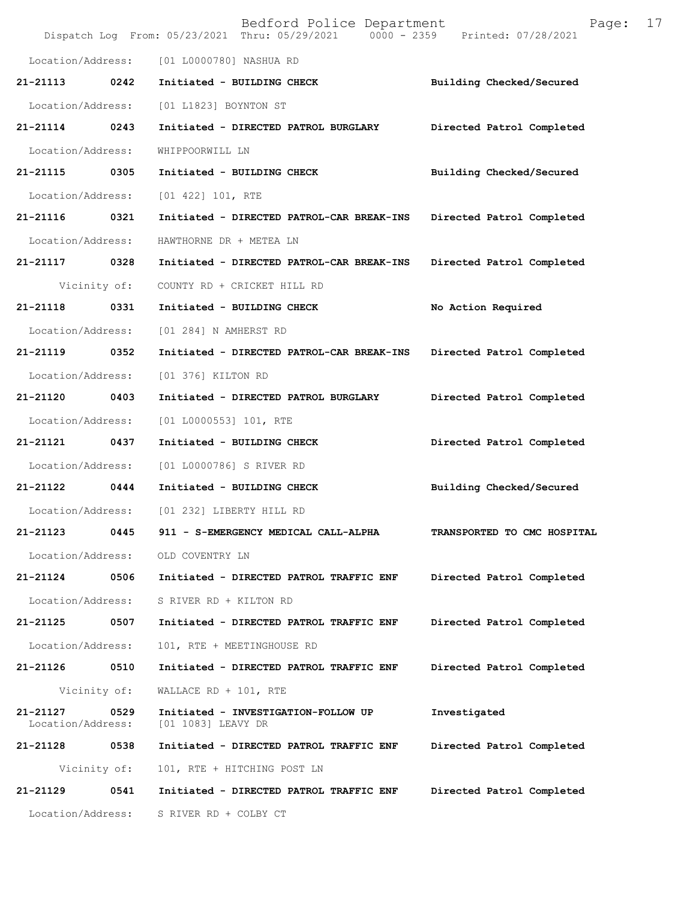|                               |              | Bedford Police Department<br>Dispatch Log From: 05/23/2021 Thru: 05/29/2021 0000 - 2359 Printed: 07/28/2021 | 17<br>Page:                 |
|-------------------------------|--------------|-------------------------------------------------------------------------------------------------------------|-----------------------------|
| Location/Address:             |              | [01 L0000780] NASHUA RD                                                                                     |                             |
| 21-21113                      | 0242         | Initiated - BUILDING CHECK                                                                                  | Building Checked/Secured    |
| Location/Address:             |              | [01 L1823] BOYNTON ST                                                                                       |                             |
| 21-21114                      | 0243         | Initiated - DIRECTED PATROL BURGLARY                                                                        | Directed Patrol Completed   |
| Location/Address:             |              | WHIPPOORWILL LN                                                                                             |                             |
| 21-21115                      | 0305         | Initiated - BUILDING CHECK                                                                                  | Building Checked/Secured    |
| Location/Address:             |              | [01 422] 101, RTE                                                                                           |                             |
| 21-21116                      | 0321         | Initiated - DIRECTED PATROL-CAR BREAK-INS                                                                   | Directed Patrol Completed   |
| Location/Address:             |              | HAWTHORNE DR + METEA LN                                                                                     |                             |
| 21-21117                      | 0328         | Initiated - DIRECTED PATROL-CAR BREAK-INS                                                                   | Directed Patrol Completed   |
|                               | Vicinity of: | COUNTY RD + CRICKET HILL RD                                                                                 |                             |
| 21-21118                      | 0331         | Initiated - BUILDING CHECK                                                                                  | No Action Required          |
| Location/Address:             |              | [01 284] N AMHERST RD                                                                                       |                             |
| 21-21119                      | 0352         | Initiated - DIRECTED PATROL-CAR BREAK-INS                                                                   | Directed Patrol Completed   |
| Location/Address:             |              | [01 376] KILTON RD                                                                                          |                             |
| 21-21120                      | 0403         | Initiated - DIRECTED PATROL BURGLARY                                                                        | Directed Patrol Completed   |
| Location/Address:             |              | [01 L0000553] 101, RTE                                                                                      |                             |
| 21-21121                      | 0437         | Initiated - BUILDING CHECK                                                                                  | Directed Patrol Completed   |
| Location/Address:             |              | [01 L0000786] S RIVER RD                                                                                    |                             |
| 21-21122                      | 0444         | Initiated - BUILDING CHECK                                                                                  | Building Checked/Secured    |
| Location/Address:             |              | [01 232] LIBERTY HILL RD                                                                                    |                             |
| 21-21123                      | 0445         | 911 - S-EMERGENCY MEDICAL CALL-ALPHA                                                                        | TRANSPORTED TO CMC HOSPITAL |
| Location/Address:             |              | OLD COVENTRY LN                                                                                             |                             |
| 21-21124                      | 0506         | Initiated - DIRECTED PATROL TRAFFIC ENF                                                                     | Directed Patrol Completed   |
| Location/Address:             |              | S RIVER RD + KILTON RD                                                                                      |                             |
| 21-21125                      | 0507         | Initiated - DIRECTED PATROL TRAFFIC ENF                                                                     | Directed Patrol Completed   |
| Location/Address:             |              | 101, RTE + MEETINGHOUSE RD                                                                                  |                             |
| 21-21126                      | 0510         | Initiated - DIRECTED PATROL TRAFFIC ENF                                                                     | Directed Patrol Completed   |
|                               | Vicinity of: | WALLACE RD + 101, RTE                                                                                       |                             |
| 21-21127<br>Location/Address: | 0529         | Initiated - INVESTIGATION-FOLLOW UP<br>[01 1083] LEAVY DR                                                   | Investigated                |
| 21-21128                      | 0538         | Initiated - DIRECTED PATROL TRAFFIC ENF                                                                     | Directed Patrol Completed   |
|                               | Vicinity of: | 101, RTE + HITCHING POST LN                                                                                 |                             |
| 21-21129                      | 0541         | Initiated - DIRECTED PATROL TRAFFIC ENF                                                                     | Directed Patrol Completed   |
| Location/Address:             |              | S RIVER RD + COLBY CT                                                                                       |                             |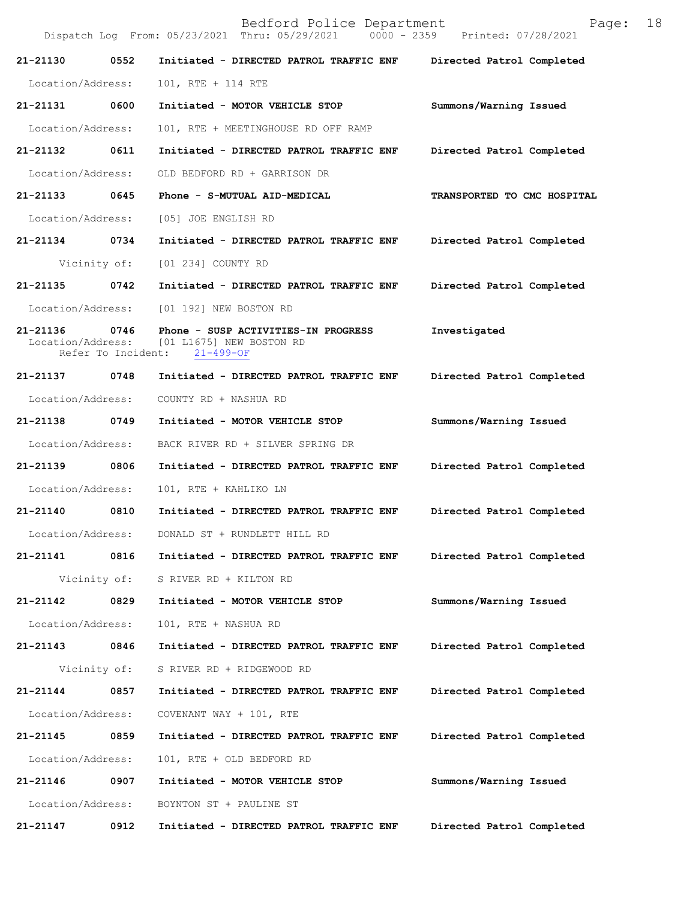Bedford Police Department Page: 18 Dispatch Log From: 05/23/2021 Thru: 05/29/2021 **21-21130 0552 Initiated - DIRECTED PATROL TRAFFIC ENF Directed Patrol Completed**  Location/Address: 101, RTE + 114 RTE **21-21131 0600 Initiated - MOTOR VEHICLE STOP Summons/Warning Issued**  Location/Address: 101, RTE + MEETINGHOUSE RD OFF RAMP **21-21132 0611 Initiated - DIRECTED PATROL TRAFFIC ENF Directed Patrol Completed**  Location/Address: OLD BEDFORD RD + GARRISON DR **21-21133 0645 Phone - S-MUTUAL AID-MEDICAL TRANSPORTED TO CMC HOSPITAL**  Location/Address: [05] JOE ENGLISH RD **21-21134 0734 Initiated - DIRECTED PATROL TRAFFIC ENF Directed Patrol Completed**  Vicinity of: [01 234] COUNTY RD **21-21135 0742 Initiated - DIRECTED PATROL TRAFFIC ENF Directed Patrol Completed**  Location/Address: [01 192] NEW BOSTON RD **21-21136 0746 Phone - SUSP ACTIVITIES-IN PROGRESS Investigated**  Location/Address: [01 L1675] NEW BOSTON RD<br>Refer To Incident: 21-499-OF Refer To Incident: **21-21137 0748 Initiated - DIRECTED PATROL TRAFFIC ENF Directed Patrol Completed**  Location/Address: COUNTY RD + NASHUA RD **21-21138 0749 Initiated - MOTOR VEHICLE STOP Summons/Warning Issued**  Location/Address: BACK RIVER RD + SILVER SPRING DR **21-21139 0806 Initiated - DIRECTED PATROL TRAFFIC ENF Directed Patrol Completed**  Location/Address: 101, RTE + KAHLIKO LN **21-21140 0810 Initiated - DIRECTED PATROL TRAFFIC ENF Directed Patrol Completed**  Location/Address: DONALD ST + RUNDLETT HILL RD **21-21141 0816 Initiated - DIRECTED PATROL TRAFFIC ENF Directed Patrol Completed**  Vicinity of: S RIVER RD + KILTON RD **21-21142 0829 Initiated - MOTOR VEHICLE STOP Summons/Warning Issued**  Location/Address: 101, RTE + NASHUA RD **21-21143 0846 Initiated - DIRECTED PATROL TRAFFIC ENF Directed Patrol Completed**  Vicinity of: S RIVER RD + RIDGEWOOD RD **21-21144 0857 Initiated - DIRECTED PATROL TRAFFIC ENF Directed Patrol Completed**  Location/Address: COVENANT WAY + 101, RTE **21-21145 0859 Initiated - DIRECTED PATROL TRAFFIC ENF Directed Patrol Completed**  Location/Address: 101, RTE + OLD BEDFORD RD **21-21146 0907 Initiated - MOTOR VEHICLE STOP Summons/Warning Issued**  Location/Address: BOYNTON ST + PAULINE ST **21-21147 0912 Initiated - DIRECTED PATROL TRAFFIC ENF Directed Patrol Completed**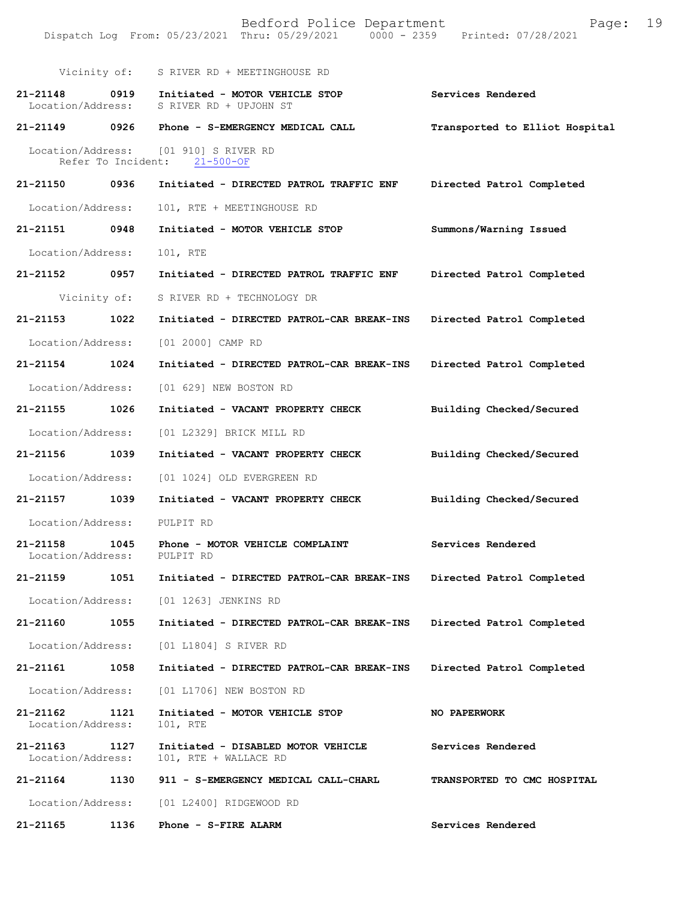| Bedford Police Department<br>19<br>Page:<br>Dispatch Log From: 05/23/2021 Thru: 05/29/2021 0000 - 2359<br>Printed: 07/28/2021 |      |                                                             |                                    |  |
|-------------------------------------------------------------------------------------------------------------------------------|------|-------------------------------------------------------------|------------------------------------|--|
|                                                                                                                               |      |                                                             |                                    |  |
| Vicinity of:                                                                                                                  |      | S RIVER RD + MEETINGHOUSE RD                                |                                    |  |
| 21-21148<br>Location/Address:                                                                                                 | 0919 | Initiated - MOTOR VEHICLE STOP<br>S RIVER RD + UPJOHN ST    | Services Rendered                  |  |
| 21-21149                                                                                                                      | 0926 | Phone - S-EMERGENCY MEDICAL CALL                            | Transported to Elliot Hospital     |  |
| Location/Address:<br>Refer To Incident:                                                                                       |      | [01 910] S RIVER RD<br>$21 - 500 - OF$                      |                                    |  |
| 21-21150                                                                                                                      | 0936 | Initiated - DIRECTED PATROL TRAFFIC ENF                     | Directed Patrol Completed          |  |
| Location/Address:                                                                                                             |      | 101, RTE + MEETINGHOUSE RD                                  |                                    |  |
| 21-21151                                                                                                                      | 0948 | Initiated - MOTOR VEHICLE STOP                              | Summons/Warning Issued             |  |
| Location/Address:                                                                                                             |      | 101, RTE                                                    |                                    |  |
| 21-21152                                                                                                                      | 0957 | Initiated - DIRECTED PATROL TRAFFIC ENF                     | Directed Patrol Completed          |  |
| Vicinity of:                                                                                                                  |      | S RIVER RD + TECHNOLOGY DR                                  |                                    |  |
| 21-21153                                                                                                                      | 1022 | Initiated - DIRECTED PATROL-CAR BREAK-INS                   | Directed Patrol Completed          |  |
| Location/Address:                                                                                                             |      | [01 2000] CAMP RD                                           |                                    |  |
| 21-21154                                                                                                                      | 1024 | Initiated - DIRECTED PATROL-CAR BREAK-INS                   | Directed Patrol Completed          |  |
| Location/Address:                                                                                                             |      | [01 629] NEW BOSTON RD                                      |                                    |  |
| 21-21155                                                                                                                      | 1026 | Initiated - VACANT PROPERTY CHECK                           | Building Checked/Secured           |  |
| Location/Address:                                                                                                             |      | [01 L2329] BRICK MILL RD                                    |                                    |  |
| 21-21156                                                                                                                      | 1039 | Initiated - VACANT PROPERTY CHECK                           | Building Checked/Secured           |  |
| Location/Address:                                                                                                             |      | [01 1024] OLD EVERGREEN RD                                  |                                    |  |
| 21-21157                                                                                                                      | 1039 | Initiated - VACANT PROPERTY CHECK                           | Building Checked/Secured           |  |
| Location/Address:                                                                                                             |      | PULPIT RD                                                   |                                    |  |
| 21-21158<br>Location/Address:                                                                                                 | 1045 | Phone - MOTOR VEHICLE COMPLAINT<br>PULPIT RD                | Services Rendered                  |  |
| 21-21159                                                                                                                      | 1051 | Initiated - DIRECTED PATROL-CAR BREAK-INS                   | Directed Patrol Completed          |  |
| Location/Address:                                                                                                             |      | [01 1263] JENKINS RD                                        |                                    |  |
| 21-21160                                                                                                                      | 1055 | Initiated - DIRECTED PATROL-CAR BREAK-INS                   | Directed Patrol Completed          |  |
| Location/Address:                                                                                                             |      | [01 L1804] S RIVER RD                                       |                                    |  |
| 21-21161                                                                                                                      | 1058 | Initiated - DIRECTED PATROL-CAR BREAK-INS                   | Directed Patrol Completed          |  |
| Location/Address:                                                                                                             |      | [01 L1706] NEW BOSTON RD                                    |                                    |  |
| 21-21162<br>Location/Address:                                                                                                 | 1121 | Initiated - MOTOR VEHICLE STOP<br>101, RTE                  | <b>NO PAPERWORK</b>                |  |
| 21-21163<br>Location/Address:                                                                                                 | 1127 | Initiated - DISABLED MOTOR VEHICLE<br>101, RTE + WALLACE RD | Services Rendered                  |  |
| 21-21164                                                                                                                      | 1130 | 911 - S-EMERGENCY MEDICAL CALL-CHARL                        | <b>TRANSPORTED TO CMC HOSPITAL</b> |  |
| Location/Address:                                                                                                             |      | [01 L2400] RIDGEWOOD RD                                     |                                    |  |
| 21-21165                                                                                                                      | 1136 | Phone - S-FIRE ALARM                                        | Services Rendered                  |  |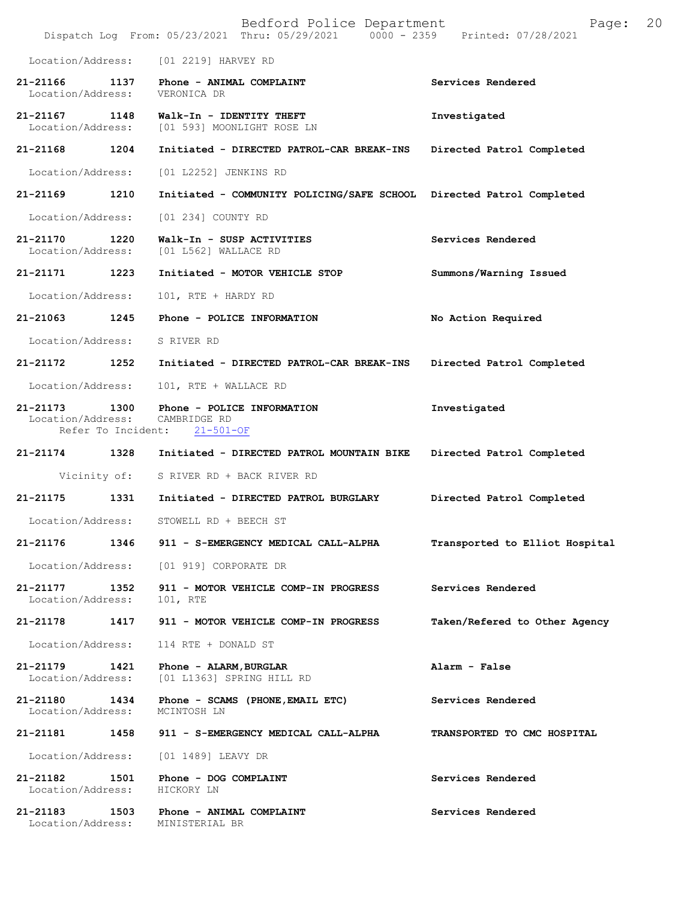|                                                                  |      | Bedford Police Department<br>Dispatch Log From: 05/23/2021 Thru: 05/29/2021 0000 - 2359 Printed: 07/28/2021 | 20<br>Page:                    |
|------------------------------------------------------------------|------|-------------------------------------------------------------------------------------------------------------|--------------------------------|
|                                                                  |      | Location/Address: [01 2219] HARVEY RD                                                                       |                                |
| 21-21166 1137<br>Location/Address:                               |      | Phone - ANIMAL COMPLAINT<br>VERONICA DR                                                                     | Services Rendered              |
| 21-21167 1148                                                    |      | Walk-In - IDENTITY THEFT<br>Location/Address: [01 593] MOONLIGHT ROSE LN                                    | Investigated                   |
| 21-21168                                                         | 1204 | Initiated - DIRECTED PATROL-CAR BREAK-INS                                                                   | Directed Patrol Completed      |
| Location/Address:                                                |      | [01 L2252] JENKINS RD                                                                                       |                                |
| 21-21169 1210                                                    |      | Initiated - COMMUNITY POLICING/SAFE SCHOOL Directed Patrol Completed                                        |                                |
| Location/Address:                                                |      | [01 234] COUNTY RD                                                                                          |                                |
| 21-21170<br>Location/Address:                                    | 1220 | Walk-In - SUSP ACTIVITIES<br>[01 L562] WALLACE RD                                                           | Services Rendered              |
| 21-21171                                                         | 1223 | Initiated - MOTOR VEHICLE STOP                                                                              | Summons/Warning Issued         |
| Location/Address:                                                |      | 101, RTE + HARDY RD                                                                                         |                                |
| 21-21063                                                         | 1245 | Phone - POLICE INFORMATION                                                                                  | No Action Required             |
| Location/Address:                                                |      | S RIVER RD                                                                                                  |                                |
| 21-21172                                                         | 1252 | Initiated - DIRECTED PATROL-CAR BREAK-INS                                                                   | Directed Patrol Completed      |
| Location/Address:                                                |      | 101, RTE + WALLACE RD                                                                                       |                                |
| 21-21173<br>Location/Address: CAMBRIDGE RD<br>Refer To Incident: | 1300 | Phone - POLICE INFORMATION<br>$21 - 501 - OF$                                                               | Investigated                   |
| 21-21174 1328                                                    |      | Initiated - DIRECTED PATROL MOUNTAIN BIKE                                                                   | Directed Patrol Completed      |
|                                                                  |      | Vicinity of: S RIVER RD + BACK RIVER RD                                                                     |                                |
| 21-21175                                                         | 1331 | Initiated - DIRECTED PATROL BURGLARY                                                                        | Directed Patrol Completed      |
| Location/Address:                                                |      | STOWELL RD + BEECH ST                                                                                       |                                |
| 21-21176                                                         | 1346 | 911 - S-EMERGENCY MEDICAL CALL-ALPHA                                                                        | Transported to Elliot Hospital |
| Location/Address:                                                |      | [01 919] CORPORATE DR                                                                                       |                                |
| 21-21177<br>Location/Address:                                    | 1352 | 911 - MOTOR VEHICLE COMP-IN PROGRESS<br>101, RTE                                                            | Services Rendered              |
| 21-21178                                                         | 1417 | 911 - MOTOR VEHICLE COMP-IN PROGRESS                                                                        | Taken/Refered to Other Agency  |
| Location/Address:                                                |      | 114 RTE + DONALD ST                                                                                         |                                |
| 21-21179<br>Location/Address:                                    | 1421 | Phone - ALARM, BURGLAR<br>[01 L1363] SPRING HILL RD                                                         | Alarm - False                  |
| 21-21180<br>Location/Address:                                    | 1434 | Phone - SCAMS (PHONE, EMAIL ETC)<br>MCINTOSH LN                                                             | Services Rendered              |
| 21-21181                                                         | 1458 | 911 - S-EMERGENCY MEDICAL CALL-ALPHA                                                                        | TRANSPORTED TO CMC HOSPITAL    |
| Location/Address:                                                |      | [01 1489] LEAVY DR                                                                                          |                                |
| 21-21182<br>Location/Address:                                    | 1501 | Phone - DOG COMPLAINT<br>HICKORY LN                                                                         | Services Rendered              |
| 21-21183<br>Location/Address:                                    | 1503 | Phone - ANIMAL COMPLAINT<br>MINISTERIAL BR                                                                  | Services Rendered              |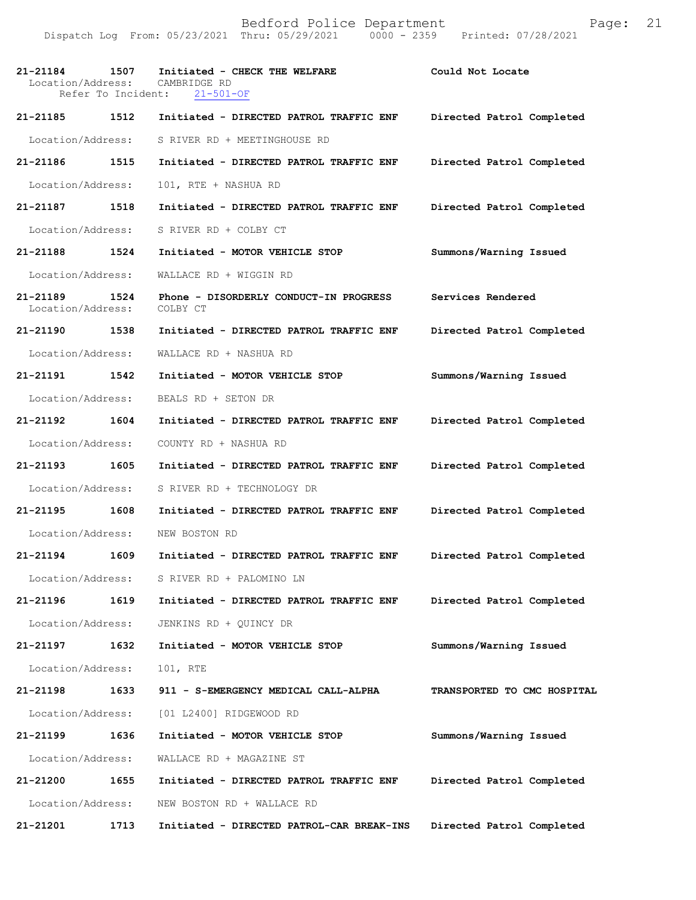Dispatch Log From: 05/23/2021 Thru: 05/29/2021 0000 - 2359 Printed: 07/28/2021

| 21-21184<br>Location/Address:<br>Refer To Incident: | 1507 | Initiated - CHECK THE WELFARE<br>CAMBRIDGE RD<br>$21 - 501 - OF$ | Could Not Locate            |
|-----------------------------------------------------|------|------------------------------------------------------------------|-----------------------------|
| 21-21185                                            | 1512 | Initiated - DIRECTED PATROL TRAFFIC ENF                          | Directed Patrol Completed   |
| Location/Address:                                   |      | S RIVER RD + MEETINGHOUSE RD                                     |                             |
| 21-21186                                            | 1515 | Initiated - DIRECTED PATROL TRAFFIC ENF                          | Directed Patrol Completed   |
| Location/Address:                                   |      | 101, RTE + NASHUA RD                                             |                             |
| 21-21187                                            | 1518 | Initiated - DIRECTED PATROL TRAFFIC ENF                          | Directed Patrol Completed   |
| Location/Address:                                   |      | S RIVER RD + COLBY CT                                            |                             |
| 21-21188                                            | 1524 | Initiated - MOTOR VEHICLE STOP                                   | Summons/Warning Issued      |
| Location/Address:                                   |      | WALLACE RD + WIGGIN RD                                           |                             |
| 21-21189<br>Location/Address:                       | 1524 | Phone - DISORDERLY CONDUCT-IN PROGRESS<br>COLBY CT               | Services Rendered           |
| 21-21190                                            | 1538 | Initiated - DIRECTED PATROL TRAFFIC ENF                          | Directed Patrol Completed   |
| Location/Address:                                   |      | WALLACE RD + NASHUA RD                                           |                             |
| 21-21191                                            | 1542 | Initiated - MOTOR VEHICLE STOP                                   | Summons/Warning Issued      |
| Location/Address:                                   |      | BEALS RD + SETON DR                                              |                             |
| 21-21192                                            | 1604 | Initiated - DIRECTED PATROL TRAFFIC ENF                          | Directed Patrol Completed   |
| Location/Address:                                   |      | COUNTY RD + NASHUA RD                                            |                             |
| 21-21193                                            | 1605 | Initiated - DIRECTED PATROL TRAFFIC ENF                          | Directed Patrol Completed   |
| Location/Address:                                   |      | S RIVER RD + TECHNOLOGY DR                                       |                             |
| 21-21195                                            | 1608 | Initiated - DIRECTED PATROL TRAFFIC ENF                          | Directed Patrol Completed   |
| Location/Address:                                   |      | NEW BOSTON RD                                                    |                             |
| 21-21194                                            | 1609 | Initiated - DIRECTED PATROL TRAFFIC ENF                          | Directed Patrol Completed   |
| Location/Address:                                   |      | S RIVER RD + PALOMINO LN                                         |                             |
| 21-21196                                            | 1619 | Initiated - DIRECTED PATROL TRAFFIC ENF                          | Directed Patrol Completed   |
| Location/Address:                                   |      | JENKINS RD + QUINCY DR                                           |                             |
| 21-21197                                            | 1632 | Initiated - MOTOR VEHICLE STOP                                   | Summons/Warning Issued      |
| Location/Address:                                   |      | 101, RTE                                                         |                             |
| 21-21198                                            | 1633 | 911 - S-EMERGENCY MEDICAL CALL-ALPHA                             | TRANSPORTED TO CMC HOSPITAL |
| Location/Address:                                   |      | [01 L2400] RIDGEWOOD RD                                          |                             |
| 21-21199                                            | 1636 | Initiated - MOTOR VEHICLE STOP                                   | Summons/Warning Issued      |
| Location/Address:                                   |      | WALLACE RD + MAGAZINE ST                                         |                             |
| 21-21200                                            | 1655 | Initiated - DIRECTED PATROL TRAFFIC ENF                          | Directed Patrol Completed   |
| Location/Address:                                   |      | NEW BOSTON RD + WALLACE RD                                       |                             |
| 21-21201                                            | 1713 | Initiated - DIRECTED PATROL-CAR BREAK-INS                        | Directed Patrol Completed   |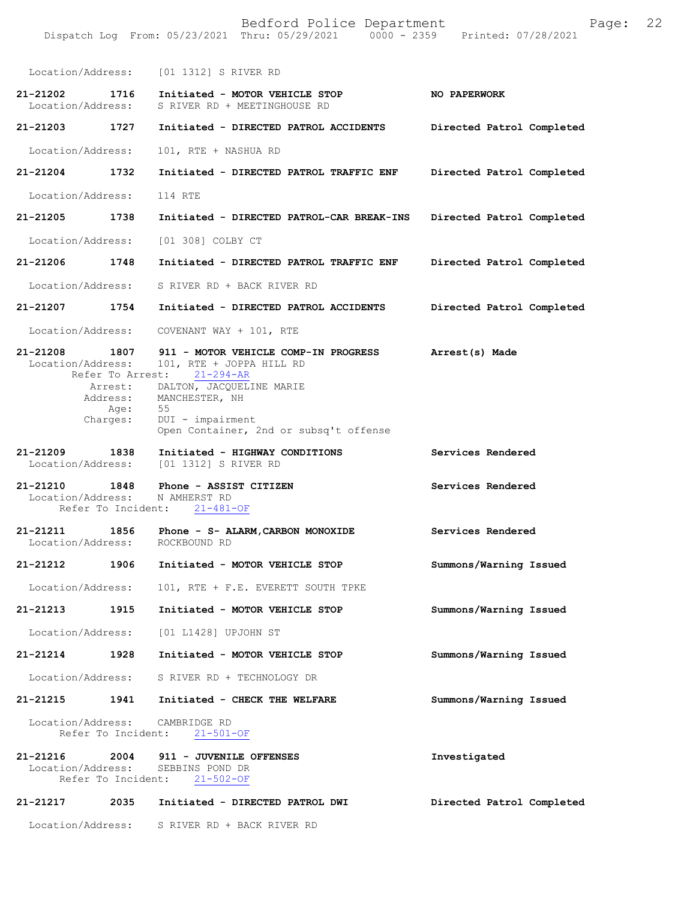Bedford Police Department Page: 22 Dispatch Log From: 05/23/2021 Thru: 05/29/2021 Location/Address: [01 1312] S RIVER RD **21-21202 1716 Initiated - MOTOR VEHICLE STOP NO PAPERWORK**  S RIVER RD + MEETINGHOUSE RD **21-21203 1727 Initiated - DIRECTED PATROL ACCIDENTS Directed Patrol Completed**  Location/Address: 101, RTE + NASHUA RD **21-21204 1732 Initiated - DIRECTED PATROL TRAFFIC ENF Directed Patrol Completed**  Location/Address: 114 RTE **21-21205 1738 Initiated - DIRECTED PATROL-CAR BREAK-INS Directed Patrol Completed**  Location/Address: [01 308] COLBY CT **21-21206 1748 Initiated - DIRECTED PATROL TRAFFIC ENF Directed Patrol Completed**  Location/Address: S RIVER RD + BACK RIVER RD **21-21207 1754 Initiated - DIRECTED PATROL ACCIDENTS Directed Patrol Completed**  Location/Address: COVENANT WAY + 101, RTE **21-21208 1807 911 - MOTOR VEHICLE COMP-IN PROGRESS Arrest(s) Made**  Location/Address: 101, RTE + JOPPA HILL RD<br>Refer To Arrest: 21-294-AR Refer To Arrest: **Services Rendered 21-21210 1848 Phone - ASSIST CITIZEN Services Rendered**  Location/Address: Refer To Incident: 21-481-OF **21-21211 1856 Phone - S- ALARM,CARBON MONOXIDE Services Rendered**  Location/Address: **21-21212 1906 Initiated - MOTOR VEHICLE STOP Summons/Warning Issued**  Location/Address: 101, RTE + F.E. EVERETT SOUTH TPKE **21-21213 1915 Initiated - MOTOR VEHICLE STOP Summons/Warning Issued**  Location/Address: [01 L1428] UPJOHN ST **21-21214 1928 Initiated - MOTOR VEHICLE STOP Summons/Warning Issued**  Location/Address: S RIVER RD + TECHNOLOGY DR **21-21215 1941 Initiated - CHECK THE WELFARE Summons/Warning Issued**  Location/Address: CAMBRIDGE RD<br>Refer To Incident: 21-501-OF Refer To Incident: **21-21216 2004 911 - JUVENILE OFFENSES Investigated**  Location/Address: Refer To Incident: 21-502-OF **21-21217 2035 Initiated - DIRECTED PATROL DWI Directed Patrol Completed**  Location/Address: S RIVER RD + BACK RIVER RD Arrest: DALTON, JACQUELINE MARIE Address: MANCHESTER, NH Age: 55 Charges: DUI - impairment Open Container, 2nd or subsq't offense **21-21209 1838 Initiated - HIGHWAY CONDITIONS** Location/Address: [01 1312] S RIVER RD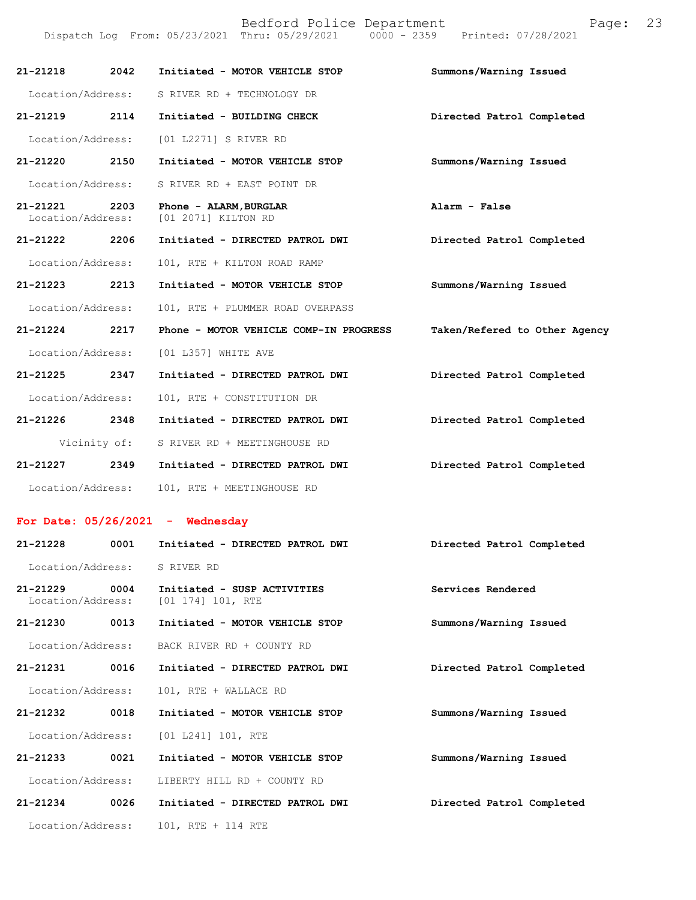| 21-21218                                                                                                                                                                                                                                                                                                                                                                                                                                                                                   | 2042         | Initiated - MOTOR VEHICLE STOP                | Summons/Warning Issued        |
|--------------------------------------------------------------------------------------------------------------------------------------------------------------------------------------------------------------------------------------------------------------------------------------------------------------------------------------------------------------------------------------------------------------------------------------------------------------------------------------------|--------------|-----------------------------------------------|-------------------------------|
| Location/Address:                                                                                                                                                                                                                                                                                                                                                                                                                                                                          |              | S RIVER RD + TECHNOLOGY DR                    |                               |
| 21-21219                                                                                                                                                                                                                                                                                                                                                                                                                                                                                   | 2114         | Initiated - BUILDING CHECK                    | Directed Patrol Completed     |
| Location/Address:                                                                                                                                                                                                                                                                                                                                                                                                                                                                          |              | [01 L2271] S RIVER RD                         |                               |
| 21-21220                                                                                                                                                                                                                                                                                                                                                                                                                                                                                   | 2150         | Initiated - MOTOR VEHICLE STOP                | Summons/Warning Issued        |
| Location/Address:                                                                                                                                                                                                                                                                                                                                                                                                                                                                          |              | S RIVER RD + EAST POINT DR                    |                               |
| 21-21221<br>Location/Address:                                                                                                                                                                                                                                                                                                                                                                                                                                                              | 2203         | Phone - ALARM, BURGLAR<br>[01 2071] KILTON RD | Alarm - False                 |
| 21-21222                                                                                                                                                                                                                                                                                                                                                                                                                                                                                   | 2206         | Initiated - DIRECTED PATROL DWI               | Directed Patrol Completed     |
| Location/Address:                                                                                                                                                                                                                                                                                                                                                                                                                                                                          |              | 101, RTE + KILTON ROAD RAMP                   |                               |
| 21-21223                                                                                                                                                                                                                                                                                                                                                                                                                                                                                   | 2213         | Initiated - MOTOR VEHICLE STOP                | Summons/Warning Issued        |
| Location/Address:                                                                                                                                                                                                                                                                                                                                                                                                                                                                          |              | 101, RTE + PLUMMER ROAD OVERPASS              |                               |
| 21-21224                                                                                                                                                                                                                                                                                                                                                                                                                                                                                   | 2217         | Phone - MOTOR VEHICLE COMP-IN PROGRESS        | Taken/Refered to Other Agency |
| Location/Address:                                                                                                                                                                                                                                                                                                                                                                                                                                                                          |              | [01 L357] WHITE AVE                           |                               |
| 21-21225                                                                                                                                                                                                                                                                                                                                                                                                                                                                                   | 2347         | Initiated - DIRECTED PATROL DWI               | Directed Patrol Completed     |
| Location/Address:                                                                                                                                                                                                                                                                                                                                                                                                                                                                          |              | 101, RTE + CONSTITUTION DR                    |                               |
| 21-21226                                                                                                                                                                                                                                                                                                                                                                                                                                                                                   | 2348         | Initiated - DIRECTED PATROL DWI               | Directed Patrol Completed     |
|                                                                                                                                                                                                                                                                                                                                                                                                                                                                                            | Vicinity of: | S RIVER RD + MEETINGHOUSE RD                  |                               |
| 21-21227                                                                                                                                                                                                                                                                                                                                                                                                                                                                                   | 2349         | Initiated - DIRECTED PATROL DWI               | Directed Patrol Completed     |
| Location/Address:                                                                                                                                                                                                                                                                                                                                                                                                                                                                          |              | 101, RTE + MEETINGHOUSE RD                    |                               |
| $\blacksquare$ $\blacksquare$ $\blacksquare$ $\blacksquare$ $\blacksquare$ $\blacksquare$ $\blacksquare$ $\blacksquare$ $\blacksquare$ $\blacksquare$ $\blacksquare$ $\blacksquare$ $\blacksquare$ $\blacksquare$ $\blacksquare$ $\blacksquare$ $\blacksquare$ $\blacksquare$ $\blacksquare$ $\blacksquare$ $\blacksquare$ $\blacksquare$ $\blacksquare$ $\blacksquare$ $\blacksquare$ $\blacksquare$ $\blacksquare$ $\blacksquare$ $\blacksquare$ $\blacksquare$ $\blacksquare$ $\blacks$ |              |                                               |                               |

## **For Date: 05/26/2021 - Wednesday**

| 21-21228                          | 0001 | Initiated - DIRECTED PATROL DWI                     | Directed Patrol Completed |
|-----------------------------------|------|-----------------------------------------------------|---------------------------|
| Location/Address:                 |      | S RIVER RD                                          |                           |
| $21 - 21229$<br>Location/Address: | 0004 | Initiated - SUSP ACTIVITIES<br>$[01 174] 101$ , RTE | Services Rendered         |
| 21-21230                          | 0013 | Initiated - MOTOR VEHICLE STOP                      | Summons/Warning Issued    |
| Location/Address:                 |      | BACK RIVER RD + COUNTY RD                           |                           |
| 21-21231                          | 0016 | Initiated - DIRECTED PATROL DWI                     | Directed Patrol Completed |
| Location/Address:                 |      | 101, RTE + WALLACE RD                               |                           |
| 21-21232                          | 0018 | Initiated - MOTOR VEHICLE STOP                      | Summons/Warning Issued    |
| Location/Address:                 |      | [01 L241] 101, RTE                                  |                           |
| $21 - 21233$                      | 0021 | Initiated - MOTOR VEHICLE STOP                      | Summons/Warning Issued    |
| Location/Address:                 |      | LIBERTY HILL RD + COUNTY RD                         |                           |
| $21 - 21234$                      | 0026 | Initiated - DIRECTED PATROL DWI                     | Directed Patrol Completed |
| Location/Address:                 |      | 101, RTE + 114 RTE                                  |                           |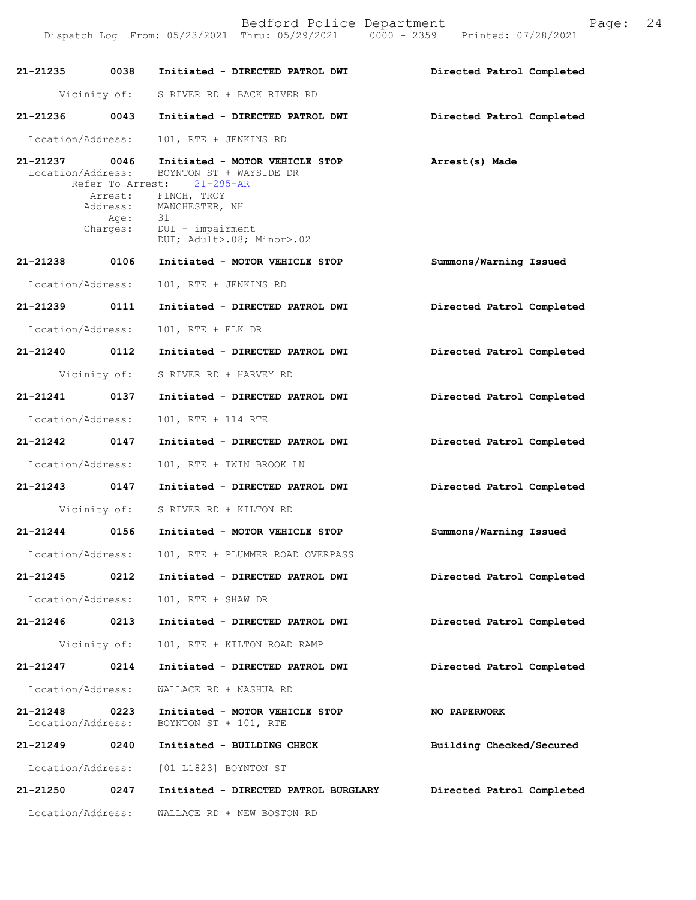Dispatch Log From: 05/23/2021 Thru: 05/29/2021 0000 - 2359 Printed: 07/28/2021

| 21-21235                      | 0038                                | Initiated - DIRECTED PATROL DWI                                                                                                | Directed Patrol Completed |
|-------------------------------|-------------------------------------|--------------------------------------------------------------------------------------------------------------------------------|---------------------------|
|                               | Vicinity of:                        | S RIVER RD + BACK RIVER RD                                                                                                     |                           |
| 21-21236 0043                 |                                     | Initiated - DIRECTED PATROL DWI                                                                                                | Directed Patrol Completed |
| Location/Address:             |                                     | 101, RTE + JENKINS RD                                                                                                          |                           |
| 21-21237<br>Location/Address: | 0046<br>Arrest:<br>Address:<br>Age: | Initiated - MOTOR VEHICLE STOP<br>BOYNTON ST + WAYSIDE DR<br>Refer To Arrest: 21-295-AR<br>FINCH, TROY<br>MANCHESTER, NH<br>31 | Arrest(s) Made            |
|                               | Charges:                            | DUI - impairment<br>DUI; Adult>.08; Minor>.02                                                                                  |                           |
| 21-21238 0106                 |                                     | Initiated - MOTOR VEHICLE STOP                                                                                                 | Summons/Warning Issued    |
| Location/Address:             |                                     | 101, RTE + JENKINS RD                                                                                                          |                           |
| 21-21239 0111                 |                                     | Initiated - DIRECTED PATROL DWI                                                                                                | Directed Patrol Completed |
| Location/Address:             |                                     | 101, RTE + ELK DR                                                                                                              |                           |
| 21-21240 0112                 |                                     | Initiated - DIRECTED PATROL DWI                                                                                                | Directed Patrol Completed |
|                               | Vicinity of:                        | S RIVER RD + HARVEY RD                                                                                                         |                           |
| 21-21241                      | 0137                                | Initiated - DIRECTED PATROL DWI                                                                                                | Directed Patrol Completed |
| Location/Address:             |                                     | 101, RTE + 114 RTE                                                                                                             |                           |
| 21-21242 0147                 |                                     | Initiated - DIRECTED PATROL DWI                                                                                                | Directed Patrol Completed |
| Location/Address:             |                                     | 101, RTE + TWIN BROOK LN                                                                                                       |                           |
| 21-21243 0147                 |                                     | Initiated - DIRECTED PATROL DWI                                                                                                | Directed Patrol Completed |
|                               | Vicinity of:                        | S RIVER RD + KILTON RD                                                                                                         |                           |
| 21-21244                      | 0156                                | Initiated - MOTOR VEHICLE STOP                                                                                                 | Summons/Warning Issued    |
| Location/Address:             |                                     | 101, RTE + PLUMMER ROAD OVERPASS                                                                                               |                           |
| 21-21245                      | 0212                                | Initiated - DIRECTED PATROL DWI                                                                                                | Directed Patrol Completed |
| Location/Address:             |                                     | 101, RTE + SHAW DR                                                                                                             |                           |
| 21-21246                      | 0213                                | Initiated - DIRECTED PATROL DWI                                                                                                | Directed Patrol Completed |
|                               | Vicinity of:                        | 101, RTE + KILTON ROAD RAMP                                                                                                    |                           |
| 21-21247                      | 0214                                | Initiated - DIRECTED PATROL DWI                                                                                                | Directed Patrol Completed |
| Location/Address:             |                                     | WALLACE RD + NASHUA RD                                                                                                         |                           |
| 21-21248<br>Location/Address: | 0223                                | Initiated - MOTOR VEHICLE STOP<br>BOYNTON ST + 101, RTE                                                                        | NO PAPERWORK              |
| 21-21249                      | 0240                                | Initiated - BUILDING CHECK                                                                                                     | Building Checked/Secured  |
| Location/Address:             |                                     | [01 L1823] BOYNTON ST                                                                                                          |                           |
| 21-21250                      | 0247                                | Initiated - DIRECTED PATROL BURGLARY                                                                                           | Directed Patrol Completed |
| Location/Address:             |                                     | WALLACE RD + NEW BOSTON RD                                                                                                     |                           |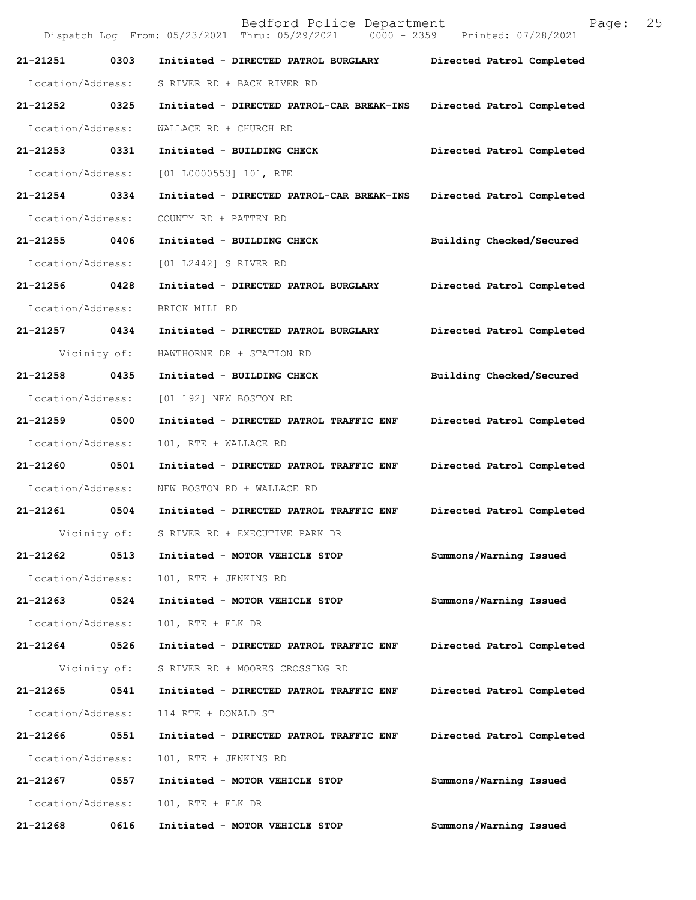Bedford Police Department Page: 25 Dispatch Log From: 05/23/2021 Thru: 05/29/2021 0000 - 2359 Printed: 07/28/2021 **21-21251 0303 Initiated - DIRECTED PATROL BURGLARY Directed Patrol Completed**  Location/Address: S RIVER RD + BACK RIVER RD **21-21252 0325 Initiated - DIRECTED PATROL-CAR BREAK-INS Directed Patrol Completed**  Location/Address: WALLACE RD + CHURCH RD **21-21253 0331 Initiated - BUILDING CHECK Directed Patrol Completed**  Location/Address: [01 L0000553] 101, RTE **21-21254 0334 Initiated - DIRECTED PATROL-CAR BREAK-INS Directed Patrol Completed**  Location/Address: COUNTY RD + PATTEN RD **21-21255 0406 Initiated - BUILDING CHECK Building Checked/Secured**  Location/Address: [01 L2442] S RIVER RD **21-21256 0428 Initiated - DIRECTED PATROL BURGLARY Directed Patrol Completed**  Location/Address: BRICK MILL RD **21-21257 0434 Initiated - DIRECTED PATROL BURGLARY Directed Patrol Completed**  Vicinity of: HAWTHORNE DR + STATION RD **21-21258 0435 Initiated - BUILDING CHECK Building Checked/Secured**  Location/Address: [01 192] NEW BOSTON RD **21-21259 0500 Initiated - DIRECTED PATROL TRAFFIC ENF Directed Patrol Completed**  Location/Address: 101, RTE + WALLACE RD **21-21260 0501 Initiated - DIRECTED PATROL TRAFFIC ENF Directed Patrol Completed**  Location/Address: NEW BOSTON RD + WALLACE RD **21-21261 0504 Initiated - DIRECTED PATROL TRAFFIC ENF Directed Patrol Completed**  Vicinity of: S RIVER RD + EXECUTIVE PARK DR **21-21262 0513 Initiated - MOTOR VEHICLE STOP Summons/Warning Issued**  Location/Address: 101, RTE + JENKINS RD **21-21263 0524 Initiated - MOTOR VEHICLE STOP Summons/Warning Issued**  Location/Address: 101, RTE + ELK DR **21-21264 0526 Initiated - DIRECTED PATROL TRAFFIC ENF Directed Patrol Completed**  Vicinity of: S RIVER RD + MOORES CROSSING RD **21-21265 0541 Initiated - DIRECTED PATROL TRAFFIC ENF Directed Patrol Completed**  Location/Address: 114 RTE + DONALD ST **21-21266 0551 Initiated - DIRECTED PATROL TRAFFIC ENF Directed Patrol Completed**  Location/Address: 101, RTE + JENKINS RD **21-21267 0557 Initiated - MOTOR VEHICLE STOP Summons/Warning Issued**  Location/Address: 101, RTE + ELK DR **21-21268 0616 Initiated - MOTOR VEHICLE STOP Summons/Warning Issued**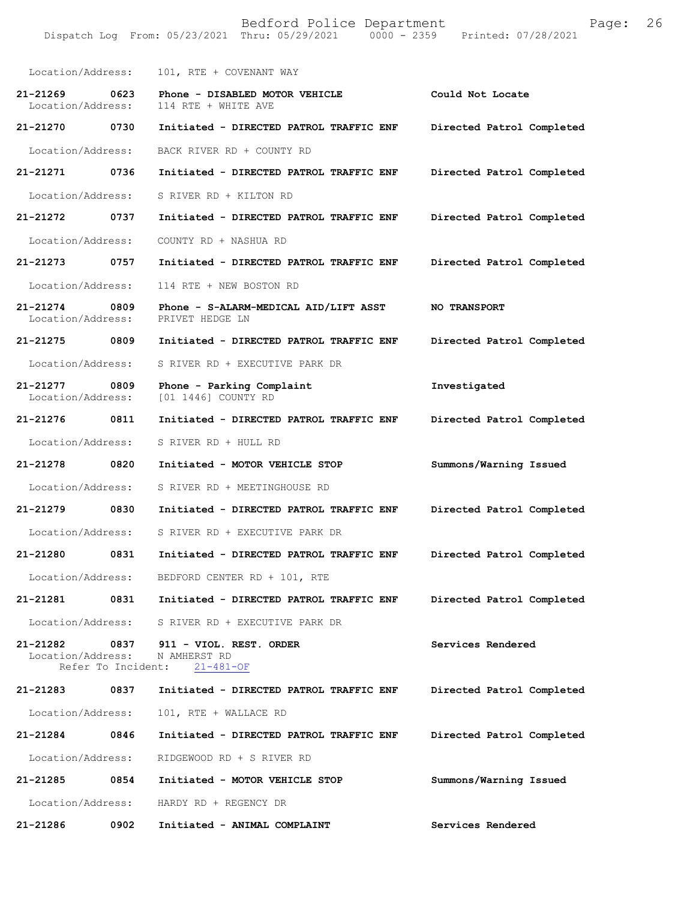| Location/Address:                                           | 101, RTE + COVENANT WAY                                    |                           |
|-------------------------------------------------------------|------------------------------------------------------------|---------------------------|
| 0623<br>21-21269<br>Location/Address:                       | Phone - DISABLED MOTOR VEHICLE<br>114 RTE + WHITE AVE      | Could Not Locate          |
| 21-21270 0730                                               | Initiated - DIRECTED PATROL TRAFFIC ENF                    | Directed Patrol Completed |
| Location/Address:                                           | BACK RIVER RD + COUNTY RD                                  |                           |
| 21-21271 0736                                               | Initiated - DIRECTED PATROL TRAFFIC ENF                    | Directed Patrol Completed |
| Location/Address:                                           | S RIVER RD + KILTON RD                                     |                           |
| 21-21272 0737                                               | Initiated - DIRECTED PATROL TRAFFIC ENF                    | Directed Patrol Completed |
| Location/Address:                                           | COUNTY RD + NASHUA RD                                      |                           |
| 21-21273 0757                                               | Initiated - DIRECTED PATROL TRAFFIC ENF                    | Directed Patrol Completed |
| Location/Address:                                           | 114 RTE + NEW BOSTON RD                                    |                           |
| 21-21274 0809<br>Location/Address:                          | Phone - S-ALARM-MEDICAL AID/LIFT ASST<br>PRIVET HEDGE LN   | <b>NO TRANSPORT</b>       |
| 21-21275 0809                                               | Initiated - DIRECTED PATROL TRAFFIC ENF                    | Directed Patrol Completed |
| Location/Address:                                           | S RIVER RD + EXECUTIVE PARK DR                             |                           |
| 21-21277 0809<br>Location/Address:                          | Phone - Parking Complaint<br>[01 1446] COUNTY RD           | Investigated              |
| 21-21276 0811                                               | Initiated - DIRECTED PATROL TRAFFIC ENF                    | Directed Patrol Completed |
| Location/Address:                                           | S RIVER RD + HULL RD                                       |                           |
| 21-21278 0820                                               | Initiated - MOTOR VEHICLE STOP                             | Summons/Warning Issued    |
| Location/Address:                                           | S RIVER RD + MEETINGHOUSE RD                               |                           |
| 21-21279 0830                                               | Initiated - DIRECTED PATROL TRAFFIC ENF                    | Directed Patrol Completed |
| Location/Address:                                           | S RIVER RD + EXECUTIVE PARK DR                             |                           |
| 21-21280<br>0831                                            | Initiated - DIRECTED PATROL TRAFFIC ENF                    | Directed Patrol Completed |
|                                                             | Location/Address: BEDFORD CENTER RD + 101, RTE             |                           |
| 21-21281                                                    | 0831<br>Initiated - DIRECTED PATROL TRAFFIC ENF            | Directed Patrol Completed |
|                                                             | Location/Address: S RIVER RD + EXECUTIVE PARK DR           |                           |
| 21-21282<br>0837<br>Location/Address:<br>Refer To Incident: | 911 - VIOL. REST. ORDER<br>N AMHERST RD<br>$21 - 481 - OF$ | Services Rendered         |
| 21-21283<br>0837                                            | Initiated - DIRECTED PATROL TRAFFIC ENF                    | Directed Patrol Completed |
| Location/Address:                                           | 101, RTE + WALLACE RD                                      |                           |
| 21-21284<br>0846                                            | Initiated - DIRECTED PATROL TRAFFIC ENF                    | Directed Patrol Completed |
| Location/Address:                                           | RIDGEWOOD RD + S RIVER RD                                  |                           |
| 21-21285<br>0854                                            | Initiated - MOTOR VEHICLE STOP                             | Summons/Warning Issued    |
| Location/Address:                                           | HARDY RD + REGENCY DR                                      |                           |
| 0902<br>21-21286                                            | Initiated - ANIMAL COMPLAINT                               | Services Rendered         |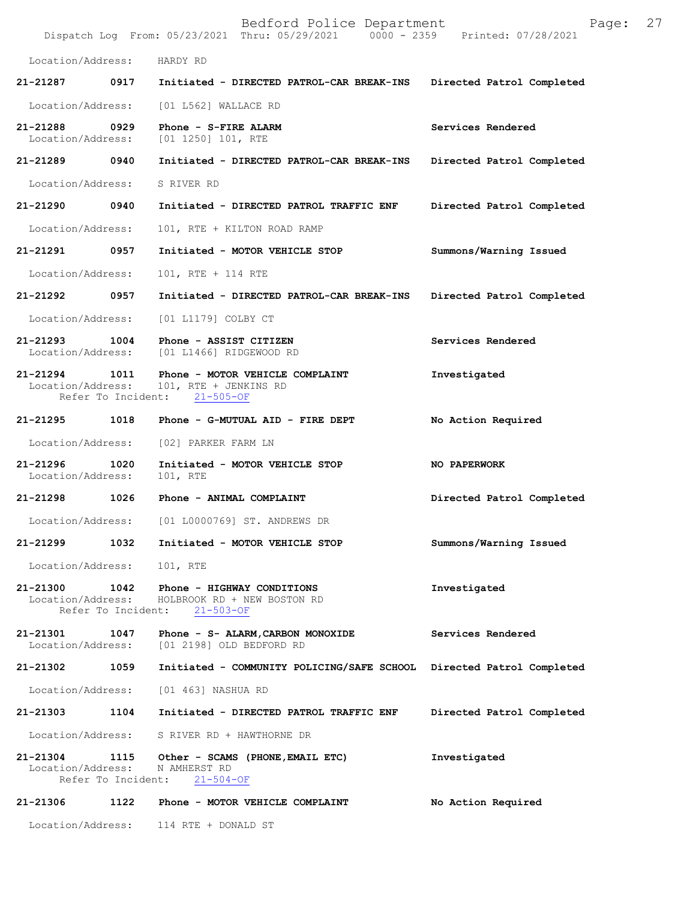|                                    |                            | Bedford Police Department<br>Dispatch Log From: 05/23/2021 Thru: 05/29/2021 0000 - 2359 Printed: 07/28/2021 | Page:                     | 27 |
|------------------------------------|----------------------------|-------------------------------------------------------------------------------------------------------------|---------------------------|----|
| Location/Address:                  |                            | HARDY RD                                                                                                    |                           |    |
| 21-21287                           | 0917                       | Initiated - DIRECTED PATROL-CAR BREAK-INS                                                                   | Directed Patrol Completed |    |
| Location/Address:                  |                            | $[01 L562]$ WALLACE RD                                                                                      |                           |    |
| 21-21288<br>Location/Address:      | 0929                       | Phone - S-FIRE ALARM<br>[01 1250] 101, RTE                                                                  | Services Rendered         |    |
| 21-21289 0940                      |                            | Initiated - DIRECTED PATROL-CAR BREAK-INS                                                                   | Directed Patrol Completed |    |
| Location/Address:                  |                            | S RIVER RD                                                                                                  |                           |    |
| 21-21290                           | 0940                       | Initiated - DIRECTED PATROL TRAFFIC ENF                                                                     | Directed Patrol Completed |    |
| Location/Address:                  |                            | 101, RTE + KILTON ROAD RAMP                                                                                 |                           |    |
| 21-21291                           | 0957                       | Initiated - MOTOR VEHICLE STOP                                                                              | Summons/Warning Issued    |    |
| Location/Address:                  |                            | 101, RTE + 114 RTE                                                                                          |                           |    |
| 21-21292                           | 0957                       | Initiated - DIRECTED PATROL-CAR BREAK-INS                                                                   | Directed Patrol Completed |    |
| Location/Address:                  |                            | [01 L1179] COLBY CT                                                                                         |                           |    |
| 21-21293<br>Location/Address:      | 1004                       | Phone - ASSIST CITIZEN<br>[01 L1466] RIDGEWOOD RD                                                           | Services Rendered         |    |
| 21-21294 1011<br>Location/Address: | Refer To Incident:         | Phone - MOTOR VEHICLE COMPLAINT<br>101, RTE + JENKINS RD<br>$21 - 505 - OF$                                 | Investigated              |    |
| 21-21295                           | 1018                       | Phone - G-MUTUAL AID - FIRE DEPT                                                                            | No Action Required        |    |
| Location/Address:                  |                            | [02] PARKER FARM LN                                                                                         |                           |    |
| 21-21296<br>Location/Address:      | 1020                       | Initiated - MOTOR VEHICLE STOP<br>101, RTE                                                                  | NO PAPERWORK              |    |
| 21-21298 1026                      |                            | Phone - ANIMAL COMPLAINT                                                                                    | Directed Patrol Completed |    |
| Location/Address:                  |                            | [01 L0000769] ST. ANDREWS DR                                                                                |                           |    |
| 21-21299                           | 1032                       | Initiated - MOTOR VEHICLE STOP                                                                              | Summons/Warning Issued    |    |
| Location/Address:                  |                            | 101, RTE                                                                                                    |                           |    |
| 21-21300 1042<br>Location/Address: | Refer To Incident:         | Phone - HIGHWAY CONDITIONS<br>HOLBROOK RD + NEW BOSTON RD<br>$21 - 503 - OF$                                | Investigated              |    |
| 21-21301<br>Location/Address:      | 1047                       | Phone - S- ALARM, CARBON MONOXIDE<br>[01 2198] OLD BEDFORD RD                                               | Services Rendered         |    |
| 21-21302                           | 1059                       | Initiated - COMMUNITY POLICING/SAFE SCHOOL Directed Patrol Completed                                        |                           |    |
| Location/Address:                  |                            | [01 463] NASHUA RD                                                                                          |                           |    |
| 21-21303                           | 1104                       | Initiated - DIRECTED PATROL TRAFFIC ENF                                                                     | Directed Patrol Completed |    |
| Location/Address:                  |                            | S RIVER RD + HAWTHORNE DR                                                                                   |                           |    |
| 21-21304<br>Location/Address:      | 1115<br>Refer To Incident: | Other - SCAMS (PHONE, EMAIL ETC)<br>N AMHERST RD<br>$21 - 504 - OF$                                         | Investigated              |    |
| 21-21306                           | 1122                       | Phone - MOTOR VEHICLE COMPLAINT                                                                             | No Action Required        |    |
| Location/Address:                  |                            | 114 RTE + DONALD ST                                                                                         |                           |    |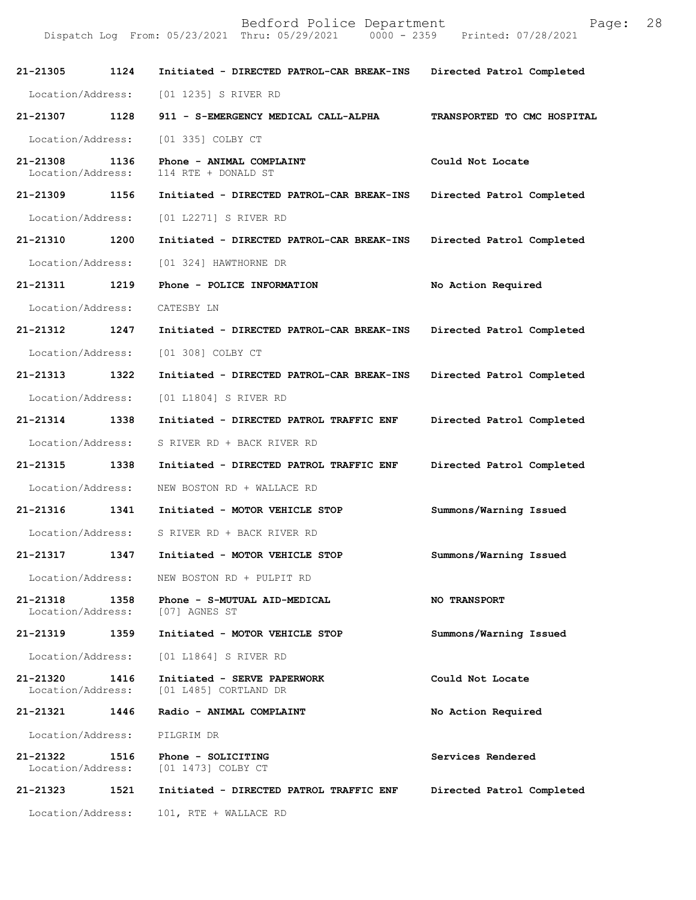| 21-21305                      | 1124 | Initiated - DIRECTED PATROL-CAR BREAK-INS            | Directed Patrol Completed   |
|-------------------------------|------|------------------------------------------------------|-----------------------------|
| Location/Address:             |      | [01 1235] S RIVER RD                                 |                             |
| 21-21307 1128                 |      | 911 - S-EMERGENCY MEDICAL CALL-ALPHA                 | TRANSPORTED TO CMC HOSPITAL |
| Location/Address:             |      | [01 335] COLBY CT                                    |                             |
| 21-21308<br>Location/Address: | 1136 | Phone - ANIMAL COMPLAINT<br>114 RTE + DONALD ST      | Could Not Locate            |
| 21-21309                      | 1156 | Initiated - DIRECTED PATROL-CAR BREAK-INS            | Directed Patrol Completed   |
| Location/Address:             |      | [01 L2271] S RIVER RD                                |                             |
| 21-21310                      | 1200 | Initiated - DIRECTED PATROL-CAR BREAK-INS            | Directed Patrol Completed   |
| Location/Address:             |      | [01 324] HAWTHORNE DR                                |                             |
| 21-21311                      | 1219 | Phone - POLICE INFORMATION                           | No Action Required          |
| Location/Address:             |      | CATESBY LN                                           |                             |
| 21-21312                      | 1247 | Initiated - DIRECTED PATROL-CAR BREAK-INS            | Directed Patrol Completed   |
| Location/Address:             |      | [01 308] COLBY CT                                    |                             |
| 21-21313 1322                 |      | Initiated - DIRECTED PATROL-CAR BREAK-INS            | Directed Patrol Completed   |
| Location/Address:             |      | [01 L1804] S RIVER RD                                |                             |
| 21-21314                      | 1338 | Initiated - DIRECTED PATROL TRAFFIC ENF              | Directed Patrol Completed   |
| Location/Address:             |      | S RIVER RD + BACK RIVER RD                           |                             |
| 21-21315 1338                 |      | Initiated - DIRECTED PATROL TRAFFIC ENF              | Directed Patrol Completed   |
| Location/Address:             |      | NEW BOSTON RD + WALLACE RD                           |                             |
| 21-21316                      | 1341 | Initiated - MOTOR VEHICLE STOP                       | Summons/Warning Issued      |
| Location/Address:             |      | S RIVER RD + BACK RIVER RD                           |                             |
| 21-21317                      | 1347 | Initiated - MOTOR VEHICLE STOP                       | Summons/Warning Issued      |
| Location/Address:             |      | NEW BOSTON RD + PULPIT RD                            |                             |
| 21-21318<br>Location/Address: | 1358 | Phone - S-MUTUAL AID-MEDICAL<br>[07] AGNES ST        | <b>NO TRANSPORT</b>         |
| 21-21319                      | 1359 | Initiated - MOTOR VEHICLE STOP                       | Summons/Warning Issued      |
| Location/Address:             |      | [01 L1864] S RIVER RD                                |                             |
| 21-21320<br>Location/Address: | 1416 | Initiated - SERVE PAPERWORK<br>[01 L485] CORTLAND DR | Could Not Locate            |
| 21-21321 1446                 |      | Radio - ANIMAL COMPLAINT                             | No Action Required          |
| Location/Address:             |      | PILGRIM DR                                           |                             |
| 21-21322<br>Location/Address: | 1516 | Phone - SOLICITING<br>[01 1473] COLBY CT             | Services Rendered           |
| 21-21323                      | 1521 | Initiated - DIRECTED PATROL TRAFFIC ENF              | Directed Patrol Completed   |
| Location/Address:             |      | 101, RTE + WALLACE RD                                |                             |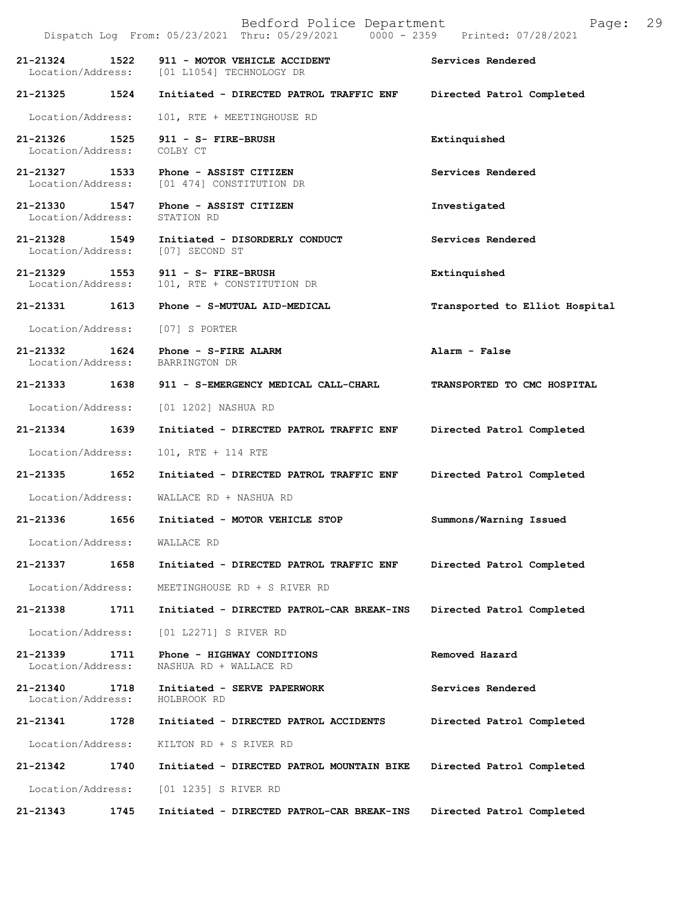|                                           | Dispatch Log From: 05/23/2021 Thru: 05/29/2021 0000 - 2359 Printed: 07/28/2021 |                                |
|-------------------------------------------|--------------------------------------------------------------------------------|--------------------------------|
| 21-21324<br>1522                          | 911 - MOTOR VEHICLE ACCIDENT<br>Location/Address: [01 L1054] TECHNOLOGY DR     | Services Rendered              |
| 21-21325 1524                             | Initiated - DIRECTED PATROL TRAFFIC ENF                                        | Directed Patrol Completed      |
| Location/Address:                         | 101, RTE + MEETINGHOUSE RD                                                     |                                |
| 21-21326 1525<br>Location/Address:        | 911 - S- FIRE-BRUSH<br>COLBY CT                                                | Extinquished                   |
| 21-21327 1533                             | Phone - ASSIST CITIZEN<br>Location/Address: [01 474] CONSTITUTION DR           | Services Rendered              |
| 21-21330 1547<br>Location/Address:        | Phone - ASSIST CITIZEN<br>STATION RD                                           | Investigated                   |
| 21-21328 1549                             | Initiated - DISORDERLY CONDUCT<br>Location/Address: [07] SECOND ST             | Services Rendered              |
| 21-21329 1553<br>Location/Address:        | 911 - S- FIRE-BRUSH<br>101, RTE + CONSTITUTION DR                              | Extinquished                   |
| 21-21331<br>1613                          | Phone - S-MUTUAL AID-MEDICAL                                                   | Transported to Elliot Hospital |
| Location/Address: [07] S PORTER           |                                                                                |                                |
| 21-21332 1624<br>Location/Address:        | Phone - S-FIRE ALARM<br>BARRINGTON DR                                          | Alarm - False                  |
|                                           | 21-21333 1638 911 - S-EMERGENCY MEDICAL CALL-CHARL                             | TRANSPORTED TO CMC HOSPITAL    |
|                                           | Location/Address: [01 1202] NASHUA RD                                          |                                |
| 21-21334 1639                             | Initiated - DIRECTED PATROL TRAFFIC ENF                                        | Directed Patrol Completed      |
| Location/Address:                         | 101, RTE + 114 RTE                                                             |                                |
| 21-21335 1652                             | Initiated - DIRECTED PATROL TRAFFIC ENF                                        | Directed Patrol Completed      |
| Location/Address:                         | WALLACE RD + NASHUA RD                                                         |                                |
| 21-21336<br>1656                          | Initiated - MOTOR VEHICLE STOP                                                 | Summons/Warning Issued         |
| Location/Address: WALLACE RD              |                                                                                |                                |
| 21-21337<br>1658                          | Initiated - DIRECTED PATROL TRAFFIC ENF                                        | Directed Patrol Completed      |
| Location/Address:                         | MEETINGHOUSE RD + S RIVER RD                                                   |                                |
| 21-21338<br>1711                          | Initiated - DIRECTED PATROL-CAR BREAK-INS                                      | Directed Patrol Completed      |
| Location/Address:                         | [01 L2271] S RIVER RD                                                          |                                |
| $21 - 21339$<br>1711<br>Location/Address: | Phone - HIGHWAY CONDITIONS<br>NASHUA RD + WALLACE RD                           | Removed Hazard                 |
| 21-21340<br>1718<br>Location/Address:     | Initiated - SERVE PAPERWORK<br>HOLBROOK RD                                     | Services Rendered              |
| 21-21341<br>1728                          | Initiated - DIRECTED PATROL ACCIDENTS                                          | Directed Patrol Completed      |
| Location/Address:                         | KILTON RD + S RIVER RD                                                         |                                |
| 21-21342<br>1740                          | Initiated - DIRECTED PATROL MOUNTAIN BIKE                                      | Directed Patrol Completed      |
| Location/Address:                         | [01 1235] S RIVER RD                                                           |                                |
| 21-21343<br>1745                          | Initiated - DIRECTED PATROL-CAR BREAK-INS                                      | Directed Patrol Completed      |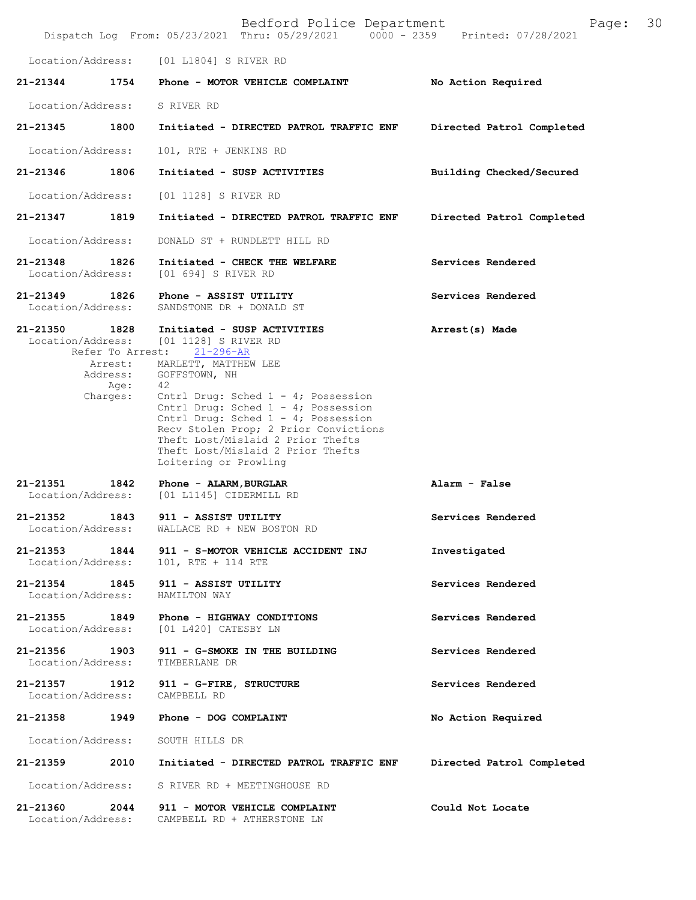|                                                                          |                                                           | Bedford Police Department                                                                                                                                                                                 | Page:<br>Dispatch Log From: 05/23/2021 Thru: 05/29/2021 0000 - 2359 Printed: 07/28/2021 | 30 |
|--------------------------------------------------------------------------|-----------------------------------------------------------|-----------------------------------------------------------------------------------------------------------------------------------------------------------------------------------------------------------|-----------------------------------------------------------------------------------------|----|
| Location/Address:                                                        |                                                           | [01 L1804] S RIVER RD                                                                                                                                                                                     |                                                                                         |    |
| 21-21344                                                                 | 1754                                                      | Phone - MOTOR VEHICLE COMPLAINT                                                                                                                                                                           | No Action Required                                                                      |    |
| Location/Address:                                                        | S RIVER RD                                                |                                                                                                                                                                                                           |                                                                                         |    |
| 21-21345                                                                 | 1800                                                      | Initiated - DIRECTED PATROL TRAFFIC ENF                                                                                                                                                                   | Directed Patrol Completed                                                               |    |
| Location/Address:                                                        |                                                           | 101, RTE + JENKINS RD                                                                                                                                                                                     |                                                                                         |    |
| 21-21346                                                                 | 1806                                                      | Initiated - SUSP ACTIVITIES                                                                                                                                                                               | Building Checked/Secured                                                                |    |
| Location/Address:                                                        |                                                           | [01 1128] S RIVER RD                                                                                                                                                                                      |                                                                                         |    |
| 21-21347                                                                 | 1819                                                      | Initiated - DIRECTED PATROL TRAFFIC ENF                                                                                                                                                                   | Directed Patrol Completed                                                               |    |
| Location/Address:                                                        |                                                           | DONALD ST + RUNDLETT HILL RD                                                                                                                                                                              |                                                                                         |    |
| 21-21348<br>Location/Address:                                            | 1826                                                      | Initiated - CHECK THE WELFARE<br>[01 694] S RIVER RD                                                                                                                                                      | Services Rendered                                                                       |    |
| 21-21349 1826<br>Location/Address:                                       |                                                           | Phone - ASSIST UTILITY<br>SANDSTONE DR + DONALD ST                                                                                                                                                        | Services Rendered                                                                       |    |
| 21-21350<br>1828<br>Location/Address:<br>Arrest:<br>Address:<br>Charges: | Refer To Arrest: 21-296-AR<br>GOFFSTOWN, NH<br>42<br>Age: | Initiated - SUSP ACTIVITIES<br>[01 1128] S RIVER RD<br>MARLETT, MATTHEW LEE<br>Cntrl Drug: Sched 1 - 4; Possession<br>Cntrl Drug: Sched 1 - 4; Possession                                                 | Arrest(s) Made                                                                          |    |
| 21-21351                                                                 | 1842                                                      | Cntrl Drug: Sched 1 - 4; Possession<br>Recv Stolen Prop; 2 Prior Convictions<br>Theft Lost/Mislaid 2 Prior Thefts<br>Theft Lost/Mislaid 2 Prior Thefts<br>Loitering or Prowling<br>Phone - ALARM, BURGLAR | Alarm - False                                                                           |    |
| Location/Address:                                                        |                                                           | [01 L1145] CIDERMILL RD                                                                                                                                                                                   |                                                                                         |    |
| 21-21352<br>Location/Address:                                            | 1843                                                      | 911 - ASSIST UTILITY<br>WALLACE RD + NEW BOSTON RD                                                                                                                                                        | Services Rendered                                                                       |    |
| 21-21353 1844<br>Location/Address: 101, RTE + 114 RTE                    |                                                           | 911 - S-MOTOR VEHICLE ACCIDENT INJ                                                                                                                                                                        | Investigated                                                                            |    |
| 21-21354 1845<br>Location/Address:                                       | HAMILTON WAY                                              | 911 - ASSIST UTILITY                                                                                                                                                                                      | Services Rendered                                                                       |    |
| 21-21355 1849<br>Location/Address:                                       |                                                           | Phone - HIGHWAY CONDITIONS<br>[01 L420] CATESBY LN                                                                                                                                                        | Services Rendered                                                                       |    |
| Location/Address:                                                        | TIMBERLANE DR                                             | 21-21356 1903 911 - G-SMOKE IN THE BUILDING                                                                                                                                                               | Services Rendered                                                                       |    |
| 21-21357 1912<br>Location/Address:                                       | CAMPBELL RD                                               | 911 - G-FIRE, STRUCTURE                                                                                                                                                                                   | Services Rendered                                                                       |    |
| 21-21358                                                                 | 1949                                                      | Phone - DOG COMPLAINT                                                                                                                                                                                     | No Action Required                                                                      |    |
| Location/Address:                                                        | SOUTH HILLS DR                                            |                                                                                                                                                                                                           |                                                                                         |    |
| 21-21359                                                                 | 2010                                                      | Initiated - DIRECTED PATROL TRAFFIC ENF                                                                                                                                                                   | Directed Patrol Completed                                                               |    |
| Location/Address:                                                        |                                                           | S RIVER RD + MEETINGHOUSE RD                                                                                                                                                                              |                                                                                         |    |
| 21-21360<br>Location/Address:                                            | 2044                                                      | 911 - MOTOR VEHICLE COMPLAINT<br>CAMPBELL RD + ATHERSTONE LN                                                                                                                                              | Could Not Locate                                                                        |    |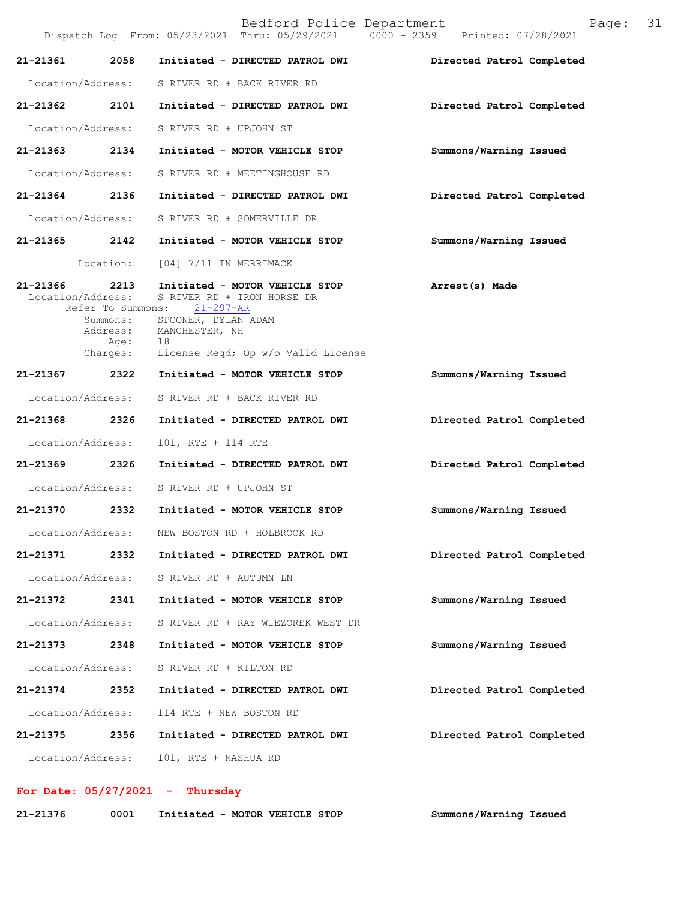Bedford Police Department Page: 31 Dispatch Log From: 05/23/2021 Thru: 05/29/2021 **21-21361 2058 Initiated - DIRECTED PATROL DWI Directed Patrol Completed**  Location/Address: S RIVER RD + BACK RIVER RD **21-21362 2101 Initiated - DIRECTED PATROL DWI Directed Patrol Completed**  Location/Address: S RIVER RD + UPJOHN ST **21-21363 2134 Initiated - MOTOR VEHICLE STOP Summons/Warning Issued**  Location/Address: S RIVER RD + MEETINGHOUSE RD **21-21364 2136 Initiated - DIRECTED PATROL DWI Directed Patrol Completed**  Location/Address: S RIVER RD + SOMERVILLE DR **21-21365 2142 Initiated - MOTOR VEHICLE STOP Summons/Warning Issued**  Location: [04] 7/11 IN MERRIMACK **21-21366 2213 Initiated - MOTOR VEHICLE STOP Arrest(s) Made**  S RIVER RD + IRON HORSE DR<br>
ons: 21-297-AR Refer To Summons: Summons: SPOONER, DYLAN ADAM<br>Address: MANCHESTER, NH MANCHESTER, NH Age: 18 Charges: License Reqd; Op w/o Valid License **21-21367 2322 Initiated - MOTOR VEHICLE STOP Summons/Warning Issued** Location/Address: S RIVER RD + BACK RIVER RD **21-21368 2326 Initiated - DIRECTED PATROL DWI Directed Patrol Completed** Location/Address: 101, RTE + 114 RTE **21-21369 2326 Initiated - DIRECTED PATROL DWI Directed Patrol Completed** Location/Address: S RIVER RD + UPJOHN ST **21-21370 2332 Initiated - MOTOR VEHICLE STOP Summons/Warning Issued** Location/Address: NEW BOSTON RD + HOLBROOK RD **21-21371 2332 Initiated - DIRECTED PATROL DWI Directed Patrol Completed** Location/Address: S RIVER RD + AUTUMN LN **21-21372 2341 Initiated - MOTOR VEHICLE STOP Summons/Warning Issued** Location/Address: S RIVER RD + RAY WIEZOREK WEST DR **21-21373 2348 Initiated - MOTOR VEHICLE STOP Summons/Warning Issued** Location/Address: S RIVER RD + KILTON RD **21-21374 2352 Initiated - DIRECTED PATROL DWI Directed Patrol Completed** Location/Address: 114 RTE + NEW BOSTON RD **21-21375 2356 Initiated - DIRECTED PATROL DWI Directed Patrol Completed** Location/Address: 101, RTE + NASHUA RD

## **For Date: 05/27/2021 - Thursday**

| 21-21376 | 0001 | Initiated - MOTOR VEHICLE STOP | Summons/Warning Issued |
|----------|------|--------------------------------|------------------------|
|----------|------|--------------------------------|------------------------|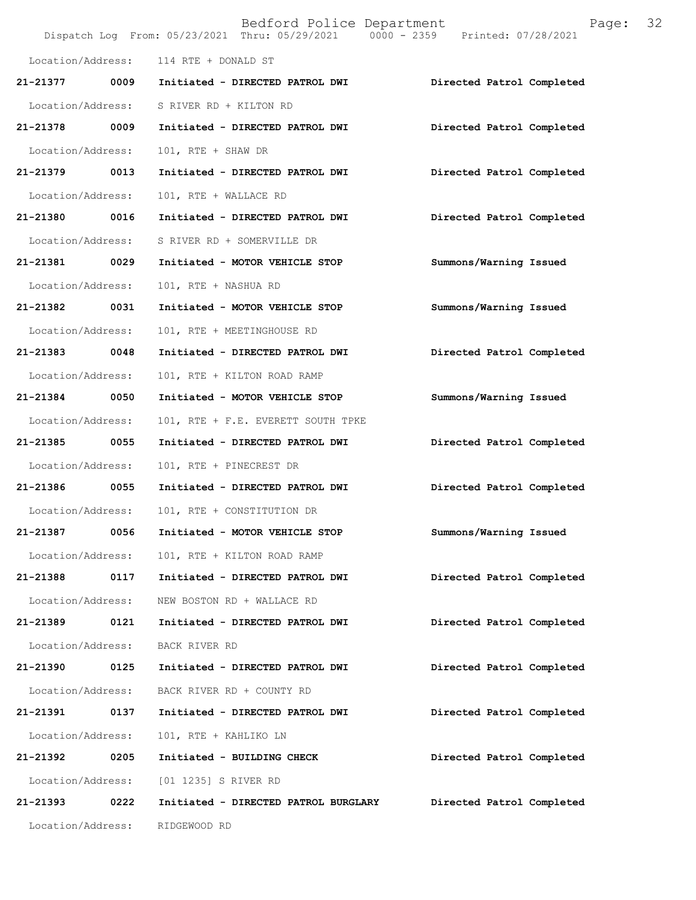|                   |      | Bedford Police Department<br>Dispatch Log From: 05/23/2021 Thru: 05/29/2021 0000 - 2359 Printed: 07/28/2021 | 32<br>Page:               |
|-------------------|------|-------------------------------------------------------------------------------------------------------------|---------------------------|
| Location/Address: |      | 114 RTE + DONALD ST                                                                                         |                           |
| 21-21377          | 0009 | Initiated - DIRECTED PATROL DWI                                                                             | Directed Patrol Completed |
| Location/Address: |      | S RIVER RD + KILTON RD                                                                                      |                           |
| 21-21378          | 0009 | Initiated - DIRECTED PATROL DWI                                                                             | Directed Patrol Completed |
| Location/Address: |      | 101, RTE + SHAW DR                                                                                          |                           |
| 21-21379 0013     |      | Initiated - DIRECTED PATROL DWI                                                                             | Directed Patrol Completed |
| Location/Address: |      | 101, RTE + WALLACE RD                                                                                       |                           |
| 21-21380 0016     |      | Initiated - DIRECTED PATROL DWI                                                                             | Directed Patrol Completed |
| Location/Address: |      | S RIVER RD + SOMERVILLE DR                                                                                  |                           |
| 21-21381          | 0029 | Initiated - MOTOR VEHICLE STOP                                                                              | Summons/Warning Issued    |
| Location/Address: |      | 101, RTE + NASHUA RD                                                                                        |                           |
| 21-21382 0031     |      | Initiated - MOTOR VEHICLE STOP                                                                              | Summons/Warning Issued    |
| Location/Address: |      | 101, RTE + MEETINGHOUSE RD                                                                                  |                           |
| 21-21383 0048     |      | Initiated - DIRECTED PATROL DWI                                                                             | Directed Patrol Completed |
| Location/Address: |      | 101, RTE + KILTON ROAD RAMP                                                                                 |                           |
| 21-21384          | 0050 | Initiated - MOTOR VEHICLE STOP                                                                              | Summons/Warning Issued    |
| Location/Address: |      | 101, RTE + F.E. EVERETT SOUTH TPKE                                                                          |                           |
| 21-21385 0055     |      | Initiated - DIRECTED PATROL DWI                                                                             | Directed Patrol Completed |
| Location/Address: |      | 101, RTE + PINECREST DR                                                                                     |                           |
| 21-21386 0055     |      | Initiated - DIRECTED PATROL DWI                                                                             | Directed Patrol Completed |
| Location/Address: |      | 101, RTE + CONSTITUTION DR                                                                                  |                           |
| 21-21387          | 0056 | Initiated - MOTOR VEHICLE STOP                                                                              | Summons/Warning Issued    |
| Location/Address: |      | 101, RTE + KILTON ROAD RAMP                                                                                 |                           |
| 21-21388          | 0117 | Initiated - DIRECTED PATROL DWI                                                                             | Directed Patrol Completed |
| Location/Address: |      | NEW BOSTON RD + WALLACE RD                                                                                  |                           |
| 21-21389          | 0121 | Initiated - DIRECTED PATROL DWI                                                                             | Directed Patrol Completed |
| Location/Address: |      | BACK RIVER RD                                                                                               |                           |
| 21-21390          | 0125 | Initiated - DIRECTED PATROL DWI                                                                             | Directed Patrol Completed |
| Location/Address: |      | BACK RIVER RD + COUNTY RD                                                                                   |                           |
| 21-21391          | 0137 | Initiated - DIRECTED PATROL DWI                                                                             | Directed Patrol Completed |
| Location/Address: |      | 101, RTE + KAHLIKO LN                                                                                       |                           |
| 21-21392          | 0205 | Initiated - BUILDING CHECK                                                                                  | Directed Patrol Completed |
| Location/Address: |      | [01 1235] S RIVER RD                                                                                        |                           |
| 21-21393          | 0222 | Initiated - DIRECTED PATROL BURGLARY                                                                        | Directed Patrol Completed |
| Location/Address: |      | RIDGEWOOD RD                                                                                                |                           |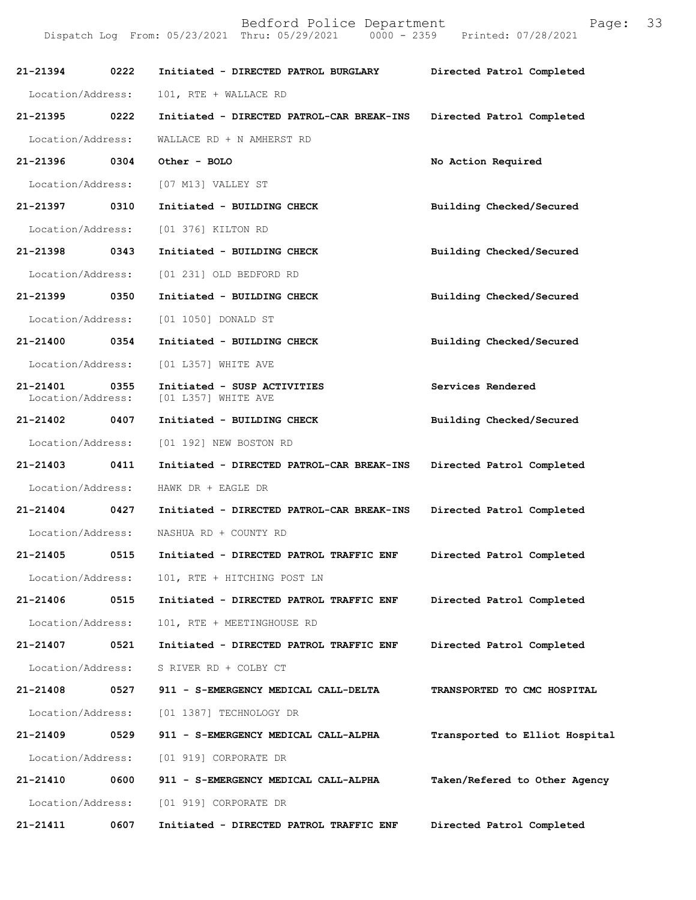| 'aqe: |  | 33 |
|-------|--|----|
|       |  |    |

| 21-21394 0222                 |      | Initiated - DIRECTED PATROL BURGLARY               | Directed Patrol Completed      |
|-------------------------------|------|----------------------------------------------------|--------------------------------|
| Location/Address:             |      | 101, RTE + WALLACE RD                              |                                |
| 21-21395                      | 0222 | Initiated - DIRECTED PATROL-CAR BREAK-INS          | Directed Patrol Completed      |
| Location/Address:             |      | WALLACE RD + N AMHERST RD                          |                                |
| 21-21396 0304                 |      | Other - BOLO                                       | No Action Required             |
|                               |      | Location/Address: [07 M13] VALLEY ST               |                                |
| 21-21397 0310                 |      | Initiated - BUILDING CHECK                         | Building Checked/Secured       |
| Location/Address:             |      | [01 376] KILTON RD                                 |                                |
| 21-21398 0343                 |      | Initiated - BUILDING CHECK                         | Building Checked/Secured       |
| Location/Address:             |      | [01 231] OLD BEDFORD RD                            |                                |
| 21-21399                      | 0350 | Initiated - BUILDING CHECK                         | Building Checked/Secured       |
|                               |      | Location/Address: [01 1050] DONALD ST              |                                |
| 21-21400 0354                 |      | Initiated - BUILDING CHECK                         | Building Checked/Secured       |
| Location/Address:             |      | [01 L357] WHITE AVE                                |                                |
| 21-21401<br>Location/Address: | 0355 | Initiated - SUSP ACTIVITIES<br>[01 L357] WHITE AVE | Services Rendered              |
| 21-21402                      | 0407 | Initiated - BUILDING CHECK                         | Building Checked/Secured       |
|                               |      | Location/Address: [01 192] NEW BOSTON RD           |                                |
| 21-21403 0411                 |      | Initiated - DIRECTED PATROL-CAR BREAK-INS          | Directed Patrol Completed      |
| Location/Address:             |      | HAWK DR + EAGLE DR                                 |                                |
| 21-21404 0427                 |      | Initiated - DIRECTED PATROL-CAR BREAK-INS          | Directed Patrol Completed      |
| Location/Address:             |      | NASHUA RD + COUNTY RD                              |                                |
| 21-21405                      | 0515 | Initiated - DIRECTED PATROL TRAFFIC ENF            | Directed Patrol Completed      |
|                               |      | Location/Address: 101, RTE + HITCHING POST LN      |                                |
| 21-21406                      | 0515 | Initiated - DIRECTED PATROL TRAFFIC ENF            | Directed Patrol Completed      |
| Location/Address:             |      | 101, RTE + MEETINGHOUSE RD                         |                                |
| 21-21407                      | 0521 | Initiated - DIRECTED PATROL TRAFFIC ENF            | Directed Patrol Completed      |
|                               |      | Location/Address: S RIVER RD + COLBY CT            |                                |
| 21-21408                      | 0527 | 911 - S-EMERGENCY MEDICAL CALL-DELTA               | TRANSPORTED TO CMC HOSPITAL    |
|                               |      | Location/Address: [01 1387] TECHNOLOGY DR          |                                |
| 21-21409                      | 0529 | 911 - S-EMERGENCY MEDICAL CALL-ALPHA               | Transported to Elliot Hospital |
|                               |      | Location/Address: [01 919] CORPORATE DR            |                                |
| 21-21410                      | 0600 | 911 - S-EMERGENCY MEDICAL CALL-ALPHA               | Taken/Refered to Other Agency  |
|                               |      | Location/Address: [01 919] CORPORATE DR            |                                |
| 21-21411                      | 0607 | Initiated - DIRECTED PATROL TRAFFIC ENF            | Directed Patrol Completed      |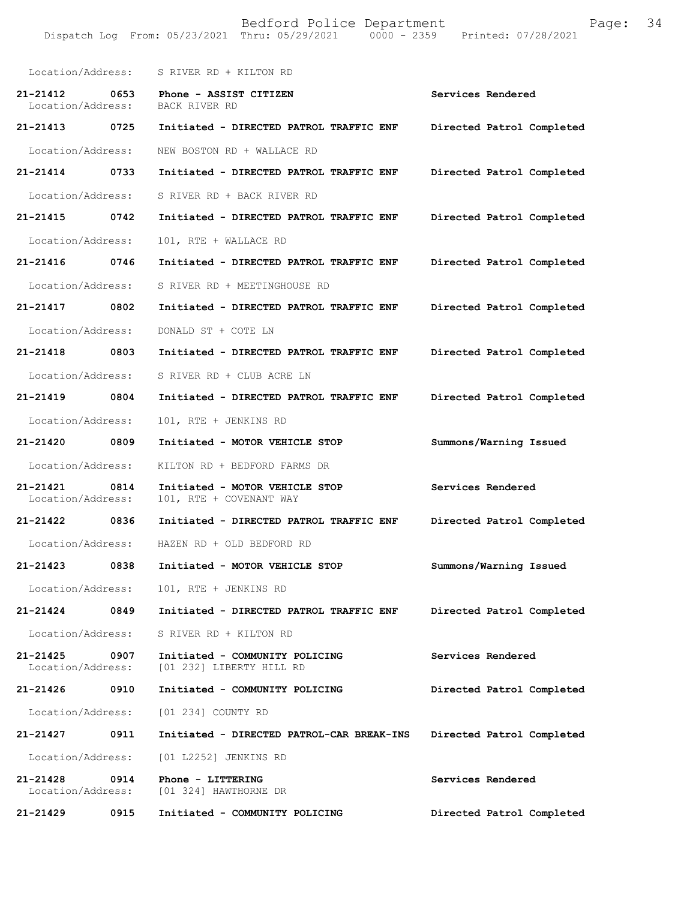| Location/Address:                     | S RIVER RD + KILTON RD                                     |                           |
|---------------------------------------|------------------------------------------------------------|---------------------------|
| 21-21412<br>0653<br>Location/Address: | Phone - ASSIST CITIZEN<br>BACK RIVER RD                    | Services Rendered         |
| 21-21413<br>0725                      | Initiated - DIRECTED PATROL TRAFFIC ENF                    | Directed Patrol Completed |
| Location/Address:                     | NEW BOSTON RD + WALLACE RD                                 |                           |
| 21-21414 0733                         | Initiated - DIRECTED PATROL TRAFFIC ENF                    | Directed Patrol Completed |
| Location/Address:                     | S RIVER RD + BACK RIVER RD                                 |                           |
| 21-21415 0742                         | Initiated - DIRECTED PATROL TRAFFIC ENF                    | Directed Patrol Completed |
| Location/Address:                     | 101, RTE + WALLACE RD                                      |                           |
| 21-21416<br>0746                      | Initiated - DIRECTED PATROL TRAFFIC ENF                    | Directed Patrol Completed |
| Location/Address:                     | S RIVER RD + MEETINGHOUSE RD                               |                           |
| 21-21417<br>0802                      | Initiated - DIRECTED PATROL TRAFFIC ENF                    | Directed Patrol Completed |
| Location/Address:                     | DONALD ST + COTE LN                                        |                           |
| 21-21418<br>0803                      | Initiated - DIRECTED PATROL TRAFFIC ENF                    | Directed Patrol Completed |
| Location/Address:                     | S RIVER RD + CLUB ACRE LN                                  |                           |
| 21-21419 0804                         | Initiated - DIRECTED PATROL TRAFFIC ENF                    | Directed Patrol Completed |
| Location/Address:                     | 101, RTE + JENKINS RD                                      |                           |
| 21-21420 0809                         | Initiated - MOTOR VEHICLE STOP                             | Summons/Warning Issued    |
| Location/Address:                     | KILTON RD + BEDFORD FARMS DR                               |                           |
| 21-21421<br>0814<br>Location/Address: | Initiated - MOTOR VEHICLE STOP<br>101, RTE + COVENANT WAY  | Services Rendered         |
| 21-21422 0836                         | Initiated - DIRECTED PATROL TRAFFIC ENF                    | Directed Patrol Completed |
| Location/Address:                     | HAZEN RD + OLD BEDFORD RD                                  |                           |
| 21-21423<br>0838                      | Initiated - MOTOR VEHICLE STOP                             | Summons/Warning Issued    |
| Location/Address:                     | 101, RTE + JENKINS RD                                      |                           |
| 21-21424<br>0849                      | Initiated - DIRECTED PATROL TRAFFIC ENF                    | Directed Patrol Completed |
| Location/Address:                     | S RIVER RD + KILTON RD                                     |                           |
| 21-21425<br>0907<br>Location/Address: | Initiated - COMMUNITY POLICING<br>[01 232] LIBERTY HILL RD | Services Rendered         |
| 21-21426<br>0910                      | Initiated - COMMUNITY POLICING                             | Directed Patrol Completed |
| Location/Address:                     | [01 234] COUNTY RD                                         |                           |
| 21-21427<br>0911                      | Initiated - DIRECTED PATROL-CAR BREAK-INS                  | Directed Patrol Completed |
| Location/Address:                     | [01 L2252] JENKINS RD                                      |                           |
| 0914<br>21-21428<br>Location/Address: | Phone - LITTERING<br>[01 324] HAWTHORNE DR                 | Services Rendered         |
| 21-21429<br>0915                      | Initiated - COMMUNITY POLICING                             | Directed Patrol Completed |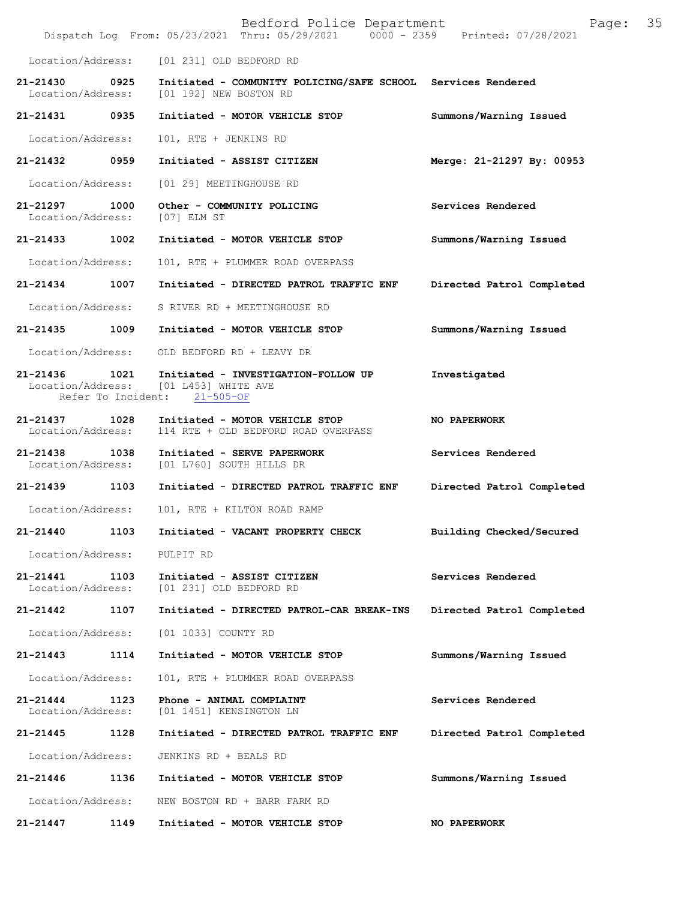|                               |                            | Bedford Police Department<br>Dispatch Log From: 05/23/2021 Thru: 05/29/2021 0000 - 2359 Printed: 07/28/2021 | 35<br>Page:               |
|-------------------------------|----------------------------|-------------------------------------------------------------------------------------------------------------|---------------------------|
| Location/Address:             |                            | [01 231] OLD BEDFORD RD                                                                                     |                           |
| 21-21430<br>Location/Address: | 0925                       | Initiated - COMMUNITY POLICING/SAFE SCHOOL Services Rendered<br>[01 192] NEW BOSTON RD                      |                           |
| 21-21431 0935                 |                            | Initiated - MOTOR VEHICLE STOP                                                                              | Summons/Warning Issued    |
| Location/Address:             |                            | 101, RTE + JENKINS RD                                                                                       |                           |
| $21 - 21432$                  | 0959                       | Initiated - ASSIST CITIZEN                                                                                  | Merge: 21-21297 By: 00953 |
| Location/Address:             |                            | [01 29] MEETINGHOUSE RD                                                                                     |                           |
| 21-21297<br>Location/Address: | 1000                       | Other - COMMUNITY POLICING<br>[07] ELM ST                                                                   | Services Rendered         |
| 21-21433 1002                 |                            | Initiated - MOTOR VEHICLE STOP                                                                              | Summons/Warning Issued    |
| Location/Address:             |                            | 101, RTE + PLUMMER ROAD OVERPASS                                                                            |                           |
| 21-21434                      | 1007                       | Initiated - DIRECTED PATROL TRAFFIC ENF                                                                     | Directed Patrol Completed |
| Location/Address:             |                            | S RIVER RD + MEETINGHOUSE RD                                                                                |                           |
| 21-21435                      | 1009                       | Initiated - MOTOR VEHICLE STOP                                                                              | Summons/Warning Issued    |
| Location/Address:             |                            | OLD BEDFORD RD + LEAVY DR                                                                                   |                           |
| 21-21436<br>Location/Address: | 1021<br>Refer To Incident: | Initiated - INVESTIGATION-FOLLOW UP<br>[01 L453] WHITE AVE<br>$21 - 505 - OF$                               | Investigated              |
| 21-21437<br>Location/Address: | 1028                       | Initiated - MOTOR VEHICLE STOP<br>114 RTE + OLD BEDFORD ROAD OVERPASS                                       | NO PAPERWORK              |
| 21-21438<br>Location/Address: | 1038                       | Initiated - SERVE PAPERWORK<br>[01 L760] SOUTH HILLS DR                                                     | Services Rendered         |
| 21-21439                      | 1103                       | Initiated - DIRECTED PATROL TRAFFIC ENF                                                                     | Directed Patrol Completed |
| Location/Address:             |                            | 101, RTE + KILTON ROAD RAMP                                                                                 |                           |
| 21-21440                      | 1103                       | Initiated - VACANT PROPERTY CHECK                                                                           | Building Checked/Secured  |
| Location/Address:             |                            | PULPIT RD                                                                                                   |                           |
| 21-21441<br>Location/Address: | 1103                       | Initiated - ASSIST CITIZEN<br>[01 231] OLD BEDFORD RD                                                       | Services Rendered         |
| 21-21442                      | 1107                       | Initiated - DIRECTED PATROL-CAR BREAK-INS                                                                   | Directed Patrol Completed |
| Location/Address:             |                            | [01 1033] COUNTY RD                                                                                         |                           |
| 21-21443                      | 1114                       | Initiated - MOTOR VEHICLE STOP                                                                              | Summons/Warning Issued    |
| Location/Address:             |                            | 101, RTE + PLUMMER ROAD OVERPASS                                                                            |                           |
| 21-21444<br>Location/Address: | 1123                       | Phone - ANIMAL COMPLAINT<br>[01 1451] KENSINGTON LN                                                         | Services Rendered         |
| 21-21445                      | 1128                       | Initiated - DIRECTED PATROL TRAFFIC ENF                                                                     | Directed Patrol Completed |
| Location/Address:             |                            | JENKINS RD + BEALS RD                                                                                       |                           |
| 21-21446                      | 1136                       | Initiated - MOTOR VEHICLE STOP                                                                              | Summons/Warning Issued    |
| Location/Address:             |                            | NEW BOSTON RD + BARR FARM RD                                                                                |                           |
| 21-21447                      | 1149                       | Initiated - MOTOR VEHICLE STOP                                                                              | NO PAPERWORK              |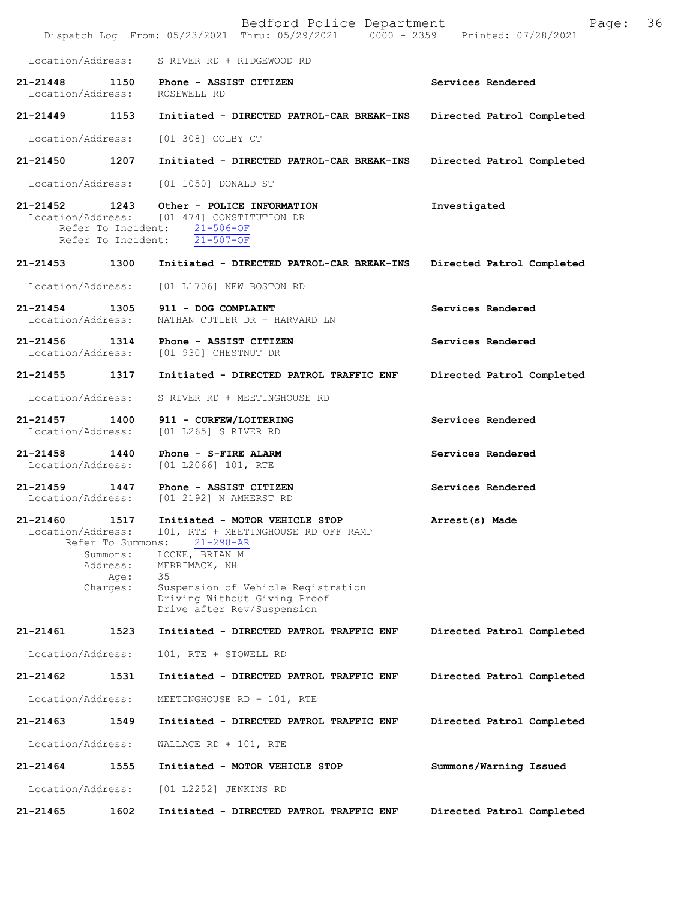Bedford Police Department Page: 36 Dispatch Log From: 05/23/2021 Thru: 05/29/2021 Location/Address: S RIVER RD + RIDGEWOOD RD **21-21448 1150 Phone - ASSIST CITIZEN Services Rendered**  Location/Address: **21-21449 1153 Initiated - DIRECTED PATROL-CAR BREAK-INS Directed Patrol Completed**  Location/Address: [01 308] COLBY CT **21-21450 1207 Initiated - DIRECTED PATROL-CAR BREAK-INS Directed Patrol Completed**  Location/Address: [01 1050] DONALD ST **21-21452 1243 Other - POLICE INFORMATION Investigated**  Location/Address: [01 474] CONSTITUTION DR Refer To Incident:  $\frac{21-506-OF}{21-507-OF}$ Refer To Incident: **21-21453 1300 Initiated - DIRECTED PATROL-CAR BREAK-INS Directed Patrol Completed**  Location/Address: [01 L1706] NEW BOSTON RD **21-21454 1305 911 - DOG COMPLAINT Services Rendered**  Location/Address: NATHAN CUTLER DR + HARVARD LN **21-21456 1314 Phone - ASSIST CITIZEN Services Rendered**  Location/Address: [01 930] CHESTNUT DR **21-21455 1317 Initiated - DIRECTED PATROL TRAFFIC ENF Directed Patrol Completed**  Location/Address: S RIVER RD + MEETINGHOUSE RD **21-21457 1400 911 - CURFEW/LOITERING Services Rendered**  Location/Address: [01 L265] S RIVER RD **21-21458 1440 Phone - S-FIRE ALARM Services Rendered**  Location/Address: [01 L2066] 101, RTE **21-21459 1447 Phone - ASSIST CITIZEN Services Rendered**  Location/Address: [01 2192] N AMHERST RD **21-21460 1517 Initiated - MOTOR VEHICLE STOP Arrest(s) Made**  Location/Address: 101, RTE + MEETINGHOUSE RD OFF RAMP<br>Refer To Summons: 21-298-AR Refer To Summons: Summons: LOCKE, BRIAN M<br>Address: MERRIMACK, NH MERRIMACK, NH<br>35 Age: Charges: Suspension of Vehicle Registration Driving Without Giving Proof Drive after Rev/Suspension **21-21461 1523 Initiated - DIRECTED PATROL TRAFFIC ENF Directed Patrol Completed** Location/Address: 101, RTE + STOWELL RD **21-21462 1531 Initiated - DIRECTED PATROL TRAFFIC ENF Directed Patrol Completed** Location/Address: MEETINGHOUSE RD + 101, RTE **21-21463 1549 Initiated - DIRECTED PATROL TRAFFIC ENF Directed Patrol Completed** Location/Address: WALLACE RD + 101, RTE **21-21464 1555 Initiated - MOTOR VEHICLE STOP Summons/Warning Issued** Location/Address: [01 L2252] JENKINS RD **21-21465 1602 Initiated - DIRECTED PATROL TRAFFIC ENF Directed Patrol Completed**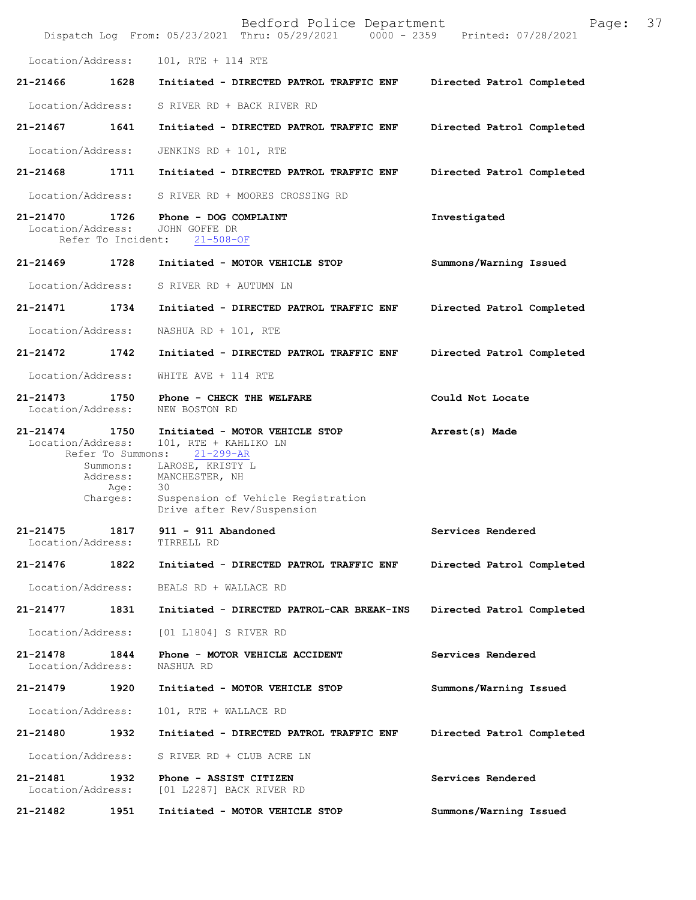|               |                                                 | Bedford Police Department<br>Dispatch Log From: 05/23/2021 Thru: 05/29/2021 0000 - 2359 Printed: 07/28/2021 | 37<br>Page:               |
|---------------|-------------------------------------------------|-------------------------------------------------------------------------------------------------------------|---------------------------|
|               | Location/Address:                               | 101, RTE + 114 RTE                                                                                          |                           |
| 21-21466      | 1628                                            | Initiated - DIRECTED PATROL TRAFFIC ENF                                                                     | Directed Patrol Completed |
|               | Location/Address:                               | S RIVER RD + BACK RIVER RD                                                                                  |                           |
| 21-21467      | 1641                                            | Initiated - DIRECTED PATROL TRAFFIC ENF                                                                     | Directed Patrol Completed |
|               | Location/Address:                               | JENKINS RD + 101, RTE                                                                                       |                           |
| 21-21468      | 1711                                            | Initiated - DIRECTED PATROL TRAFFIC ENF                                                                     | Directed Patrol Completed |
|               | Location/Address:                               | S RIVER RD + MOORES CROSSING RD                                                                             |                           |
| 21-21470      | 1726<br>Location/Address:<br>Refer To Incident: | Phone - DOG COMPLAINT<br>JOHN GOFFE DR<br>$21 - 508 - OF$                                                   | Investigated              |
| 21-21469 1728 |                                                 | Initiated - MOTOR VEHICLE STOP                                                                              | Summons/Warning Issued    |
|               | Location/Address:                               | S RIVER RD + AUTUMN LN                                                                                      |                           |
| 21-21471      | 1734                                            | Initiated - DIRECTED PATROL TRAFFIC ENF                                                                     | Directed Patrol Completed |
|               | Location/Address:                               | NASHUA RD + $101$ , RTE                                                                                     |                           |
| 21-21472      | 1742                                            | Initiated - DIRECTED PATROL TRAFFIC ENF                                                                     | Directed Patrol Completed |
|               | Location/Address:                               | WHITE AVE + 114 RTE                                                                                         |                           |
| 21-21473      | 1750<br>Location/Address:                       | Phone - CHECK THE WELFARE<br>NEW BOSTON RD                                                                  | Could Not Locate          |
| $21 - 21474$  | 1750<br>Location/Address:<br>Refer To Summons:  | Initiated - MOTOR VEHICLE STOP<br>101, RTE + KAHLIKO LN<br>$21 - 299 - AR$                                  | Arrest(s) Made            |
|               | Summons:<br>Address:<br>Age:                    | LAROSE, KRISTY L<br>MANCHESTER, NH<br>30                                                                    |                           |
|               | Charges:                                        | Suspension of Vehicle Registration<br>Drive after Rev/Suspension                                            |                           |
| $21 - 21475$  | 1817<br>Location/Address:                       | 911 - 911 Abandoned<br>TIRRELL RD                                                                           | Services Rendered         |
| 21-21476      | 1822                                            | Initiated - DIRECTED PATROL TRAFFIC ENF                                                                     | Directed Patrol Completed |
|               | Location/Address:                               | BEALS RD + WALLACE RD                                                                                       |                           |
| 21-21477      | 1831                                            | Initiated - DIRECTED PATROL-CAR BREAK-INS                                                                   | Directed Patrol Completed |
|               | Location/Address:                               | [01 L1804] S RIVER RD                                                                                       |                           |
| 21-21478      | 1844<br>Location/Address:                       | Phone - MOTOR VEHICLE ACCIDENT<br>NASHUA RD                                                                 | Services Rendered         |
| 21-21479      | 1920                                            | Initiated - MOTOR VEHICLE STOP                                                                              | Summons/Warning Issued    |
|               | Location/Address:                               | 101, RTE + WALLACE RD                                                                                       |                           |
| 21-21480      | 1932                                            | Initiated - DIRECTED PATROL TRAFFIC ENF                                                                     | Directed Patrol Completed |
|               | Location/Address:                               | S RIVER RD + CLUB ACRE LN                                                                                   |                           |
| 21-21481      | 1932<br>Location/Address:                       | Phone - ASSIST CITIZEN<br>[01 L2287] BACK RIVER RD                                                          | Services Rendered         |
| 21-21482      | 1951                                            | Initiated - MOTOR VEHICLE STOP                                                                              | Summons/Warning Issued    |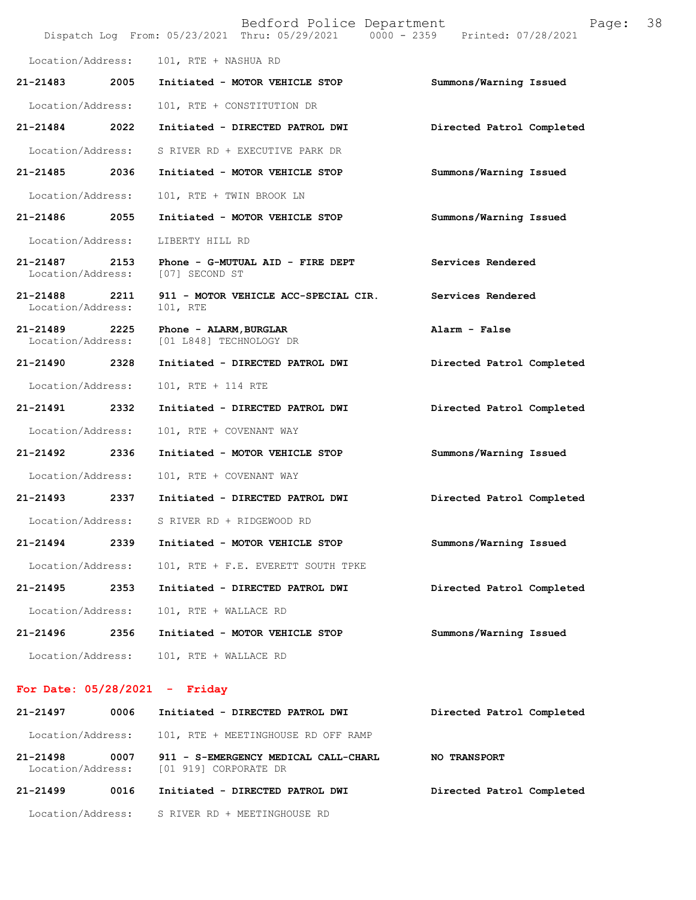|                                   |      | Bedford Police Department<br>Dispatch Log From: 05/23/2021 Thru: 05/29/2021 0000 - 2359 Printed: 07/28/2021 | Page:                     | 38 |
|-----------------------------------|------|-------------------------------------------------------------------------------------------------------------|---------------------------|----|
| Location/Address:                 |      | 101, RTE + NASHUA RD                                                                                        |                           |    |
| 21-21483                          | 2005 | Initiated - MOTOR VEHICLE STOP                                                                              | Summons/Warning Issued    |    |
| Location/Address:                 |      | 101, RTE + CONSTITUTION DR                                                                                  |                           |    |
| 21-21484                          | 2022 | Initiated - DIRECTED PATROL DWI                                                                             | Directed Patrol Completed |    |
| Location/Address:                 |      | S RIVER RD + EXECUTIVE PARK DR                                                                              |                           |    |
| 21-21485                          | 2036 | Initiated - MOTOR VEHICLE STOP                                                                              | Summons/Warning Issued    |    |
| Location/Address:                 |      | 101, RTE + TWIN BROOK LN                                                                                    |                           |    |
| 21-21486                          | 2055 | Initiated - MOTOR VEHICLE STOP                                                                              | Summons/Warning Issued    |    |
| Location/Address:                 |      | LIBERTY HILL RD                                                                                             |                           |    |
| 21-21487<br>Location/Address:     | 2153 | Phone - G-MUTUAL AID - FIRE DEPT<br>[07] SECOND ST                                                          | Services Rendered         |    |
| $21 - 21488$<br>Location/Address: | 2211 | 911 - MOTOR VEHICLE ACC-SPECIAL CIR.<br>101, RTE                                                            | Services Rendered         |    |
| 21-21489<br>Location/Address:     | 2225 | Phone - ALARM, BURGLAR<br>[01 L848] TECHNOLOGY DR                                                           | Alarm - False             |    |
| 21-21490 2328                     |      | Initiated - DIRECTED PATROL DWI                                                                             | Directed Patrol Completed |    |
| Location/Address:                 |      | 101, RTE + 114 RTE                                                                                          |                           |    |
| 21-21491                          | 2332 | Initiated - DIRECTED PATROL DWI                                                                             | Directed Patrol Completed |    |
| Location/Address:                 |      | 101, RTE + COVENANT WAY                                                                                     |                           |    |
| 21-21492                          | 2336 | Initiated - MOTOR VEHICLE STOP                                                                              | Summons/Warning Issued    |    |
| Location/Address:                 |      | 101, RTE + COVENANT WAY                                                                                     |                           |    |
| 21-21493                          | 2337 | Initiated - DIRECTED PATROL DWI                                                                             | Directed Patrol Completed |    |
| Location/Address:                 |      | S RIVER RD + RIDGEWOOD RD                                                                                   |                           |    |
| 21-21494                          | 2339 | Initiated - MOTOR VEHICLE STOP                                                                              | Summons/Warning Issued    |    |
| Location/Address:                 |      | 101, RTE + F.E. EVERETT SOUTH TPKE                                                                          |                           |    |
| 21-21495                          | 2353 | Initiated - DIRECTED PATROL DWI                                                                             | Directed Patrol Completed |    |
| Location/Address:                 |      | 101, RTE + WALLACE RD                                                                                       |                           |    |
| 21-21496                          | 2356 | Initiated - MOTOR VEHICLE STOP                                                                              | Summons/Warning Issued    |    |
| Location/Address:                 |      | 101, RTE + WALLACE RD                                                                                       |                           |    |
|                                   |      | For Date: $05/28/2021$ - Friday                                                                             |                           |    |

**21-21497 0006 Initiated - DIRECTED PATROL DWI Directed Patrol Completed** 

**21-21499 0016 Initiated - DIRECTED PATROL DWI Directed Patrol Completed** 

**21-21498 0007 911 - S-EMERGENCY MEDICAL CALL-CHARL NO TRANSPORT** 

Location/Address: 101, RTE + MEETINGHOUSE RD OFF RAMP

Location/Address: [01 919] CORPORATE DR

Location/Address: S RIVER RD + MEETINGHOUSE RD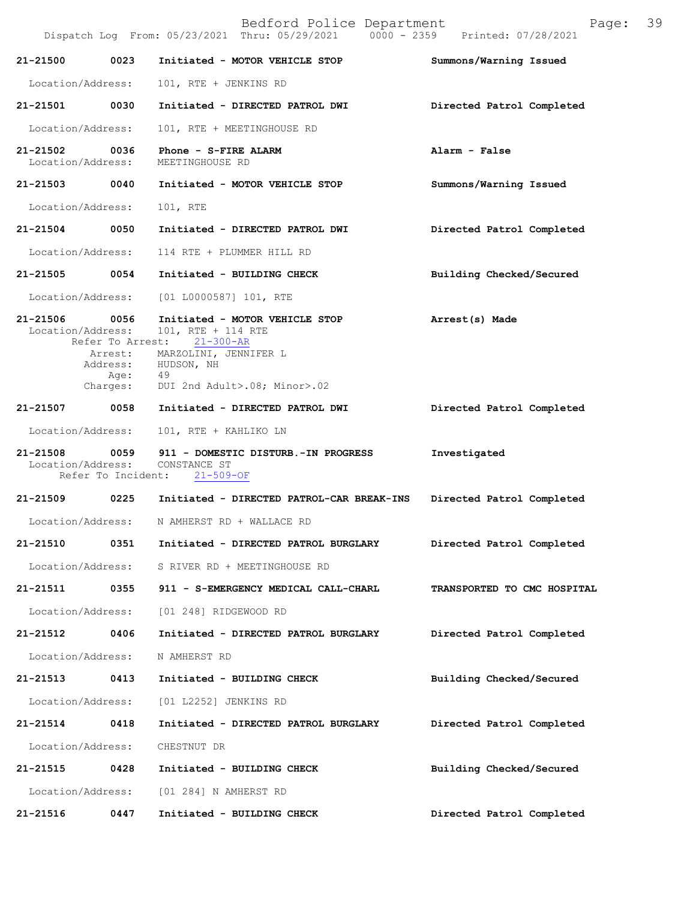Bedford Police Department Page: 39 Dispatch Log From: 05/23/2021 Thru: 05/29/2021 **21-21500 0023 Initiated - MOTOR VEHICLE STOP Summons/Warning Issued**  Location/Address: 101, RTE + JENKINS RD **21-21501 0030 Initiated - DIRECTED PATROL DWI Directed Patrol Completed**  Location/Address: 101, RTE + MEETINGHOUSE RD **21-21502** 0036 Phone - S-FIRE ALARM **Alarm - False Alarm - False Alarm - False** Location/Address: **21-21503 0040 Initiated - MOTOR VEHICLE STOP Summons/Warning Issued**  Location/Address: 101, RTE **21-21504 0050 Initiated - DIRECTED PATROL DWI Directed Patrol Completed**  Location/Address: 114 RTE + PLUMMER HILL RD **21-21505 0054 Initiated - BUILDING CHECK Building Checked/Secured**  Location/Address: [01 L0000587] 101, RTE **21-21506 0056 Initiated - MOTOR VEHICLE STOP Arrest(s) Made**  Location/Address: 101, RTE + 114 RTE Refer To Arrest: 21-300-AR **21-21508 0059 911 - DOMESTIC DISTURB.-IN PROGRESS Investigated**  Location/Address: CONSTANCE ST Refer To Incident: 21-509-OF **21-21509 0225 Initiated - DIRECTED PATROL-CAR BREAK-INS Directed Patrol Completed**  Location/Address: N AMHERST RD + WALLACE RD **21-21510 0351 Initiated - DIRECTED PATROL BURGLARY Directed Patrol Completed**  Location/Address: S RIVER RD + MEETINGHOUSE RD **21-21511 0355 911 - S-EMERGENCY MEDICAL CALL-CHARL TRANSPORTED TO CMC HOSPITAL**  Location/Address: [01 248] RIDGEWOOD RD **21-21512 0406 Initiated - DIRECTED PATROL BURGLARY Directed Patrol Completed**  Location/Address: N AMHERST RD **21-21513 0413 Initiated - BUILDING CHECK Building Checked/Secured**  Location/Address: [01 L2252] JENKINS RD **21-21514 0418 Initiated - DIRECTED PATROL BURGLARY Directed Patrol Completed**  Location/Address: CHESTNUT DR **21-21515 0428 Initiated - BUILDING CHECK Building Checked/Secured**  Location/Address: [01 284] N AMHERST RD Arrest: MARZOLINI, JENNIFER L Address: HUDSON, NH<br>Age: 49 Age: Charges: DUI 2nd Adult>.08; Minor>.02 **21-21507 0058 Initiated - DIRECTED PATROL DWI Directed Patrol Completed** Location/Address: 101, RTE + KAHLIKO LN

**21-21516 0447 Initiated - BUILDING CHECK Directed Patrol Completed**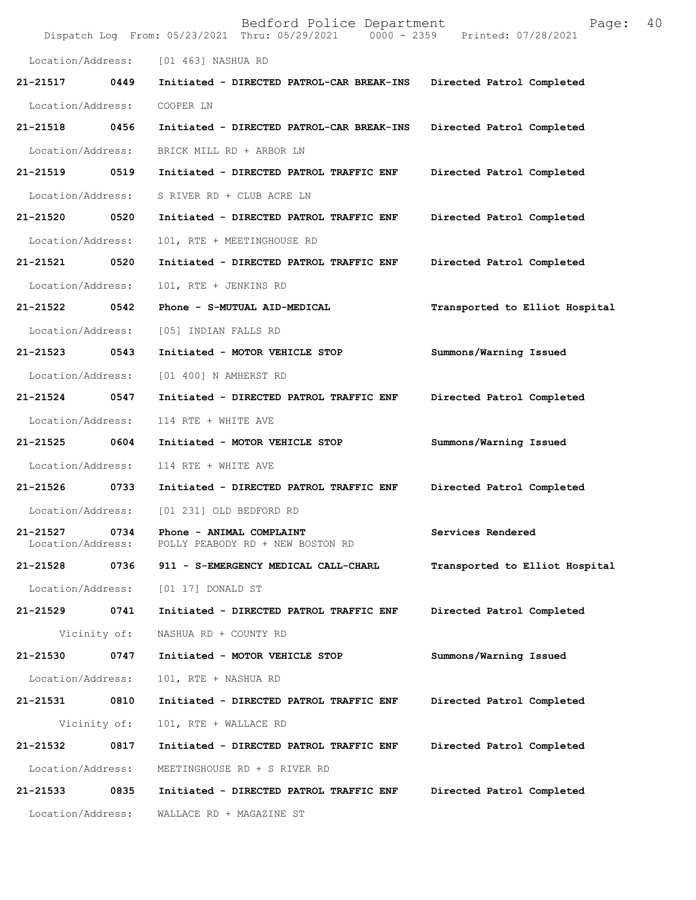|                                   |              | Bedford Police Department<br>Dispatch Log From: 05/23/2021 Thru: 05/29/2021 0000 - 2359 | 40<br>Page:<br>Printed: 07/28/2021 |
|-----------------------------------|--------------|-----------------------------------------------------------------------------------------|------------------------------------|
| Location/Address:                 |              | [01 463] NASHUA RD                                                                      |                                    |
| 21-21517                          | 0449         | Initiated - DIRECTED PATROL-CAR BREAK-INS                                               | Directed Patrol Completed          |
| Location/Address:                 |              | COOPER LN                                                                               |                                    |
| 21-21518                          | 0456         | Initiated - DIRECTED PATROL-CAR BREAK-INS                                               | Directed Patrol Completed          |
| Location/Address:                 |              | BRICK MILL RD + ARBOR LN                                                                |                                    |
| 21-21519                          | 0519         | Initiated - DIRECTED PATROL TRAFFIC ENF                                                 | Directed Patrol Completed          |
| Location/Address:                 |              | S RIVER RD + CLUB ACRE LN                                                               |                                    |
| 21-21520                          | 0520         | Initiated - DIRECTED PATROL TRAFFIC ENF                                                 | Directed Patrol Completed          |
| Location/Address:                 |              | 101, RTE + MEETINGHOUSE RD                                                              |                                    |
| 21-21521                          | 0520         | Initiated - DIRECTED PATROL TRAFFIC ENF                                                 | Directed Patrol Completed          |
| Location/Address:                 |              | 101, RTE + JENKINS RD                                                                   |                                    |
| 21-21522                          | 0542         | Phone - S-MUTUAL AID-MEDICAL                                                            | Transported to Elliot Hospital     |
| Location/Address:                 |              | [05] INDIAN FALLS RD                                                                    |                                    |
| 21-21523                          | 0543         | Initiated - MOTOR VEHICLE STOP                                                          | Summons/Warning Issued             |
| Location/Address:                 |              | [01 400] N AMHERST RD                                                                   |                                    |
| 21-21524                          | 0547         | Initiated - DIRECTED PATROL TRAFFIC ENF                                                 | Directed Patrol Completed          |
| Location/Address:                 |              | 114 RTE + WHITE AVE                                                                     |                                    |
| 21-21525                          | 0604         | Initiated - MOTOR VEHICLE STOP                                                          | Summons/Warning Issued             |
| Location/Address:                 |              | 114 RTE + WHITE AVE                                                                     |                                    |
| 21-21526                          | 0733         | Initiated - DIRECTED PATROL TRAFFIC ENF                                                 | Directed Patrol Completed          |
| Location/Address:                 |              | [01 231] OLD BEDFORD RD                                                                 |                                    |
| $21 - 21527$<br>Location/Address: | 0734         | Phone - ANIMAL COMPLAINT<br>POLLY PEABODY RD + NEW BOSTON RD                            | Services Rendered                  |
| 21-21528                          | 0736         | 911 - S-EMERGENCY MEDICAL CALL-CHARL                                                    | Transported to Elliot Hospital     |
| Location/Address:                 |              | [01 17] DONALD ST                                                                       |                                    |
| 21-21529                          | 0741         | Initiated - DIRECTED PATROL TRAFFIC ENF                                                 | Directed Patrol Completed          |
|                                   | Vicinity of: | NASHUA RD + COUNTY RD                                                                   |                                    |
| 21-21530                          | 0747         | Initiated - MOTOR VEHICLE STOP                                                          | Summons/Warning Issued             |
| Location/Address:                 |              | 101, RTE + NASHUA RD                                                                    |                                    |
| 21-21531                          | 0810         | Initiated - DIRECTED PATROL TRAFFIC ENF                                                 | Directed Patrol Completed          |
|                                   | Vicinity of: | 101, RTE + WALLACE RD                                                                   |                                    |
| 21-21532                          | 0817         | Initiated - DIRECTED PATROL TRAFFIC ENF                                                 | Directed Patrol Completed          |
| Location/Address:                 |              | MEETINGHOUSE RD + S RIVER RD                                                            |                                    |
| 21-21533                          | 0835         | Initiated - DIRECTED PATROL TRAFFIC ENF                                                 | Directed Patrol Completed          |
| Location/Address:                 |              | WALLACE RD + MAGAZINE ST                                                                |                                    |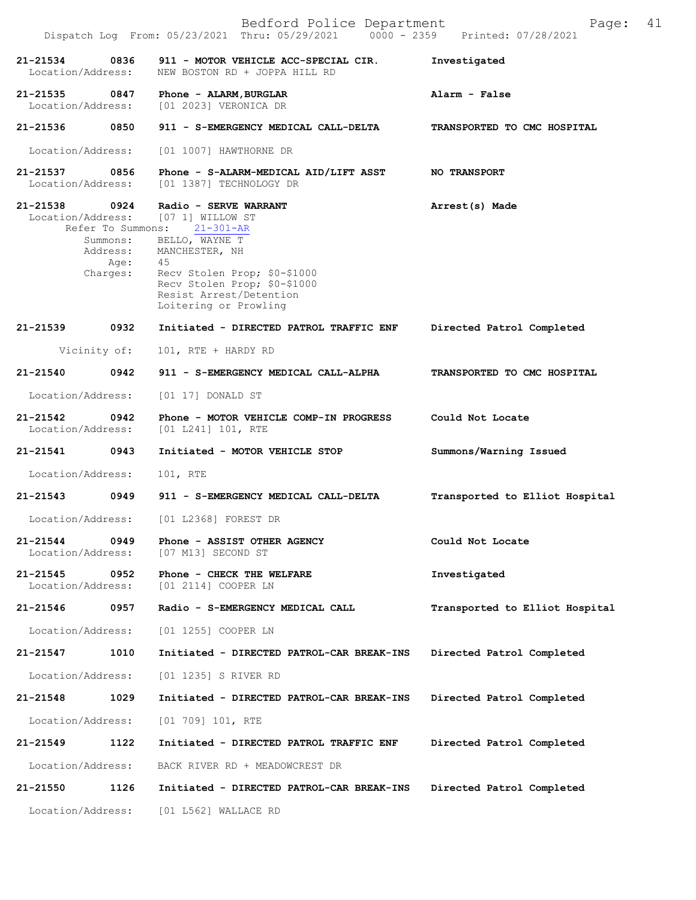|                                    |                              | Bedford Police Department<br>Dispatch Log From: 05/23/2021 Thru: 05/29/2021 0000 - 2359 Printed: 07/28/2021      | Page:                          | 41 |
|------------------------------------|------------------------------|------------------------------------------------------------------------------------------------------------------|--------------------------------|----|
| 21-21534<br>Location/Address:      | 0836                         | 911 - MOTOR VEHICLE ACC-SPECIAL CIR.<br>NEW BOSTON RD + JOPPA HILL RD                                            | Investigated                   |    |
| 21-21535<br>Location/Address:      | 0847                         | Phone - ALARM, BURGLAR<br>[01 2023] VERONICA DR                                                                  | Alarm - False                  |    |
| 21-21536                           | 0850                         | 911 - S-EMERGENCY MEDICAL CALL-DELTA                                                                             | TRANSPORTED TO CMC HOSPITAL    |    |
| Location/Address:                  |                              | [01 1007] HAWTHORNE DR                                                                                           |                                |    |
| 21-21537 0856<br>Location/Address: |                              | Phone - S-ALARM-MEDICAL AID/LIFT ASST<br>[01 1387] TECHNOLOGY DR                                                 | <b>NO TRANSPORT</b>            |    |
| 21-21538<br>Location/Address:      | 0924<br>Refer To Summons:    | Radio - SERVE WARRANT<br>[07 1] WILLOW ST<br>$21 - 301 - AR$                                                     | Arrest(s) Made                 |    |
|                                    | Summons:<br>Address:<br>Age: | BELLO, WAYNE T<br>MANCHESTER, NH<br>45                                                                           |                                |    |
|                                    | Charges:                     | Recv Stolen Prop; \$0-\$1000<br>Recv Stolen Prop; \$0-\$1000<br>Resist Arrest/Detention<br>Loitering or Prowling |                                |    |
| 21-21539                           | 0932                         | Initiated - DIRECTED PATROL TRAFFIC ENF                                                                          | Directed Patrol Completed      |    |
| Vicinity of:                       |                              | 101, RTE + HARDY RD                                                                                              |                                |    |
| 21-21540                           | 0942                         | 911 - S-EMERGENCY MEDICAL CALL-ALPHA                                                                             | TRANSPORTED TO CMC HOSPITAL    |    |
| Location/Address:                  |                              | $[01 17]$ DONALD ST                                                                                              |                                |    |
| $21 - 21542$<br>Location/Address:  | 0942                         | Phone - MOTOR VEHICLE COMP-IN PROGRESS<br>$[01 L241] 101$ , RTE                                                  | Could Not Locate               |    |
| 21-21541                           | 0943                         | Initiated - MOTOR VEHICLE STOP                                                                                   | Summons/Warning Issued         |    |
| Location/Address:                  |                              | 101, RTE                                                                                                         |                                |    |
| $21 - 21543$                       | 0949                         | 911 - S-EMERGENCY MEDICAL CALL-DELTA                                                                             | Transported to Elliot Hospital |    |
| Location/Address:                  |                              | [01 L2368] FOREST DR                                                                                             |                                |    |
| 21-21544<br>Location/Address:      | 0949                         | Phone - ASSIST OTHER AGENCY<br>[07 M13] SECOND ST                                                                | Could Not Locate               |    |
| 21-21545<br>Location/Address:      | 0952                         | Phone - CHECK THE WELFARE<br>[01 2114] COOPER LN                                                                 | Investigated                   |    |
| 21-21546                           | 0957                         | Radio - S-EMERGENCY MEDICAL CALL                                                                                 | Transported to Elliot Hospital |    |
| Location/Address:                  |                              | [01 1255] COOPER LN                                                                                              |                                |    |
| 21-21547                           | 1010                         | Initiated - DIRECTED PATROL-CAR BREAK-INS                                                                        | Directed Patrol Completed      |    |
| Location/Address:                  |                              | [01 1235] S RIVER RD                                                                                             |                                |    |
| 21-21548                           | 1029                         | Initiated - DIRECTED PATROL-CAR BREAK-INS                                                                        | Directed Patrol Completed      |    |
| Location/Address:                  |                              | $[01 709] 101$ , RTE                                                                                             |                                |    |
| 21-21549                           | 1122                         | Initiated - DIRECTED PATROL TRAFFIC ENF                                                                          | Directed Patrol Completed      |    |
| Location/Address:                  |                              | BACK RIVER RD + MEADOWCREST DR                                                                                   |                                |    |
| 21-21550                           | 1126                         | Initiated - DIRECTED PATROL-CAR BREAK-INS                                                                        | Directed Patrol Completed      |    |
| Location/Address:                  |                              | [01 L562] WALLACE RD                                                                                             |                                |    |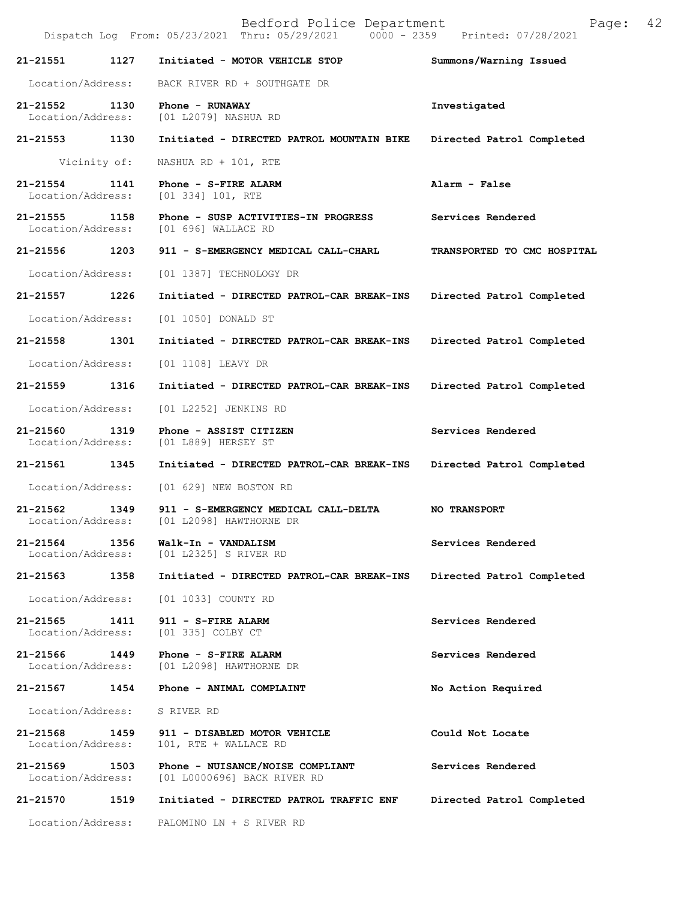Bedford Police Department Page: 42 Dispatch Log From: 05/23/2021 Thru: 05/29/2021 **21-21551 1127 Initiated - MOTOR VEHICLE STOP Summons/Warning Issued**  Location/Address: BACK RIVER RD + SOUTHGATE DR **21-21552 1130 Phone - RUNAWAY Investigated**  Location/Address: [01 L2079] NASHUA RD **21-21553 1130 Initiated - DIRECTED PATROL MOUNTAIN BIKE Directed Patrol Completed**  Vicinity of: NASHUA RD + 101, RTE **21-21554 1141 Phone - S-FIRE ALARM Alarm - False**  Location/Address: [01 334] 101, RTE **21-21555 1158 Phone - SUSP ACTIVITIES-IN PROGRESS Services Rendered**  [01 696] WALLACE RD **21-21556 1203 911 - S-EMERGENCY MEDICAL CALL-CHARL TRANSPORTED TO CMC HOSPITAL**  Location/Address: [01 1387] TECHNOLOGY DR **21-21557 1226 Initiated - DIRECTED PATROL-CAR BREAK-INS Directed Patrol Completed**  Location/Address: [01 1050] DONALD ST **21-21558 1301 Initiated - DIRECTED PATROL-CAR BREAK-INS Directed Patrol Completed**  Location/Address: [01 1108] LEAVY DR **21-21559 1316 Initiated - DIRECTED PATROL-CAR BREAK-INS Directed Patrol Completed**  Location/Address: [01 L2252] JENKINS RD **21-21560 1319 Phone - ASSIST CITIZEN Services Rendered**  Location/Address: [01 L889] HERSEY ST **21-21561 1345 Initiated - DIRECTED PATROL-CAR BREAK-INS Directed Patrol Completed**  Location/Address: [01 629] NEW BOSTON RD **21-21562 1349 911 - S-EMERGENCY MEDICAL CALL-DELTA NO TRANSPORT**  Location/Address: [01 L2098] HAWTHORNE DR **21-21564 1356 Walk-In - VANDALISM Services Rendered**  Location/Address: [01 L2325] S RIVER RD **21-21563 1358 Initiated - DIRECTED PATROL-CAR BREAK-INS Directed Patrol Completed**  Location/Address: [01 1033] COUNTY RD **21-21565 1411 911 - S-FIRE ALARM Services Rendered**  Location/Address: [01 335] COLBY CT **21-21566 1449 Phone - S-FIRE ALARM Services Rendered**  Location/Address: [01 L2098] HAWTHORNE DR **21-21567 1454 Phone - ANIMAL COMPLAINT No Action Required**  Location/Address: S RIVER RD **21-21568 1459 911 - DISABLED MOTOR VEHICLE Could Not Locate**  Location/Address: 101, RTE + WALLACE RD **21-21569 1503 Phone - NUISANCE/NOISE COMPLIANT Services Rendered**  Location/Address: [01 L0000696] BACK RIVER RD **21-21570 1519 Initiated - DIRECTED PATROL TRAFFIC ENF Directed Patrol Completed**  Location/Address: PALOMINO LN + S RIVER RD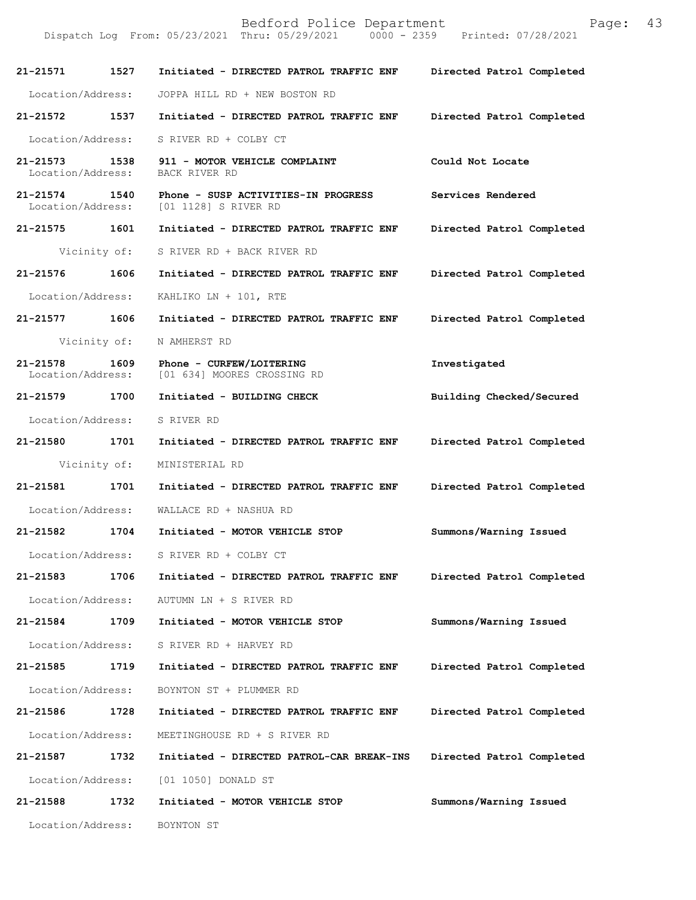Dispatch Log From: 05/23/2021 Thru: 05/29/2021

**21-21571 1527 Initiated - DIRECTED PATROL TRAFFIC ENF Directed Patrol Completed**  Location/Address: JOPPA HILL RD + NEW BOSTON RD **21-21572 1537 Initiated - DIRECTED PATROL TRAFFIC ENF Directed Patrol Completed**  Location/Address: S RIVER RD + COLBY CT **21-21573 1538 911 - MOTOR VEHICLE COMPLAINT Could Not Locate**  Location/Address: BACK RIVER RD **21-21574 1540 Phone - SUSP ACTIVITIES-IN PROGRESS Services Rendered**  Location/Address: [01 1128] S RIVER RD **21-21575 1601 Initiated - DIRECTED PATROL TRAFFIC ENF Directed Patrol Completed**  Vicinity of: S RIVER RD + BACK RIVER RD **21-21576 1606 Initiated - DIRECTED PATROL TRAFFIC ENF Directed Patrol Completed**  Location/Address: KAHLIKO LN + 101, RTE **21-21577 1606 Initiated - DIRECTED PATROL TRAFFIC ENF Directed Patrol Completed**  Vicinity of: N AMHERST RD **21-21578 1609 Phone - CURFEW/LOITERING Investigated**  Location/Address: [01 634] MOORES CROSSING RD **21-21579 1700 Initiated - BUILDING CHECK Building Checked/Secured**  Location/Address: S RIVER RD **21-21580 1701 Initiated - DIRECTED PATROL TRAFFIC ENF Directed Patrol Completed**  Vicinity of: MINISTERIAL RD **21-21581 1701 Initiated - DIRECTED PATROL TRAFFIC ENF Directed Patrol Completed**  Location/Address: WALLACE RD + NASHUA RD **21-21582 1704 Initiated - MOTOR VEHICLE STOP Summons/Warning Issued**  Location/Address: S RIVER RD + COLBY CT **21-21583 1706 Initiated - DIRECTED PATROL TRAFFIC ENF Directed Patrol Completed**  Location/Address: AUTUMN LN + S RIVER RD **21-21584 1709 Initiated - MOTOR VEHICLE STOP Summons/Warning Issued**  Location/Address: S RIVER RD + HARVEY RD **21-21585 1719 Initiated - DIRECTED PATROL TRAFFIC ENF Directed Patrol Completed**  Location/Address: BOYNTON ST + PLUMMER RD **21-21586 1728 Initiated - DIRECTED PATROL TRAFFIC ENF Directed Patrol Completed**  Location/Address: MEETINGHOUSE RD + S RIVER RD **21-21587 1732 Initiated - DIRECTED PATROL-CAR BREAK-INS Directed Patrol Completed**  Location/Address: [01 1050] DONALD ST **21-21588 1732 Initiated - MOTOR VEHICLE STOP Summons/Warning Issued**  Location/Address: BOYNTON ST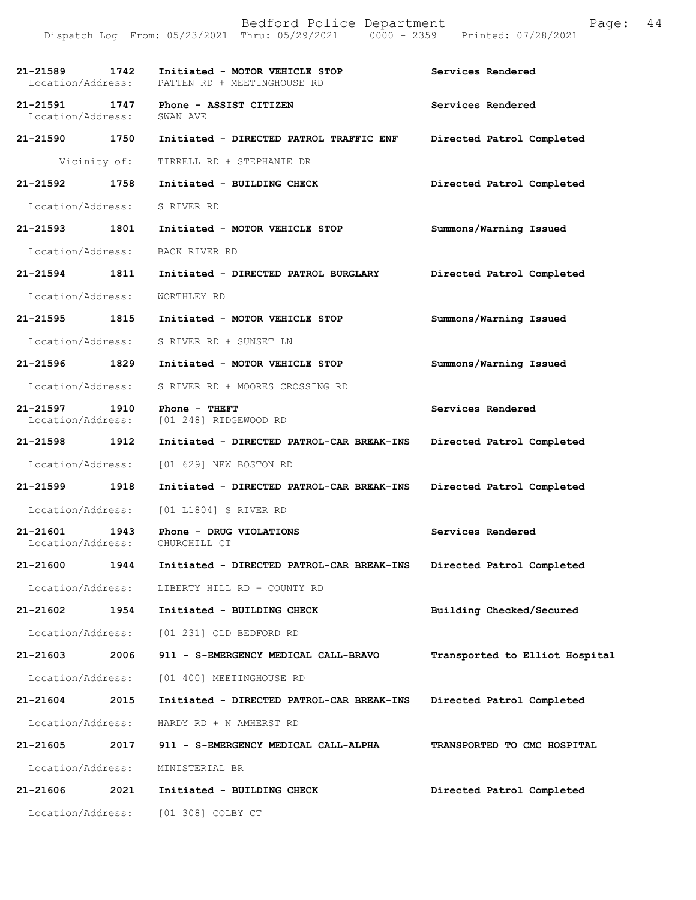Bedford Police Department Page: 44 Dispatch Log From: 05/23/2021 Thru: 05/29/2021 **21-21589 1742 Initiated - MOTOR VEHICLE STOP Services Rendered**  Location/Address: PATTEN RD + MEETINGHOUSE RD **21-21591 1747 Phone - ASSIST CITIZEN Services Rendered Services Rendered** Location/Address: **21-21590 1750 Initiated - DIRECTED PATROL TRAFFIC ENF Directed Patrol Completed**  Vicinity of: TIRRELL RD + STEPHANIE DR **21-21592 1758 Initiated - BUILDING CHECK Directed Patrol Completed**  Location/Address: S RIVER RD **21-21593 1801 Initiated - MOTOR VEHICLE STOP Summons/Warning Issued**  Location/Address: BACK RIVER RD **21-21594 1811 Initiated - DIRECTED PATROL BURGLARY Directed Patrol Completed**  Location/Address: WORTHLEY RD **21-21595 1815 Initiated - MOTOR VEHICLE STOP Summons/Warning Issued**  Location/Address: S RIVER RD + SUNSET LN **21-21596 1829 Initiated - MOTOR VEHICLE STOP Summons/Warning Issued**  Location/Address: S RIVER RD + MOORES CROSSING RD **21-21597 1910 Phone - THEFT 1910 Services Rendered Services Rendered I**ocation/Address: [01 248] RIDGEWOOD RD [01 248] RIDGEWOOD RD **21-21598 1912 Initiated - DIRECTED PATROL-CAR BREAK-INS Directed Patrol Completed**  Location/Address: [01 629] NEW BOSTON RD **21-21599 1918 Initiated - DIRECTED PATROL-CAR BREAK-INS Directed Patrol Completed**  Location/Address: [01 L1804] S RIVER RD **21-21601 1943 Phone - DRUG VIOLATIONS Services Rendered**  Location/Address: CHURCHILL CT **21-21600 1944 Initiated - DIRECTED PATROL-CAR BREAK-INS Directed Patrol Completed**  Location/Address: LIBERTY HILL RD + COUNTY RD **21-21602 1954 Initiated - BUILDING CHECK Building Checked/Secured**  Location/Address: [01 231] OLD BEDFORD RD **21-21603 2006 911 - S-EMERGENCY MEDICAL CALL-BRAVO Transported to Elliot Hospital** Location/Address: [01 400] MEETINGHOUSE RD **21-21604 2015 Initiated - DIRECTED PATROL-CAR BREAK-INS Directed Patrol Completed**  Location/Address: HARDY RD + N AMHERST RD **21-21605 2017 911 - S-EMERGENCY MEDICAL CALL-ALPHA TRANSPORTED TO CMC HOSPITAL**  Location/Address: MINISTERIAL BR **21-21606 2021 Initiated - BUILDING CHECK Directed Patrol Completed**  Location/Address: [01 308] COLBY CT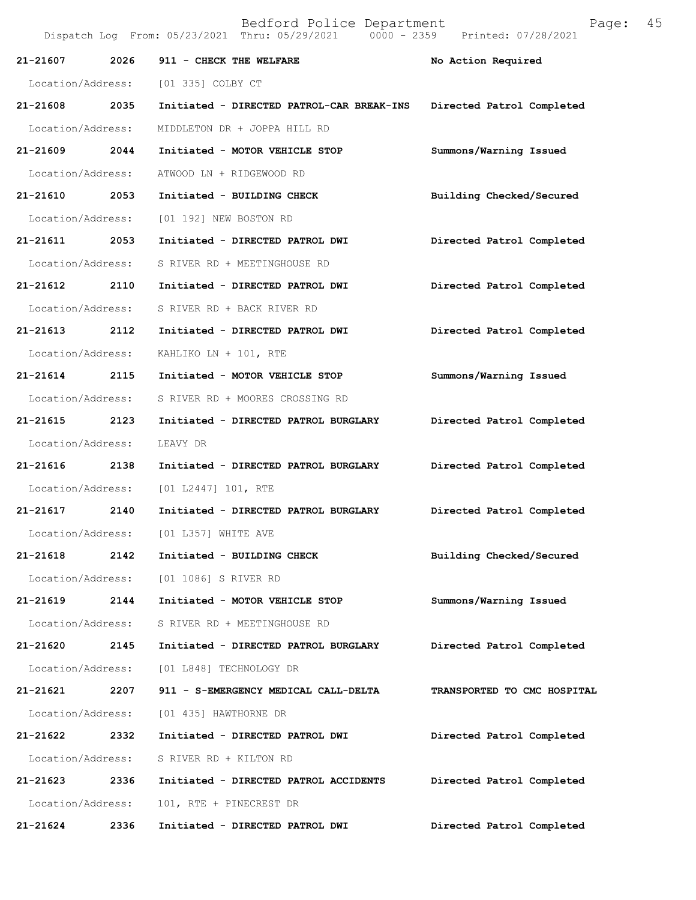| 21-21607          | 2026 | 911 - CHECK THE WELFARE                   | No Action Required          |
|-------------------|------|-------------------------------------------|-----------------------------|
| Location/Address: |      | [01 335] COLBY CT                         |                             |
| 21-21608 2035     |      | Initiated - DIRECTED PATROL-CAR BREAK-INS | Directed Patrol Completed   |
| Location/Address: |      | MIDDLETON DR + JOPPA HILL RD              |                             |
| 21-21609 2044     |      | Initiated - MOTOR VEHICLE STOP            | Summons/Warning Issued      |
| Location/Address: |      | ATWOOD LN + RIDGEWOOD RD                  |                             |
| 21-21610          | 2053 | Initiated - BUILDING CHECK                | Building Checked/Secured    |
| Location/Address: |      | [01 192] NEW BOSTON RD                    |                             |
| 21-21611 2053     |      | Initiated - DIRECTED PATROL DWI           | Directed Patrol Completed   |
| Location/Address: |      | S RIVER RD + MEETINGHOUSE RD              |                             |
| 21-21612 2110     |      | Initiated - DIRECTED PATROL DWI           | Directed Patrol Completed   |
| Location/Address: |      | S RIVER RD + BACK RIVER RD                |                             |
| $21 - 21613$      | 2112 | Initiated - DIRECTED PATROL DWI           | Directed Patrol Completed   |
| Location/Address: |      | KAHLIKO LN + 101, RTE                     |                             |
| 21-21614 2115     |      | Initiated - MOTOR VEHICLE STOP            | Summons/Warning Issued      |
| Location/Address: |      | S RIVER RD + MOORES CROSSING RD           |                             |
| 21-21615 2123     |      | Initiated - DIRECTED PATROL BURGLARY      | Directed Patrol Completed   |
| Location/Address: |      | LEAVY DR                                  |                             |
| 21-21616          | 2138 | Initiated - DIRECTED PATROL BURGLARY      | Directed Patrol Completed   |
| Location/Address: |      | [01 L2447] 101, RTE                       |                             |
| 21-21617 2140     |      | Initiated - DIRECTED PATROL BURGLARY      | Directed Patrol Completed   |
|                   |      | Location/Address: [01 L357] WHITE AVE     |                             |
|                   |      | 21-21618 2142 Initiated - BUILDING CHECK  | Building Checked/Secured    |
|                   |      | Location/Address: [01 1086] S RIVER RD    |                             |
| 21-21619          | 2144 | Initiated - MOTOR VEHICLE STOP            | Summons/Warning Issued      |
| Location/Address: |      | S RIVER RD + MEETINGHOUSE RD              |                             |
| 21-21620 2145     |      | Initiated - DIRECTED PATROL BURGLARY      | Directed Patrol Completed   |
| Location/Address: |      | [01 L848] TECHNOLOGY DR                   |                             |
| 21-21621          | 2207 | 911 - S-EMERGENCY MEDICAL CALL-DELTA      | TRANSPORTED TO CMC HOSPITAL |
| Location/Address: |      | [01 435] HAWTHORNE DR                     |                             |
| 21-21622          | 2332 | Initiated - DIRECTED PATROL DWI           | Directed Patrol Completed   |
| Location/Address: |      | S RIVER RD + KILTON RD                    |                             |
| 21-21623 2336     |      | Initiated - DIRECTED PATROL ACCIDENTS     | Directed Patrol Completed   |
| Location/Address: |      | 101, RTE + PINECREST DR                   |                             |
| 21-21624          | 2336 | Initiated - DIRECTED PATROL DWI           | Directed Patrol Completed   |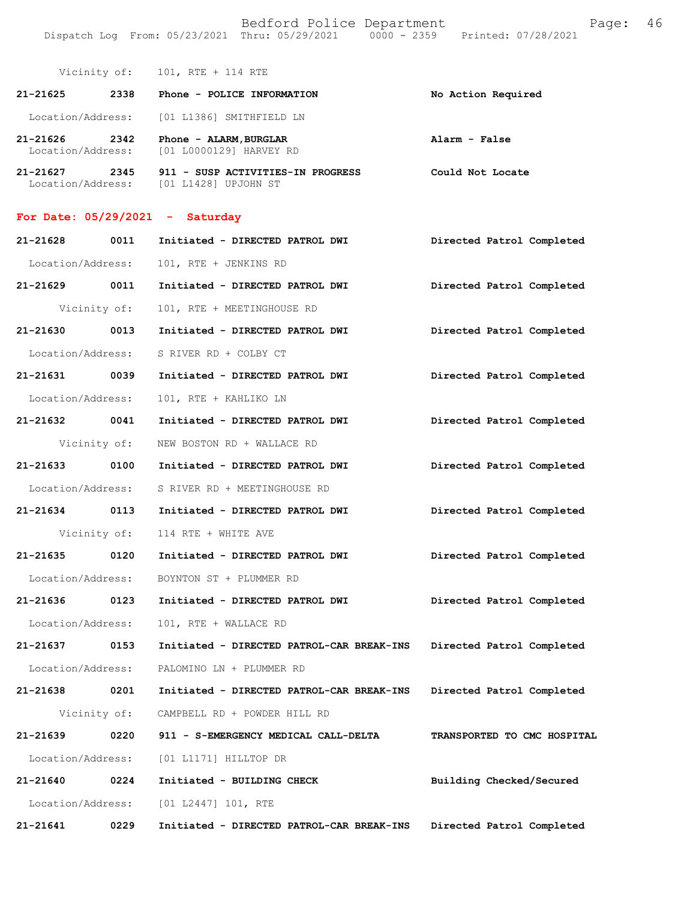Vicinity of: 101, RTE + 114 RTE

| $21 - 21625$ | 2338  | Phone - POLICE INFORMATION                                          | No Action Required                                                                                                                                                                                                                                                                                                     |
|--------------|-------|---------------------------------------------------------------------|------------------------------------------------------------------------------------------------------------------------------------------------------------------------------------------------------------------------------------------------------------------------------------------------------------------------|
|              |       | Location/Address: [01 L1386] SMITHFIELD LN                          |                                                                                                                                                                                                                                                                                                                        |
| 21-21626     | 2342  | Phone - ALARM, BURGLAR<br>Location/Address: [01 L0000129] HARVEY RD | Alarm - False                                                                                                                                                                                                                                                                                                          |
| $01.01$ $01$ | 0.215 | <b>011</b><br>OUGD ACEIVERTRO IN DROGBROO                           | $Q = -1$ $\frac{1}{2}$ $M = -1$ $\frac{1}{2}$ $\frac{1}{2}$ $\frac{1}{2}$ $\frac{1}{2}$ $\frac{1}{2}$ $\frac{1}{2}$ $\frac{1}{2}$ $\frac{1}{2}$ $\frac{1}{2}$ $\frac{1}{2}$ $\frac{1}{2}$ $\frac{1}{2}$ $\frac{1}{2}$ $\frac{1}{2}$ $\frac{1}{2}$ $\frac{1}{2}$ $\frac{1}{2}$ $\frac{1}{2}$ $\frac{1}{2}$ $\frac{1}{2$ |

**21-21627 2345 911 - SUSP ACTIVITIES-IN PROGRESS Could Not Locate**  Location/Address: [01 L1428] UPJOHN ST

## **For Date: 05/29/2021 - Saturday**

| 21-21628          | 0011         | Initiated - DIRECTED PATROL DWI           | Directed Patrol Completed   |
|-------------------|--------------|-------------------------------------------|-----------------------------|
| Location/Address: |              | 101, RTE + JENKINS RD                     |                             |
| 21-21629 0011     |              | Initiated - DIRECTED PATROL DWI           | Directed Patrol Completed   |
|                   | Vicinity of: | 101, RTE + MEETINGHOUSE RD                |                             |
| 21-21630 0013     |              | Initiated - DIRECTED PATROL DWI           | Directed Patrol Completed   |
| Location/Address: |              | S RIVER RD + COLBY CT                     |                             |
| 21-21631 0039     |              | Initiated - DIRECTED PATROL DWI           | Directed Patrol Completed   |
| Location/Address: |              | 101, RTE + KAHLIKO LN                     |                             |
| 21-21632 0041     |              | Initiated - DIRECTED PATROL DWI           | Directed Patrol Completed   |
|                   | Vicinity of: | NEW BOSTON RD + WALLACE RD                |                             |
| 21-21633 0100     |              | Initiated - DIRECTED PATROL DWI           | Directed Patrol Completed   |
| Location/Address: |              | S RIVER RD + MEETINGHOUSE RD              |                             |
| 21-21634 0113     |              | Initiated - DIRECTED PATROL DWI           | Directed Patrol Completed   |
|                   | Vicinity of: | 114 RTE + WHITE AVE                       |                             |
| 21-21635 0120     |              | Initiated - DIRECTED PATROL DWI           | Directed Patrol Completed   |
| Location/Address: |              | BOYNTON ST + PLUMMER RD                   |                             |
| 21-21636 0123     |              | Initiated - DIRECTED PATROL DWI           | Directed Patrol Completed   |
| Location/Address: |              | 101, RTE + WALLACE RD                     |                             |
| 21-21637 0153     |              | Initiated - DIRECTED PATROL-CAR BREAK-INS | Directed Patrol Completed   |
| Location/Address: |              | PALOMINO LN + PLUMMER RD                  |                             |
| 21-21638 0201     |              | Initiated - DIRECTED PATROL-CAR BREAK-INS | Directed Patrol Completed   |
|                   |              | Vicinity of: CAMPBELL RD + POWDER HILL RD |                             |
| 21-21639          | 0220         | 911 - S-EMERGENCY MEDICAL CALL-DELTA      | TRANSPORTED TO CMC HOSPITAL |
| Location/Address: |              | [01 L1171] HILLTOP DR                     |                             |
| 21-21640          | 0224         | Initiated - BUILDING CHECK                | Building Checked/Secured    |
| Location/Address: |              | [01 L2447] 101, RTE                       |                             |
| $21 - 21641$      | 0229         | Initiated - DIRECTED PATROL-CAR BREAK-INS | Directed Patrol Completed   |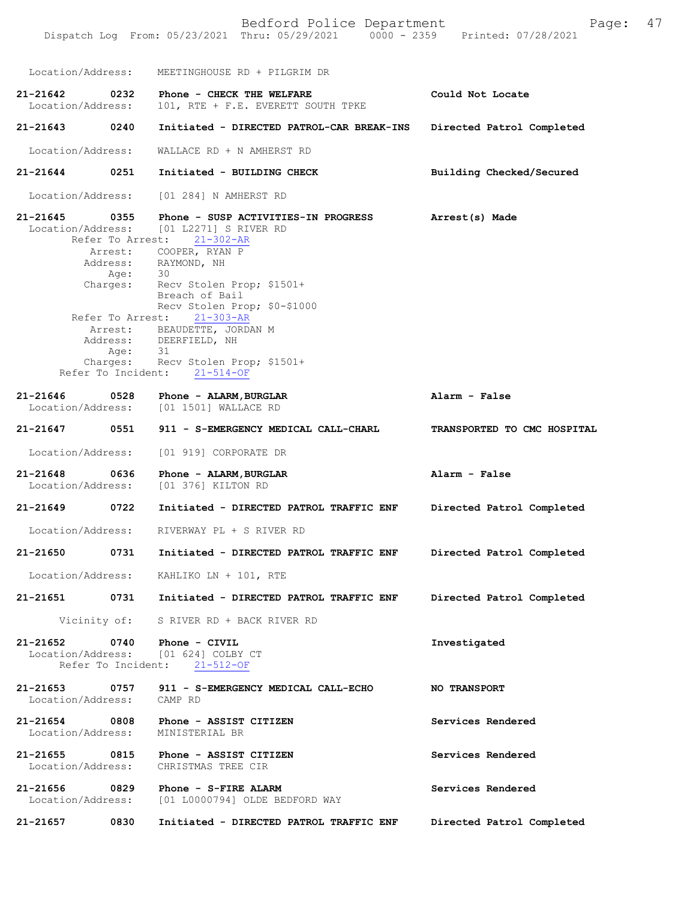Bedford Police Department Fage: 47 Dispatch Log From: 05/23/2021 Thru: 05/29/2021 0000 - 2359 Printed: 07/28/2021 Location/Address: MEETINGHOUSE RD + PILGRIM DR **21-21642 0232 Phone - CHECK THE WELFARE Could Not Locate**  101, RTE + F.E. EVERETT SOUTH TPKE **21-21643 0240 Initiated - DIRECTED PATROL-CAR BREAK-INS Directed Patrol Completed**  Location/Address: WALLACE RD + N AMHERST RD **21-21644 0251 Initiated - BUILDING CHECK Building Checked/Secured**  Location/Address: [01 284] N AMHERST RD **21-21645 0355 Phone - SUSP ACTIVITIES-IN PROGRESS Arrest(s) Made**  [01 L2271] S RIVER RD<br>est: 21-302-AR Refer To Arrest: Refer To Arrest: 21-303-AR Refer To Incident: 21-514-OF **Alarm - False TRANSPORTED TO CMC HOSPITAL Alarm - False Directed Patrol Completed Directed Patrol Completed Directed Patrol Completed 21-21652 0740 Phone - CIVIL Investigated**  Location/Address: [01 624] COLBY CT Refer To Incident: 21-512-OF **21-21653 0757 911 - S-EMERGENCY MEDICAL CALL-ECHO NO TRANSPORT**  Location/Address: **21-21654 0808 Phone - ASSIST CITIZEN Services Rendered**  Location/Address: MINISTERIAL BR **21-21655 0815 Phone - ASSIST CITIZEN Services Rendered**  Location/Address: **21-21656 0829 Phone - S-FIRE ALARM Services Rendered**  Location/Address: [01 L0000794] OLDE BEDFORD WAY **21-21657 0830 Initiated - DIRECTED PATROL TRAFFIC ENF Directed Patrol Completed**  Arrest: COOPER, RYAN P Address: RAYMOND, NH Age: 30 Charges: Recv Stolen Prop; \$1501+ Breach of Bail Recv Stolen Prop; \$0-\$1000 Arrest: BEAUDETTE, JORDAN M Address: DEERFIELD, NH Age: 31 Charges: Recv Stolen Prop; \$1501+ **21-21646 0528 Phone - ALARM,BURGLAR** [01 1501] WALLACE RD **21-21647 0551 911 - S-EMERGENCY MEDICAL CALL-CHARL** Location/Address: [01 919] CORPORATE DR **21-21648 0636 Phone - ALARM,BURGLAR** [01 376] KILTON RD **21-21649 0722 Initiated - DIRECTED PATROL TRAFFIC ENF** Location/Address: RIVERWAY PL + S RIVER RD **21-21650 0731 Initiated - DIRECTED PATROL TRAFFIC ENF** Location/Address: KAHLIKO LN + 101, RTE **21-21651 0731 Initiated - DIRECTED PATROL TRAFFIC ENF** Vicinity of: S RIVER RD + BACK RIVER RD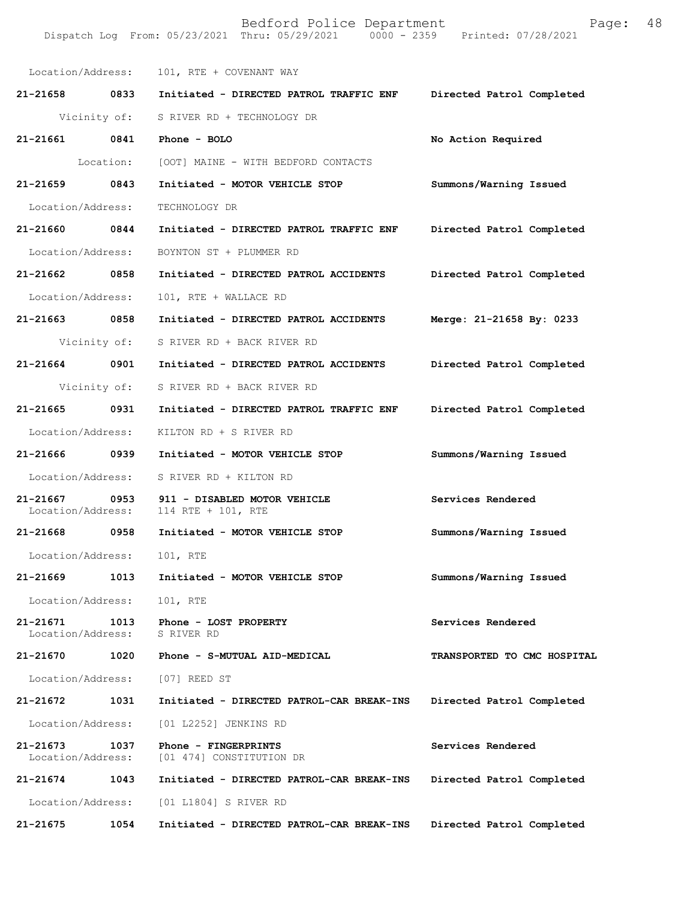| Location/Address:                  |      | 101, RTE + COVENANT WAY                                           |                             |
|------------------------------------|------|-------------------------------------------------------------------|-----------------------------|
| 21-21658 0833                      |      | Initiated - DIRECTED PATROL TRAFFIC ENF                           | Directed Patrol Completed   |
|                                    |      | Vicinity of: S RIVER RD + TECHNOLOGY DR                           |                             |
| 21-21661 0841                      |      | Phone - BOLO                                                      | No Action Required          |
|                                    |      | Location: [OOT] MAINE - WITH BEDFORD CONTACTS                     |                             |
| 21-21659 0843                      |      | Initiated - MOTOR VEHICLE STOP                                    | Summons/Warning Issued      |
| Location/Address:                  |      | TECHNOLOGY DR                                                     |                             |
| 21-21660 0844                      |      | Initiated - DIRECTED PATROL TRAFFIC ENF                           | Directed Patrol Completed   |
|                                    |      | Location/Address: BOYNTON ST + PLUMMER RD                         |                             |
| 21-21662 0858                      |      | Initiated - DIRECTED PATROL ACCIDENTS Directed Patrol Completed   |                             |
| Location/Address:                  |      | 101, RTE + WALLACE RD                                             |                             |
| 21-21663 0858                      |      | Initiated - DIRECTED PATROL ACCIDENTS Merge: 21-21658 By: 0233    |                             |
|                                    |      | Vicinity of: S RIVER RD + BACK RIVER RD                           |                             |
| 21-21664 0901                      |      | Initiated - DIRECTED PATROL ACCIDENTS Directed Patrol Completed   |                             |
| Vicinity of:                       |      | S RIVER RD + BACK RIVER RD                                        |                             |
| 21-21665 0931                      |      | Initiated - DIRECTED PATROL TRAFFIC ENF Directed Patrol Completed |                             |
|                                    |      | Location/Address: KILTON RD + S RIVER RD                          |                             |
| 21-21666 0939                      |      | Initiated - MOTOR VEHICLE STOP                                    | Summons/Warning Issued      |
| Location/Address:                  |      | S RIVER RD + KILTON RD                                            |                             |
| 21-21667 0953<br>Location/Address: |      | 911 - DISABLED MOTOR VEHICLE<br>114 RTE + 101, RTE                | Services Rendered           |
| 21-21668 0958                      |      | Initiated - MOTOR VEHICLE STOP                                    | Summons/Warning Issued      |
| Location/Address: 101, RTE         |      |                                                                   |                             |
| 21-21669                           | 1013 | Initiated - MOTOR VEHICLE STOP                                    | Summons/Warning Issued      |
| Location/Address:                  |      | 101, RTE                                                          |                             |
| 21-21671<br>Location/Address:      | 1013 | Phone - LOST PROPERTY<br>S RIVER RD                               | Services Rendered           |
| 21-21670                           | 1020 | Phone - S-MUTUAL AID-MEDICAL                                      | TRANSPORTED TO CMC HOSPITAL |
|                                    |      | Location/Address: [07] REED ST                                    |                             |
| 21-21672                           | 1031 | Initiated - DIRECTED PATROL-CAR BREAK-INS                         | Directed Patrol Completed   |
| Location/Address:                  |      | [01 L2252] JENKINS RD                                             |                             |
| 21-21673<br>Location/Address:      | 1037 | Phone - FINGERPRINTS<br>[01 474] CONSTITUTION DR                  | Services Rendered           |
| 21-21674                           | 1043 | Initiated - DIRECTED PATROL-CAR BREAK-INS                         | Directed Patrol Completed   |
| Location/Address:                  |      | [01 L1804] S RIVER RD                                             |                             |
| 21-21675                           | 1054 | Initiated - DIRECTED PATROL-CAR BREAK-INS                         | Directed Patrol Completed   |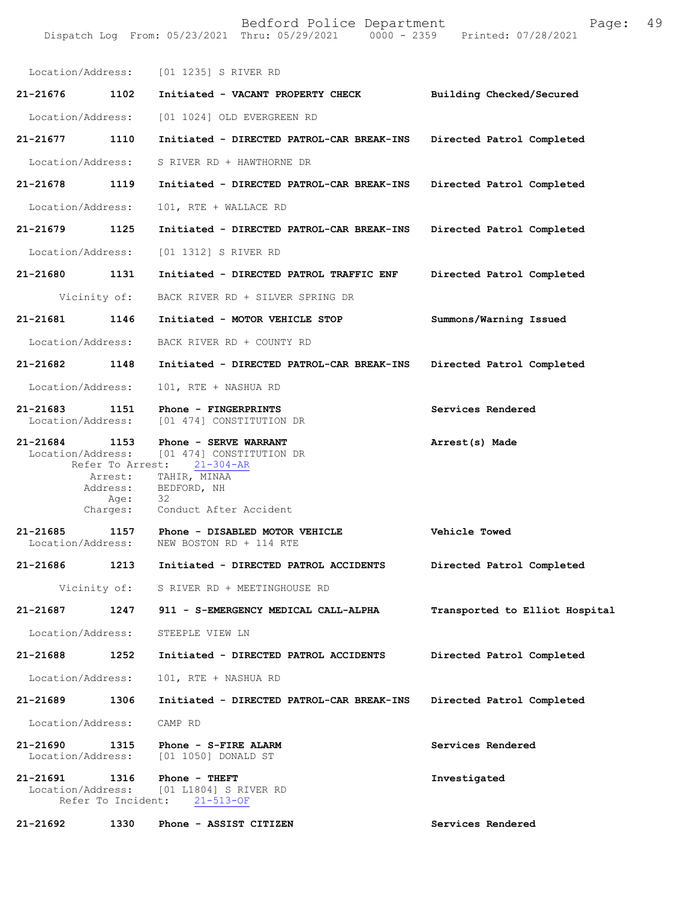Dispatch Log From: 05/23/2021 Thru: 05/29/2021 0000 - 2359 Printed: 07/28/2021

|                               |                  | Location/Address: [01 1235] S RIVER RD                                                            |                                |
|-------------------------------|------------------|---------------------------------------------------------------------------------------------------|--------------------------------|
| 21-21676                      | 1102             | Initiated - VACANT PROPERTY CHECK                                                                 | Building Checked/Secured       |
| Location/Address:             |                  | [01 1024] OLD EVERGREEN RD                                                                        |                                |
| 21-21677                      | 1110             | Initiated - DIRECTED PATROL-CAR BREAK-INS                                                         | Directed Patrol Completed      |
| Location/Address:             |                  | S RIVER RD + HAWTHORNE DR                                                                         |                                |
| 21-21678                      | 1119             | Initiated - DIRECTED PATROL-CAR BREAK-INS                                                         | Directed Patrol Completed      |
| Location/Address:             |                  | 101, RTE + WALLACE RD                                                                             |                                |
| $21 - 21679$                  | 1125             | Initiated - DIRECTED PATROL-CAR BREAK-INS                                                         | Directed Patrol Completed      |
| Location/Address:             |                  | [01 1312] S RIVER RD                                                                              |                                |
| 21-21680 1131                 |                  | Initiated - DIRECTED PATROL TRAFFIC ENF                                                           | Directed Patrol Completed      |
|                               | Vicinity of:     | BACK RIVER RD + SILVER SPRING DR                                                                  |                                |
| 21-21681 1146                 |                  | Initiated - MOTOR VEHICLE STOP                                                                    | Summons/Warning Issued         |
| Location/Address:             |                  | BACK RIVER RD + COUNTY RD                                                                         |                                |
| 21-21682                      | 1148             | Initiated - DIRECTED PATROL-CAR BREAK-INS                                                         | Directed Patrol Completed      |
| Location/Address:             |                  | 101, RTE + NASHUA RD                                                                              |                                |
| 21-21683<br>Location/Address: | 1151             | Phone - FINGERPRINTS<br>[01 474] CONSTITUTION DR                                                  | Services Rendered              |
| $21 - 21684$                  | 1153             | Phone - SERVE WARRANT<br>Location/Address: [01 474] CONSTITUTION DR<br>Refer To Arrest: 21-304-AR | Arrest(s) Made                 |
|                               | Arrest:          | TAHIR, MINAA<br>Address: BEDFORD, NH                                                              |                                |
|                               | Age:<br>Charges: | 32<br>Conduct After Accident                                                                      |                                |
| 21-21685                      | 1157             | Phone - DISABLED MOTOR VEHICLE                                                                    | Vehicle Towed                  |
| Location/Address:             |                  | NEW BOSTON RD + 114 RTE                                                                           |                                |
| 21-21686                      | 1213             | Initiated - DIRECTED PATROL ACCIDENTS                                                             | Directed Patrol Completed      |
|                               |                  | Vicinity of: S RIVER RD + MEETINGHOUSE RD                                                         |                                |
| 21-21687                      | 1247             | 911 - S-EMERGENCY MEDICAL CALL-ALPHA                                                              | Transported to Elliot Hospital |
| Location/Address:             |                  | STEEPLE VIEW LN                                                                                   |                                |
| 21-21688                      | 1252             | Initiated - DIRECTED PATROL ACCIDENTS                                                             | Directed Patrol Completed      |
| Location/Address:             |                  | 101, RTE + NASHUA RD                                                                              |                                |
| 21-21689                      | 1306             | Initiated - DIRECTED PATROL-CAR BREAK-INS                                                         | Directed Patrol Completed      |
| Location/Address:             |                  | CAMP RD                                                                                           |                                |
| 21-21690<br>Location/Address: | 1315             | Phone - S-FIRE ALARM<br>[01 1050] DONALD ST                                                       | Services Rendered              |
| 21-21691<br>Location/Address: | 1316             | Phone - THEFT<br>[01 L1804] S RIVER RD<br>Refer To Incident: 21-513-OF                            | Investigated                   |
| 21-21692                      | 1330             | Phone - ASSIST CITIZEN                                                                            | Services Rendered              |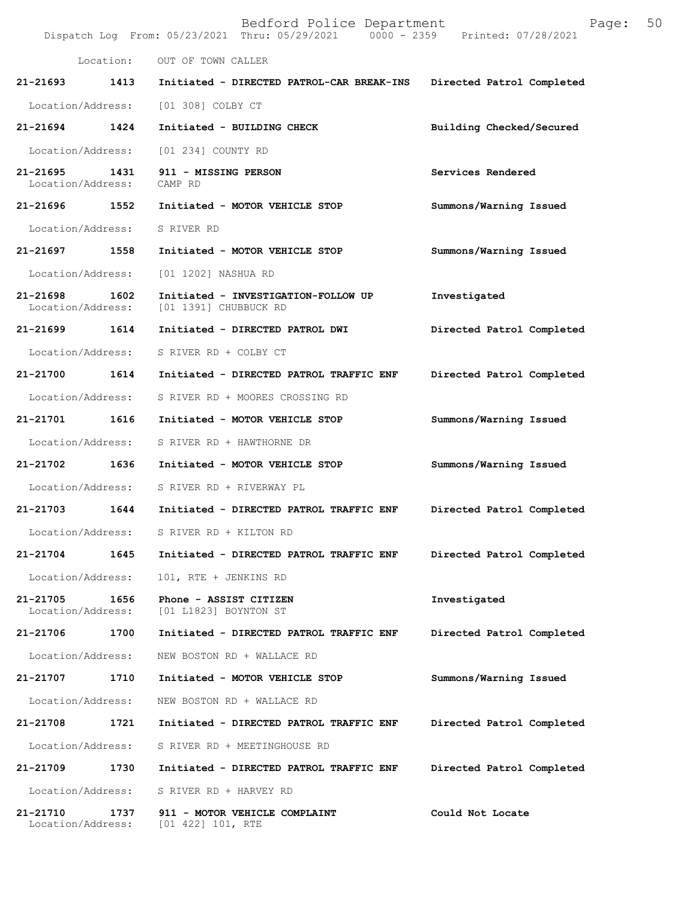|                                    |      | Bedford Police Department<br>Dispatch Log From: 05/23/2021 Thru: 05/29/2021 0000 - 2359 Printed: 07/28/2021 | Page:                     | 50 |
|------------------------------------|------|-------------------------------------------------------------------------------------------------------------|---------------------------|----|
|                                    |      | Location: OUT OF TOWN CALLER                                                                                |                           |    |
|                                    |      | 21-21693 1413 Initiated - DIRECTED PATROL-CAR BREAK-INS                                                     | Directed Patrol Completed |    |
|                                    |      | Location/Address: [01 308] COLBY CT                                                                         |                           |    |
| 21-21694 1424                      |      | Initiated - BUILDING CHECK                                                                                  | Building Checked/Secured  |    |
|                                    |      | Location/Address: [01 234] COUNTY RD                                                                        |                           |    |
| 21-21695 1431<br>Location/Address: |      | 911 - MISSING PERSON<br>CAMP RD                                                                             | Services Rendered         |    |
|                                    |      | 21-21696  1552  Initiated - MOTOR VEHICLE STOP                                                              | Summons/Warning Issued    |    |
| Location/Address: S RIVER RD       |      |                                                                                                             |                           |    |
| 21-21697 1558                      |      | Initiated - MOTOR VEHICLE STOP                                                                              | Summons/Warning Issued    |    |
| Location/Address:                  |      | [01 1202] NASHUA RD                                                                                         |                           |    |
| 21-21698 1602<br>Location/Address: |      | Initiated - INVESTIGATION-FOLLOW UP<br>[01 1391] CHUBBUCK RD                                                | Investigated              |    |
| 21-21699 1614                      |      | Initiated - DIRECTED PATROL DWI                                                                             | Directed Patrol Completed |    |
|                                    |      | Location/Address: S RIVER RD + COLBY CT                                                                     |                           |    |
|                                    |      | 21-21700 1614 Initiated - DIRECTED PATROL TRAFFIC ENF                                                       | Directed Patrol Completed |    |
|                                    |      | Location/Address: S RIVER RD + MOORES CROSSING RD                                                           |                           |    |
| 21-21701 1616                      |      | Initiated - MOTOR VEHICLE STOP                                                                              | Summons/Warning Issued    |    |
| Location/Address:                  |      | S RIVER RD + HAWTHORNE DR                                                                                   |                           |    |
| 21-21702 1636                      |      | Initiated - MOTOR VEHICLE STOP                                                                              | Summons/Warning Issued    |    |
|                                    |      | Location/Address: S RIVER RD + RIVERWAY PL                                                                  |                           |    |
|                                    |      | 21-21703 1644 Initiated - DIRECTED PATROL TRAFFIC ENF                                                       | Directed Patrol Completed |    |
| Location/Address:                  |      | S RIVER RD + KILTON RD                                                                                      |                           |    |
| 21-21704                           | 1645 | Initiated - DIRECTED PATROL TRAFFIC ENF                                                                     | Directed Patrol Completed |    |
| Location/Address:                  |      | 101, RTE + JENKINS RD                                                                                       |                           |    |
| 21-21705<br>Location/Address:      | 1656 | Phone - ASSIST CITIZEN<br>[01 L1823] BOYNTON ST                                                             | Investigated              |    |
| 21-21706                           | 1700 | Initiated - DIRECTED PATROL TRAFFIC ENF                                                                     | Directed Patrol Completed |    |
| Location/Address:                  |      | NEW BOSTON RD + WALLACE RD                                                                                  |                           |    |
| 21-21707                           | 1710 | Initiated - MOTOR VEHICLE STOP                                                                              | Summons/Warning Issued    |    |
| Location/Address:                  |      | NEW BOSTON RD + WALLACE RD                                                                                  |                           |    |
| 21-21708                           | 1721 | Initiated - DIRECTED PATROL TRAFFIC ENF                                                                     | Directed Patrol Completed |    |
| Location/Address:                  |      | S RIVER RD + MEETINGHOUSE RD                                                                                |                           |    |
| 21-21709                           | 1730 | Initiated - DIRECTED PATROL TRAFFIC ENF                                                                     | Directed Patrol Completed |    |
| Location/Address:                  |      | S RIVER RD + HARVEY RD                                                                                      |                           |    |
| 21-21710<br>Location/Address:      | 1737 | 911 - MOTOR VEHICLE COMPLAINT<br>[01 422] 101, RTE                                                          | Could Not Locate          |    |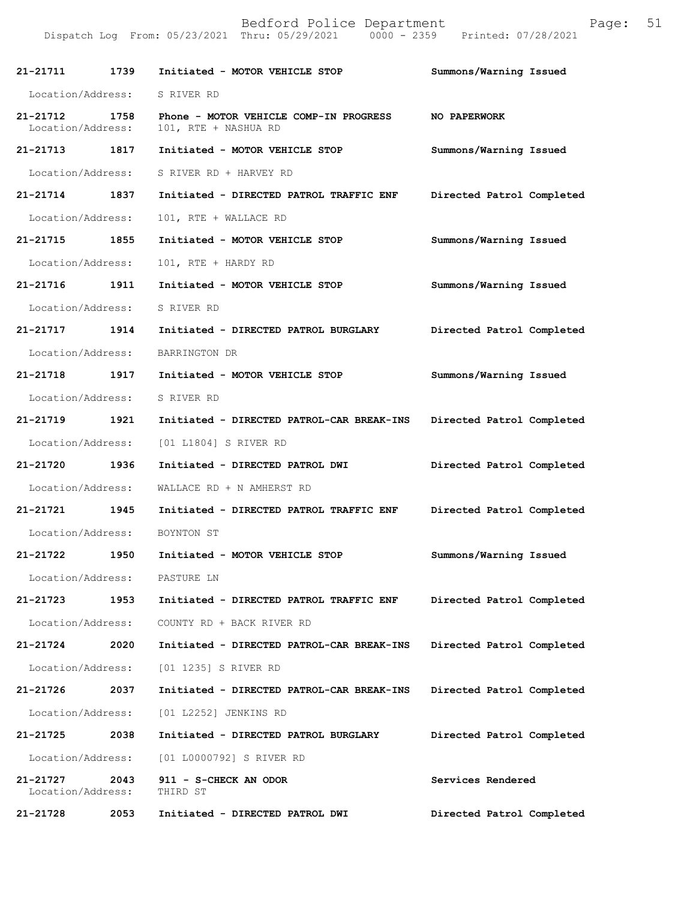| 21-21711                           | 1739 | Initiated - MOTOR VEHICLE STOP                                 | Summons/Warning Issued    |
|------------------------------------|------|----------------------------------------------------------------|---------------------------|
| Location/Address:                  |      | S RIVER RD                                                     |                           |
| 21-21712 1758<br>Location/Address: |      | Phone - MOTOR VEHICLE COMP-IN PROGRESS<br>101, RTE + NASHUA RD | NO PAPERWORK              |
| 21-21713 1817                      |      | Initiated - MOTOR VEHICLE STOP                                 | Summons/Warning Issued    |
| Location/Address:                  |      | S RIVER RD + HARVEY RD                                         |                           |
| 21-21714 1837                      |      | Initiated - DIRECTED PATROL TRAFFIC ENF                        | Directed Patrol Completed |
| Location/Address:                  |      | 101, RTE + WALLACE RD                                          |                           |
| 21-21715 1855                      |      | Initiated - MOTOR VEHICLE STOP                                 | Summons/Warning Issued    |
| Location/Address:                  |      | 101, RTE + HARDY RD                                            |                           |
| 21-21716 1911                      |      | Initiated - MOTOR VEHICLE STOP                                 | Summons/Warning Issued    |
| Location/Address:                  |      | S RIVER RD                                                     |                           |
| 21-21717 1914                      |      | Initiated - DIRECTED PATROL BURGLARY                           | Directed Patrol Completed |
| Location/Address:                  |      | BARRINGTON DR                                                  |                           |
| 21-21718 1917                      |      | Initiated - MOTOR VEHICLE STOP                                 | Summons/Warning Issued    |
| Location/Address:                  |      | S RIVER RD                                                     |                           |
| 21-21719 1921                      |      | Initiated - DIRECTED PATROL-CAR BREAK-INS                      | Directed Patrol Completed |
| Location/Address:                  |      | [01 L1804] S RIVER RD                                          |                           |
| 21-21720 1936                      |      | Initiated - DIRECTED PATROL DWI                                | Directed Patrol Completed |
| Location/Address:                  |      | WALLACE RD + N AMHERST RD                                      |                           |
| 21-21721 1945                      |      | Initiated - DIRECTED PATROL TRAFFIC ENF                        | Directed Patrol Completed |
|                                    |      | Location/Address: BOYNTON ST                                   |                           |
| 21-21722                           | 1950 | Initiated - MOTOR VEHICLE STOP                                 | Summons/Warning Issued    |
| Location/Address:                  |      | PASTURE LN                                                     |                           |
| 21-21723                           | 1953 | Initiated - DIRECTED PATROL TRAFFIC ENF                        | Directed Patrol Completed |
| Location/Address:                  |      | COUNTY RD + BACK RIVER RD                                      |                           |
| 21-21724                           | 2020 | Initiated - DIRECTED PATROL-CAR BREAK-INS                      | Directed Patrol Completed |
| Location/Address:                  |      | [01 1235] S RIVER RD                                           |                           |
| 21-21726                           | 2037 | Initiated - DIRECTED PATROL-CAR BREAK-INS                      | Directed Patrol Completed |
| Location/Address:                  |      | [01 L2252] JENKINS RD                                          |                           |
| 21-21725                           | 2038 | Initiated - DIRECTED PATROL BURGLARY                           | Directed Patrol Completed |
| Location/Address:                  |      | [01 L0000792] S RIVER RD                                       |                           |
| 21-21727<br>Location/Address:      | 2043 | 911 - S-CHECK AN ODOR<br>THIRD ST                              | Services Rendered         |
| 21-21728                           | 2053 | Initiated - DIRECTED PATROL DWI                                | Directed Patrol Completed |